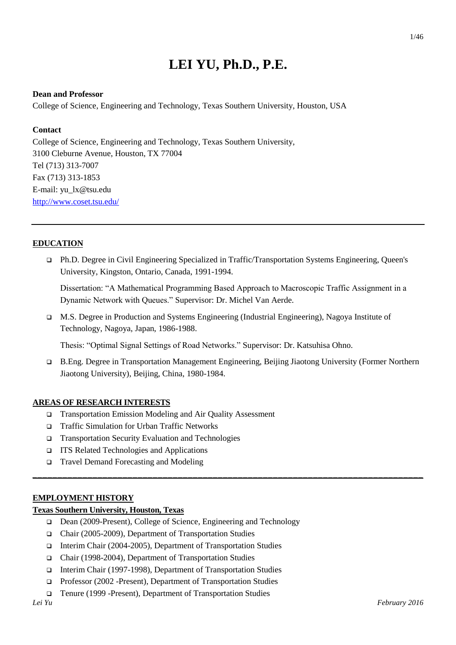# **LEI YU, Ph.D., P.E.**

#### **Dean and Professor**

College of Science, Engineering and Technology, Texas Southern University, Houston, USA

#### **Contact**

College of Science, Engineering and Technology, Texas Southern University, 3100 Cleburne Avenue, Houston, TX 77004 Tel (713) 313-7007 Fax (713) 313-1853 E-mail: [yu\\_lx@tsu.edu](mailto:yu_lx@tsu.edu) <http://www.coset.tsu.edu/>

#### **EDUCATION**

 Ph.D. Degree in Civil Engineering Specialized in Traffic/Transportation Systems Engineering, Queen's University, Kingston, Ontario, Canada, 1991-1994.

Dissertation: "A Mathematical Programming Based Approach to Macroscopic Traffic Assignment in a Dynamic Network with Queues." Supervisor: Dr. Michel Van Aerde.

 M.S. Degree in Production and Systems Engineering (Industrial Engineering), Nagoya Institute of Technology, Nagoya, Japan, 1986-1988.

Thesis: "Optimal Signal Settings of Road Networks." Supervisor: Dr. Katsuhisa Ohno.

 B.Eng. Degree in Transportation Management Engineering, Beijing Jiaotong University (Former Northern Jiaotong University), Beijing, China, 1980-1984.

**\_\_\_\_\_\_\_\_\_\_\_\_\_\_\_\_\_\_\_\_\_\_\_\_\_\_\_\_\_\_\_\_\_\_\_\_\_\_\_\_\_\_\_\_\_\_\_\_\_\_\_\_\_\_\_\_\_\_\_\_\_\_\_\_\_\_\_\_\_\_\_\_\_\_\_\_\_\_** 

#### **AREAS OF RESEARCH INTERESTS**

- Transportation Emission Modeling and Air Quality Assessment
- □ Traffic Simulation for Urban Traffic Networks
- Transportation Security Evaluation and Technologies
- ITS Related Technologies and Applications
- Travel Demand Forecasting and Modeling

#### **EMPLOYMENT HISTORY**

#### **Texas Southern University, Houston, Texas**

- Dean (2009-Present), College of Science, Engineering and Technology
- Chair (2005-2009), Department of Transportation Studies
- Interim Chair (2004-2005), Department of Transportation Studies
- Chair (1998-2004), Department of Transportation Studies
- Interim Chair (1997-1998), Department of Transportation Studies
- □ Professor (2002 -Present), Department of Transportation Studies
- Tenure (1999 -Present), Department of Transportation Studies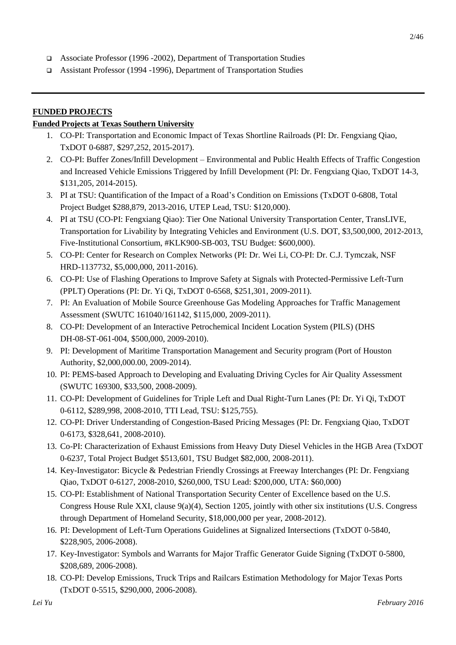- Associate Professor (1996 -2002), Department of Transportation Studies
- Assistant Professor (1994 -1996), Department of Transportation Studies

#### **FUNDED PROJECTS**

#### **Funded Projects at Texas Southern University**

- 1. CO-PI: Transportation and Economic Impact of Texas Shortline Railroads (PI: Dr. Fengxiang Qiao, TxDOT 0-6887, \$297,252, 2015-2017).
- 2. CO-PI: Buffer Zones/Infill Development Environmental and Public Health Effects of Traffic Congestion and Increased Vehicle Emissions Triggered by Infill Development (PI: Dr. Fengxiang Qiao, TxDOT 14-3, \$131,205, 2014-2015).
- 3. PI at TSU: Quantification of the Impact of a Road's Condition on Emissions (TxDOT 0-6808, Total Project Budget \$288,879, 2013-2016, UTEP Lead, TSU: \$120,000).
- 4. PI at TSU (CO-PI: Fengxiang Qiao): Tier One National University Transportation Center, TransLIVE, Transportation for Livability by Integrating Vehicles and Environment (U.S. DOT, \$3,500,000, 2012-2013, Five-Institutional Consortium, #KLK900-SB-003, TSU Budget: \$600,000).
- 5. CO-PI: Center for Research on Complex Networks (PI: Dr. Wei Li, CO-PI: Dr. C.J. Tymczak, NSF HRD-1137732, \$5,000,000, 2011-2016).
- 6. CO-PI: Use of Flashing Operations to Improve Safety at Signals with Protected-Permissive Left-Turn (PPLT) Operations (PI: Dr. Yi Qi, TxDOT 0-6568, \$251,301, 2009-2011).
- 7. PI: An Evaluation of Mobile Source Greenhouse Gas Modeling Approaches for Traffic Management Assessment (SWUTC 161040/161142, \$115,000, 2009-2011).
- 8. CO-PI: Development of an Interactive Petrochemical Incident Location System (PILS) (DHS DH-08-ST-061-004, \$500,000, 2009-2010).
- 9. PI: Development of Maritime Transportation Management and Security program (Port of Houston Authority, \$2,000,000.00, 2009-2014).
- 10. PI: PEMS-based Approach to Developing and Evaluating Driving Cycles for Air Quality Assessment (SWUTC 169300, \$33,500, 2008-2009).
- 11. CO-PI: Development of Guidelines for Triple Left and Dual Right-Turn Lanes (PI: Dr. Yi Qi, TxDOT 0-6112, \$289,998, 2008-2010, TTI Lead, TSU: \$125,755).
- 12. CO-PI: Driver Understanding of Congestion-Based Pricing Messages (PI: Dr. Fengxiang Qiao, TxDOT 0-6173, \$328,641, 2008-2010).
- 13. Co-PI: Characterization of Exhaust Emissions from Heavy Duty Diesel Vehicles in the HGB Area (TxDOT 0-6237, Total Project Budget \$513,601, TSU Budget \$82,000, 2008-2011).
- 14. Key-Investigator: Bicycle & Pedestrian Friendly Crossings at Freeway Interchanges (PI: Dr. Fengxiang Qiao, TxDOT 0-6127, 2008-2010, \$260,000, TSU Lead: \$200,000, UTA: \$60,000)
- 15. CO-PI: Establishment of National Transportation Security Center of Excellence based on the U.S. Congress House Rule XXI, clause 9(a)(4), Section 1205, jointly with other six institutions (U.S. Congress through Department of Homeland Security, \$18,000,000 per year, 2008-2012).
- 16. PI: Development of Left-Turn Operations Guidelines at Signalized Intersections (TxDOT 0-5840, \$228,905, 2006-2008).
- 17. Key-Investigator: Symbols and Warrants for Major Traffic Generator Guide Signing (TxDOT 0-5800, \$208,689, 2006-2008).
- 18. CO-PI: Develop Emissions, Truck Trips and Railcars Estimation Methodology for Major Texas Ports (TxDOT 0-5515, \$290,000, 2006-2008).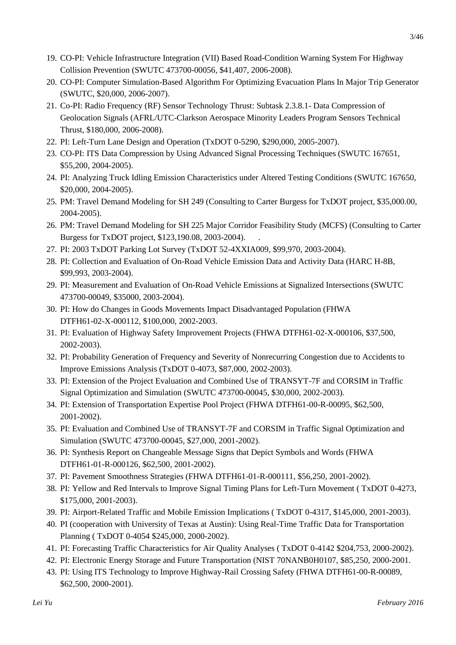- 19. CO-PI: Vehicle Infrastructure Integration (VII) Based Road-Condition Warning System For Highway Collision Prevention (SWUTC 473700-00056, \$41,407, 2006-2008).
- 20. CO-PI: Computer Simulation-Based Algorithm For Optimizing Evacuation Plans In Major Trip Generator (SWUTC, \$20,000, 2006-2007).
- 21. Co-PI: Radio Frequency (RF) Sensor Technology Thrust: Subtask 2.3.8.1- Data Compression of Geolocation Signals (AFRL/UTC-Clarkson Aerospace Minority Leaders Program Sensors Technical Thrust, \$180,000, 2006-2008).
- 22. PI: Left-Turn Lane Design and Operation (TxDOT 0-5290, \$290,000, 2005-2007).
- 23. CO-PI: ITS Data Compression by Using Advanced Signal Processing Techniques (SWUTC 167651, \$55,200, 2004-2005).
- 24. PI: Analyzing Truck Idling Emission Characteristics under Altered Testing Conditions (SWUTC 167650, \$20,000, 2004-2005).
- 25. PM: Travel Demand Modeling for SH 249 (Consulting to Carter Burgess for TxDOT project, \$35,000.00, 2004-2005).
- 26. PM: Travel Demand Modeling for SH 225 Major Corridor Feasibility Study (MCFS) (Consulting to Carter Burgess for TxDOT project, \$123,190.08, 2003-2004). .
- 27. PI: 2003 TxDOT Parking Lot Survey (TxDOT 52-4XXIA009, \$99,970, 2003-2004).
- 28. PI: Collection and Evaluation of On-Road Vehicle Emission Data and Activity Data (HARC H-8B, \$99,993, 2003-2004).
- 29. PI: Measurement and Evaluation of On-Road Vehicle Emissions at Signalized Intersections (SWUTC 473700-00049, \$35000, 2003-2004).
- 30. PI: How do Changes in Goods Movements Impact Disadvantaged Population (FHWA DTFH61-02-X-000112, \$100,000, 2002-2003.
- 31. PI: Evaluation of Highway Safety Improvement Projects (FHWA DTFH61-02-X-000106, \$37,500, 2002-2003).
- 32. PI: Probability Generation of Frequency and Severity of Nonrecurring Congestion due to Accidents to Improve Emissions Analysis (TxDOT 0-4073, \$87,000, 2002-2003).
- 33. PI: Extension of the Project Evaluation and Combined Use of TRANSYT-7F and CORSIM in Traffic Signal Optimization and Simulation (SWUTC 473700-00045, \$30,000, 2002-2003).
- 34. PI: Extension of Transportation Expertise Pool Project (FHWA DTFH61-00-R-00095, \$62,500, 2001-2002).
- 35. PI: Evaluation and Combined Use of TRANSYT-7F and CORSIM in Traffic Signal Optimization and Simulation (SWUTC 473700-00045, \$27,000, 2001-2002).
- 36. PI: Synthesis Report on Changeable Message Signs that Depict Symbols and Words (FHWA DTFH61-01-R-000126, \$62,500, 2001-2002).
- 37. PI: Pavement Smoothness Strategies (FHWA DTFH61-01-R-000111, \$56,250, 2001-2002).
- 38. PI: Yellow and Red Intervals to Improve Signal Timing Plans for Left-Turn Movement ( TxDOT 0-4273, \$175,000, 2001-2003).
- 39. PI: Airport-Related Traffic and Mobile Emission Implications ( TxDOT 0-4317, \$145,000, 2001-2003).
- 40. PI (cooperation with University of Texas at Austin): Using Real-Time Traffic Data for Transportation Planning ( TxDOT 0-4054 \$245,000, 2000-2002).
- 41. PI: Forecasting Traffic Characteristics for Air Quality Analyses ( TxDOT 0-4142 \$204,753, 2000-2002).
- 42. PI: Electronic Energy Storage and Future Transportation (NIST 70NANB0H0107, \$85,250, 2000-2001.
- 43. PI: Using ITS Technology to Improve Highway-Rail Crossing Safety (FHWA DTFH61-00-R-00089, \$62,500, 2000-2001).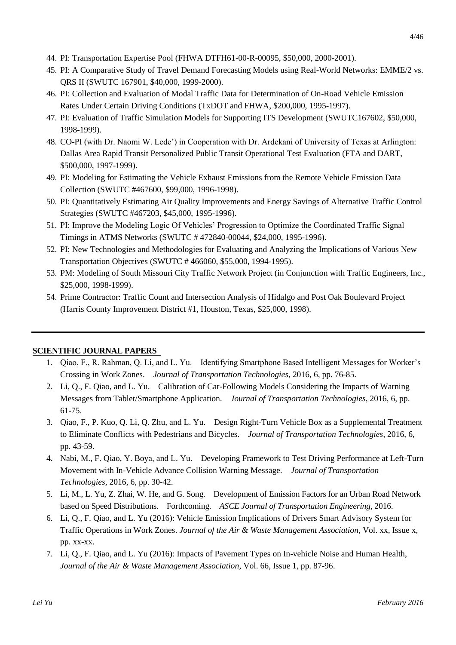- 45. PI: A Comparative Study of Travel Demand Forecasting Models using Real-World Networks: EMME/2 vs. QRS II (SWUTC 167901, \$40,000, 1999-2000).
- 46. PI: Collection and Evaluation of Modal Traffic Data for Determination of On-Road Vehicle Emission Rates Under Certain Driving Conditions (TxDOT and FHWA, \$200,000, 1995-1997).
- 47. PI: Evaluation of Traffic Simulation Models for Supporting ITS Development (SWUTC167602, \$50,000, 1998-1999).
- 48. CO-PI (with Dr. Naomi W. Lede') in Cooperation with Dr. Ardekani of University of Texas at Arlington: Dallas Area Rapid Transit Personalized Public Transit Operational Test Evaluation (FTA and DART, \$500,000, 1997-1999).
- 49. PI: Modeling for Estimating the Vehicle Exhaust Emissions from the Remote Vehicle Emission Data Collection (SWUTC #467600, \$99,000, 1996-1998).
- 50. PI: Quantitatively Estimating Air Quality Improvements and Energy Savings of Alternative Traffic Control Strategies (SWUTC #467203, \$45,000, 1995-1996).
- 51. PI: Improve the Modeling Logic Of Vehicles' Progression to Optimize the Coordinated Traffic Signal Timings in ATMS Networks (SWUTC # 472840-00044, \$24,000, 1995-1996).
- 52. PI: New Technologies and Methodologies for Evaluating and Analyzing the Implications of Various New Transportation Objectives (SWUTC # 466060, \$55,000, 1994-1995).
- 53. PM: Modeling of South Missouri City Traffic Network Project (in Conjunction with Traffic Engineers, Inc., \$25,000, 1998-1999).
- 54. Prime Contractor: Traffic Count and Intersection Analysis of Hidalgo and Post Oak Boulevard Project (Harris County Improvement District #1, Houston, Texas, \$25,000, 1998).

## **SCIENTIFIC JOURNAL PAPERS**

- 1. Qiao, F., R. Rahman, Q. Li, and L. Yu. Identifying Smartphone Based Intelligent Messages for Worker's Crossing in Work Zones. *Journal of Transportation Technologies*, 2016, 6, pp. 76-85.
- 2. Li, Q., F. Qiao, and L. Yu. Calibration of Car-Following Models Considering the Impacts of Warning Messages from Tablet/Smartphone Application. *Journal of Transportation Technologies*, 2016, 6, pp. 61-75.
- 3. Qiao, F., P. Kuo, Q. Li, Q. Zhu, and L. Yu. Design Right-Turn Vehicle Box as a Supplemental Treatment to Eliminate Conflicts with Pedestrians and Bicycles. *Journal of Transportation Technologies*, 2016, 6, pp. 43-59.
- 4. Nabi, M., F. Qiao, Y. Boya, and L. Yu. Developing Framework to Test Driving Performance at Left-Turn Movement with In-Vehicle Advance Collision Warning Message. *Journal of Transportation Technologies*, 2016, 6, pp. 30-42.
- 5. Li, M., L. Yu, Z. Zhai, W. He, and G. Song. Development of Emission Factors for an Urban Road Network based on Speed Distributions. Forthcoming. *ASCE Journal of Transportation Engineering*, 2016.
- 6. Li, Q., F. Qiao, and L. Yu (2016): Vehicle Emission Implications of Drivers Smart Advisory System for Traffic Operations in Work Zones. *Journal of the Air & Waste Management Association*, Vol. xx, Issue x, pp. xx-xx.
- 7. Li, Q., F. Qiao, and L. Yu (2016): Impacts of Pavement Types on In-vehicle Noise and Human Health, *Journal of the Air & Waste Management Association*, Vol. 66, Issue 1, pp. 87-96.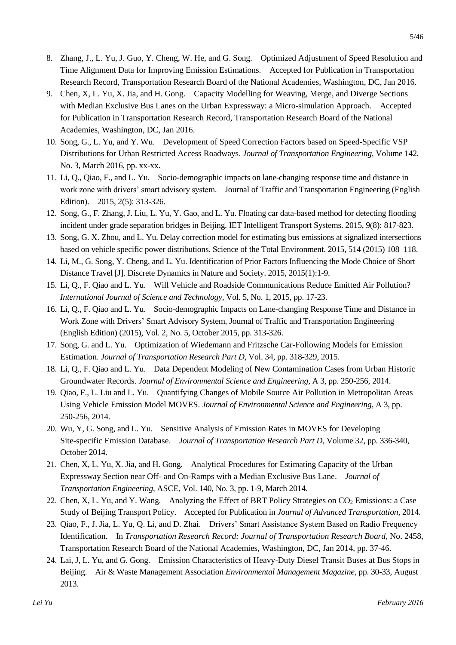- 8. Zhang, J., L. Yu, J. Guo, Y. Cheng, W. He, and G. Song. Optimized Adjustment of Speed Resolution and Time Alignment Data for Improving Emission Estimations. Accepted for Publication in Transportation Research Record, Transportation Research Board of the National Academies, Washington, DC, Jan 2016.
- 9. Chen, X, L. Yu, X. Jia, and H. Gong. Capacity Modelling for Weaving, Merge, and Diverge Sections with Median Exclusive Bus Lanes on the Urban Expressway: a Micro-simulation Approach. Accepted for Publication in Transportation Research Record, Transportation Research Board of the National Academies, Washington, DC, Jan 2016.
- 10. Song, G., L. Yu, and Y. Wu. Development of Speed Correction Factors based on Speed-Specific VSP Distributions for Urban Restricted Access Roadways. *Journal of Transportation Engineering*, Volume 142, No. 3, March 2016, pp. xx-xx.
- 11. Li, Q., Qiao, F., and L. Yu. Socio-demographic impacts on lane-changing response time and distance in work zone with drivers' smart advisory system. Journal of Traffic and Transportation Engineering (English Edition). 2015, 2(5): 313-326.
- 12. Song, G., F. Zhang, J. Liu, L. Yu, Y. Gao, and L. Yu. Floating car data-based method for detecting flooding incident under grade separation bridges in Beijing. IET Intelligent Transport Systems. 2015, 9(8): 817-823.
- 13. Song, G. X. Zhou, and L. Yu. Delay correction model for estimating bus emissions at signalized intersections based on vehicle specific power distributions. Science of the Total Environment. 2015, 514 (2015) 108–118.
- 14. Li, M., G. Song, Y. Cheng, and L. Yu. Identification of Prior Factors Influencing the Mode Choice of Short Distance Travel [J]. Discrete Dynamics in Nature and Society. 2015, 2015(1):1-9.
- 15. Li, Q., F. Qiao and L. Yu. Will Vehicle and Roadside Communications Reduce Emitted Air Pollution? *International Journal of Science and Technology*, Vol. 5, No. 1, 2015, pp. 17-23.
- 16. Li, Q., F. Qiao and L. Yu. Socio-demographic Impacts on Lane-changing Response Time and Distance in Work Zone with Drivers' Smart Advisory System, Journal of Traffic and Transportation Engineering (English Edition) (2015), Vol. 2, No. 5, October 2015, pp. 313-326.
- 17. Song, G. and L. Yu. Optimization of Wiedemann and Fritzsche Car-Following Models for Emission Estimation. *Journal of Transportation Research Part D*, Vol. 34, pp. 318-329, 2015.
- 18. Li, Q., F. Qiao and L. Yu. Data Dependent Modeling of New Contamination Cases from Urban Historic Groundwater Records. *Journal of Environmental Science and Engineering*, A 3, pp. 250-256, 2014.
- 19. Qiao, F., L. Liu and L. Yu. Quantifying Changes of Mobile Source Air Pollution in Metropolitan Areas Using Vehicle Emission Model MOVES. *Journal of Environmental Science and Engineering*, A 3, pp. 250-256, 2014.
- 20. Wu, Y, G. Song, and L. Yu. Sensitive Analysis of Emission Rates in MOVES for Developing Site-specific Emission Database. *Journal of Transportation Research Part D*, Volume 32, pp. 336-340, October 2014.
- 21. Chen, X, L. Yu, X. Jia, and H. Gong. Analytical Procedures for Estimating Capacity of the Urban Expressway Section near Off- and On-Ramps with a Median Exclusive Bus Lane. *Journal of Transportation Engineering*, ASCE, Vol. 140, No. 3, pp. 1-9, March 2014.
- 22. Chen, X, L. Yu, and Y. Wang. Analyzing the Effect of BRT Policy Strategies on  $CO<sub>2</sub>$  Emissions: a Case Study of Beijing Transport Policy. Accepted for Publication in *Journal of Advanced Transportation*, 2014.
- 23. Qiao, F., J. Jia, L. Yu, Q. Li, and D. Zhai. Drivers' Smart Assistance System Based on Radio Frequency Identification. In *Transportation Research Record: Journal of Transportation Research Board*, No. 2458, Transportation Research Board of the National Academies, Washington, DC, Jan 2014, pp. 37-46.
- 24. Lai, J, L. Yu, and G. Gong. Emission Characteristics of Heavy-Duty Diesel Transit Buses at Bus Stops in Beijing. Air & Waste Management Association *Environmental Management Magazine*, pp. 30-33, August 2013.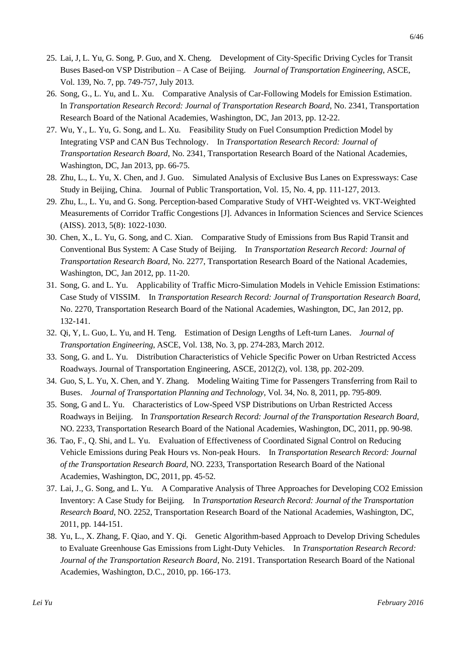- 25. Lai, J, L. Yu, G. Song, P. Guo, and X. Cheng. Development of City-Specific Driving Cycles for Transit Buses Based-on VSP Distribution – A Case of Beijing. *Journal of Transportation Engineering*, ASCE, Vol. 139, No. 7, pp. 749-757, July 2013.
- 26. Song, G., L. Yu, and L. Xu. Comparative Analysis of Car-Following Models for Emission Estimation. In *Transportation Research Record: Journal of Transportation Research Board*, No. 2341, Transportation Research Board of the National Academies, Washington, DC, Jan 2013, pp. 12-22.
- 27. Wu, Y., L. Yu, G. Song, and L. Xu. Feasibility Study on Fuel Consumption Prediction Model by Integrating VSP and CAN Bus Technology. In *Transportation Research Record: Journal of Transportation Research Board*, No. 2341, Transportation Research Board of the National Academies, Washington, DC, Jan 2013, pp. 66-75.
- 28. Zhu, L., L. Yu, X. Chen, and J. Guo. Simulated Analysis of Exclusive Bus Lanes on Expressways: Case Study in Beijing, China. Journal of Public Transportation, Vol. 15, No. 4, pp. 111-127, 2013.
- 29. Zhu, L., L. Yu, and G. Song. Perception-based Comparative Study of VHT-Weighted vs. VKT-Weighted Measurements of Corridor Traffic Congestions [J]. Advances in Information Sciences and Service Sciences (AISS). 2013, 5(8): 1022-1030.
- 30. Chen, X., L. Yu, G. Song, and C. Xian. Comparative Study of Emissions from Bus Rapid Transit and Conventional Bus System: A Case Study of Beijing. In *Transportation Research Record: Journal of Transportation Research Board*, No. 2277, Transportation Research Board of the National Academies, Washington, DC, Jan 2012, pp. 11-20.
- 31. Song, G. and L. Yu. Applicability of Traffic Micro-Simulation Models in Vehicle Emission Estimations: Case Study of VISSIM. In *Transportation Research Record: Journal of Transportation Research Board*, No. 2270, Transportation Research Board of the National Academies, Washington, DC, Jan 2012, pp. 132-141.
- 32. Qi, Y, L. Guo, L. Yu, and H. Teng. Estimation of Design Lengths of Left-turn Lanes. *Journal of Transportation Engineering*, ASCE, Vol. 138, No. 3, pp. 274-283, March 2012.
- 33. Song, G. and L. Yu. Distribution Characteristics of Vehicle Specific Power on Urban Restricted Access Roadways. Journal of Transportation Engineering, ASCE, 2012(2), vol. 138, pp. 202-209.
- 34. Guo, S, L. Yu, X. Chen, and Y. Zhang. Modeling Waiting Time for Passengers Transferring from Rail to Buses. *Journal of Transportation Planning and Technology*, Vol. 34, No. 8, 2011, pp. 795-809.
- 35. Song, G and L. Yu. Characteristics of Low-Speed VSP Distributions on Urban Restricted Access Roadways in Beijing. In *Transportation Research Record: Journal of the Transportation Research Board*, NO. 2233, Transportation Research Board of the National Academies, Washington, DC, 2011, pp. 90-98.
- 36. Tao, F., Q. Shi, and L. Yu. Evaluation of Effectiveness of Coordinated Signal Control on Reducing Vehicle Emissions during Peak Hours vs. Non-peak Hours. In *Transportation Research Record: Journal of the Transportation Research Board*, NO. 2233, Transportation Research Board of the National Academies, Washington, DC, 2011, pp. 45-52.
- 37. Lai, J., G. Song, and L. Yu. A Comparative Analysis of Three Approaches for Developing CO2 Emission Inventory: A Case Study for Beijing. In *Transportation Research Record: Journal of the Transportation Research Board*, NO. 2252, Transportation Research Board of the National Academies, Washington, DC, 2011, pp. 144-151.
- 38. Yu, L., X. Zhang, F. Qiao, and Y. Qi. Genetic Algorithm-based Approach to Develop Driving Schedules to Evaluate Greenhouse Gas Emissions from Light-Duty Vehicles. In *Transportation Research Record: Journal of the Transportation Research Board*, No. 2191. Transportation Research Board of the National Academies, Washington, D.C., 2010, pp. 166-173.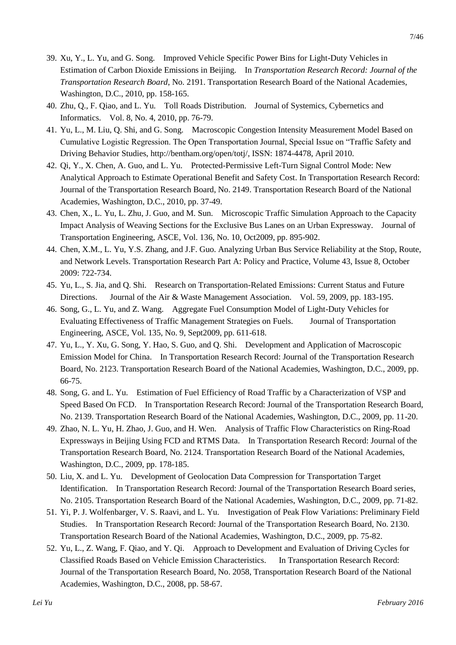- 39. Xu, Y., L. Yu, and G. Song. Improved Vehicle Specific Power Bins for Light-Duty Vehicles in Estimation of Carbon Dioxide Emissions in Beijing. In *Transportation Research Record: Journal of the Transportation Research Board*, No. 2191. Transportation Research Board of the National Academies, Washington, D.C., 2010, pp. 158-165.
- 40. Zhu, Q., F. Qiao, and L. Yu. Toll Roads Distribution. Journal of Systemics, Cybernetics and Informatics. Vol. 8, No. 4, 2010, pp. 76-79.
- 41. Yu, L., M. Liu, Q. Shi, and G. Song. Macroscopic Congestion Intensity Measurement Model Based on Cumulative Logistic Regression. The Open Transportation Journal, Special Issue on "Traffic Safety and Driving Behavior Studies, [http://bentham.org/open/totj/,](http://bentham.org/open/totj/) ISSN: 1874-4478, April 2010.
- 42. Qi, Y., X. Chen, A. Guo, and L. Yu. Protected-Permissive Left-Turn Signal Control Mode: New Analytical Approach to Estimate Operational Benefit and Safety Cost. In Transportation Research Record: Journal of the Transportation Research Board, No. 2149. Transportation Research Board of the National Academies, Washington, D.C., 2010, pp. 37-49.
- 43. Chen, X., L. Yu, L. Zhu, J. Guo, and M. Sun. Microscopic Traffic Simulation Approach to the Capacity Impact Analysis of Weaving Sections for the Exclusive Bus Lanes on an Urban Expressway. Journal of Transportation Engineering, ASCE, Vol. 136, No. 10, Oct2009, pp. 895-902.
- 44. Chen, X.M., L. Yu, Y.S. Zhang, and J.F. Guo. Analyzing Urban Bus Service Reliability at the Stop, Route, and Network Levels. Transportation Research Part A: Policy and Practice, Volume 43, Issue 8, October 2009: 722-734.
- 45. Yu, L., S. Jia, and Q. Shi. Research on Transportation-Related Emissions: Current Status and Future Directions. Journal of the Air & Waste Management Association. Vol. 59, 2009, pp. 183-195.
- 46. Song, G., L. Yu, and Z. Wang. Aggregate Fuel Consumption Model of Light-Duty Vehicles for Evaluating Effectiveness of Traffic Management Strategies on Fuels. Journal of Transportation Engineering, ASCE, Vol. 135, No. 9, Sept2009, pp. 611-618.
- 47. Yu, L., Y. Xu, G. Song, Y. Hao, S. Guo, and Q. Shi. Development and Application of Macroscopic Emission Model for China. In Transportation Research Record: Journal of the Transportation Research Board, No. 2123. Transportation Research Board of the National Academies, Washington, D.C., 2009, pp. 66-75.
- 48. Song, G. and L. Yu. Estimation of Fuel Efficiency of Road Traffic by a Characterization of VSP and Speed Based On FCD. In Transportation Research Record: Journal of the Transportation Research Board, No. 2139. Transportation Research Board of the National Academies, Washington, D.C., 2009, pp. 11-20.
- 49. Zhao, N. L. Yu, H. Zhao, J. Guo, and H. Wen. Analysis of Traffic Flow Characteristics on Ring-Road Expressways in Beijing Using FCD and RTMS Data. In Transportation Research Record: Journal of the Transportation Research Board, No. 2124. Transportation Research Board of the National Academies, Washington, D.C., 2009, pp. 178-185.
- 50. Liu, X. and L. Yu. Development of Geolocation Data Compression for Transportation Target Identification. In Transportation Research Record: Journal of the Transportation Research Board series, No. 2105. Transportation Research Board of the National Academies, Washington, D.C., 2009, pp. 71-82.
- 51. Yi, P. J. Wolfenbarger, V. S. Raavi, and L. Yu. Investigation of Peak Flow Variations: Preliminary Field Studies. In Transportation Research Record: Journal of the Transportation Research Board, No. 2130. Transportation Research Board of the National Academies, Washington, D.C., 2009, pp. 75-82.
- 52. Yu, L., Z. Wang, F. Qiao, and Y. Qi. Approach to Development and Evaluation of Driving Cycles for Classified Roads Based on Vehicle Emission Characteristics. In Transportation Research Record: Journal of the Transportation Research Board, No. 2058, Transportation Research Board of the National Academies, Washington, D.C., 2008, pp. 58-67.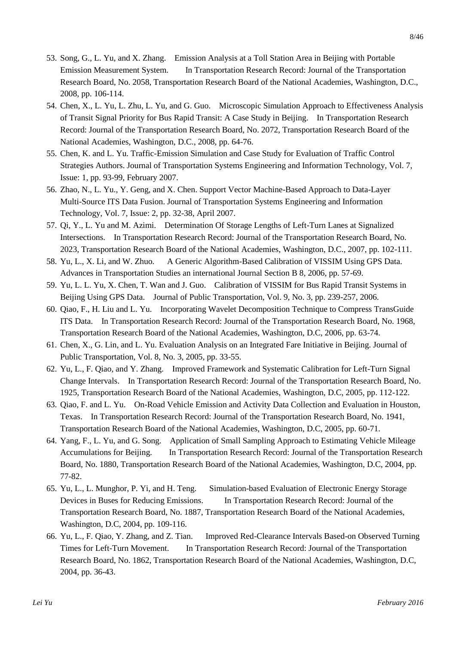- 53. Song, G., L. Yu, and X. Zhang. Emission Analysis at a Toll Station Area in Beijing with Portable Emission Measurement System. In Transportation Research Record: Journal of the Transportation Research Board, No. 2058, Transportation Research Board of the National Academies, Washington, D.C., 2008, pp. 106-114.
- 54. Chen, X., L. Yu, L. Zhu, L. Yu, and G. Guo. Microscopic Simulation Approach to Effectiveness Analysis of Transit Signal Priority for Bus Rapid Transit: A Case Study in Beijing. In Transportation Research Record: Journal of the Transportation Research Board, No. 2072, Transportation Research Board of the National Academies, Washington, D.C., 2008, pp. 64-76.
- 55. Chen, K. and L. Yu. Traffic-Emission Simulation and Case Study for Evaluation of Traffic Control Strategies Authors. Journal of Transportation Systems Engineering and Information Technology, Vol. 7, Issue: 1, pp. 93-99, February 2007.
- 56. Zhao, N., L. Yu., Y. Geng, and X. Chen. Support Vector Machine-Based Approach to Data-Layer Multi-Source ITS Data Fusion. Journal of Transportation Systems Engineering and Information Technology, Vol. 7, Issue: 2, pp. 32-38, April 2007.
- 57. Qi, Y., L. Yu and M. Azimi. Determination Of Storage Lengths of Left-Turn Lanes at Signalized Intersections. In Transportation Research Record: Journal of the Transportation Research Board, No. 2023, Transportation Research Board of the National Academies, Washington, D.C., 2007, pp. 102-111.
- 58. Yu, L., X. Li, and W. Zhuo. A Generic Algorithm-Based Calibration of VISSIM Using GPS Data. Advances in Transportation Studies an international Journal Section B 8, 2006, pp. 57-69.
- 59. Yu, L. L. Yu, X. Chen, T. Wan and J. Guo. Calibration of VISSIM for Bus Rapid Transit Systems in Beijing Using GPS Data. Journal of Public Transportation, Vol. 9, No. 3, pp. 239-257, 2006.
- 60. Qiao, F., H. Liu and L. Yu. Incorporating Wavelet Decomposition Technique to Compress TransGuide ITS Data. In Transportation Research Record: Journal of the Transportation Research Board, No. 1968, Transportation Research Board of the National Academies, Washington, D.C, 2006, pp. 63-74.
- 61. Chen, X., G. Lin, and L. Yu. Evaluation Analysis on an Integrated Fare Initiative in Beijing. Journal of Public Transportation, Vol. 8, No. 3, 2005, pp. 33-55.
- 62. Yu, L., F. Qiao, and Y. Zhang. Improved Framework and Systematic Calibration for Left-Turn Signal Change Intervals. In Transportation Research Record: Journal of the Transportation Research Board, No. 1925, Transportation Research Board of the National Academies, Washington, D.C, 2005, pp. 112-122.
- 63. Qiao, F. and L. Yu. On-Road Vehicle Emission and Activity Data Collection and Evaluation in Houston, Texas. In Transportation Research Record: Journal of the Transportation Research Board, No. 1941, Transportation Research Board of the National Academies, Washington, D.C, 2005, pp. 60-71.
- 64. Yang, F., L. Yu, and G. Song. Application of Small Sampling Approach to Estimating Vehicle Mileage Accumulations for Beijing. In Transportation Research Record: Journal of the Transportation Research Board, No. 1880, Transportation Research Board of the National Academies, Washington, D.C, 2004, pp. 77-82.
- 65. Yu, L., L. Munghor, P. Yi, and H. Teng. Simulation-based Evaluation of Electronic Energy Storage Devices in Buses for Reducing Emissions. In Transportation Research Record: Journal of the Transportation Research Board, No. 1887, Transportation Research Board of the National Academies, Washington, D.C, 2004, pp. 109-116.
- 66. Yu, L., F. Qiao, Y. Zhang, and Z. Tian. Improved Red-Clearance Intervals Based-on Observed Turning Times for Left-Turn Movement. In Transportation Research Record: Journal of the Transportation Research Board, No. 1862, Transportation Research Board of the National Academies, Washington, D.C, 2004, pp. 36-43.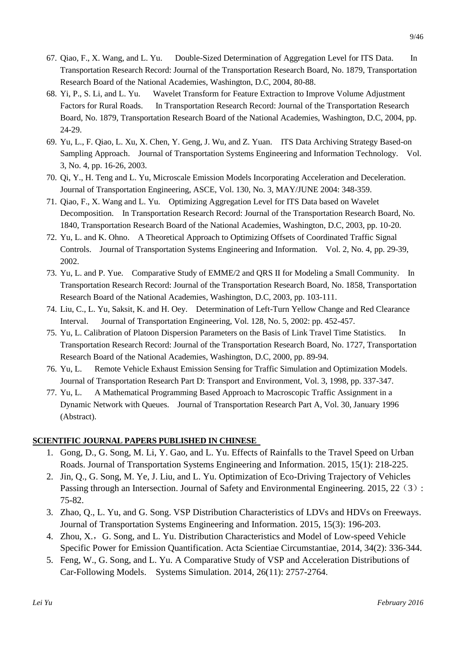- 67. Qiao, F., X. Wang, and L. Yu. Double-Sized Determination of Aggregation Level for ITS Data. In Transportation Research Record: Journal of the Transportation Research Board, No. 1879, Transportation Research Board of the National Academies, Washington, D.C, 2004, 80-88.
- 68. Yi, P., S. Li, and L. Yu. Wavelet Transform for Feature Extraction to Improve Volume Adjustment Factors for Rural Roads. In Transportation Research Record: Journal of the Transportation Research Board, No. 1879, Transportation Research Board of the National Academies, Washington, D.C, 2004, pp. 24-29.
- 69. Yu, L., F. Qiao, L. Xu, X. Chen, Y. Geng, J. Wu, and Z. Yuan. ITS Data Archiving Strategy Based-on Sampling Approach. Journal of Transportation Systems Engineering and Information Technology. Vol. 3, No. 4, pp. 16-26, 2003.
- 70. Qi, Y., H. Teng and L. Yu, Microscale Emission Models Incorporating Acceleration and Deceleration. Journal of Transportation Engineering, ASCE, Vol. 130, No. 3, MAY/JUNE 2004: 348-359.
- 71. Qiao, F., X. Wang and L. Yu. Optimizing Aggregation Level for ITS Data based on Wavelet Decomposition. In Transportation Research Record: Journal of the Transportation Research Board, No. 1840, Transportation Research Board of the National Academies, Washington, D.C, 2003, pp. 10-20.
- 72. Yu, L. and K. Ohno. A Theoretical Approach to Optimizing Offsets of Coordinated Traffic Signal Controls. Journal of Transportation Systems Engineering and Information. Vol. 2, No. 4, pp. 29-39, 2002.
- 73. Yu, L. and P. Yue. Comparative Study of EMME/2 and QRS II for Modeling a Small Community. In Transportation Research Record: Journal of the Transportation Research Board, No. 1858, Transportation Research Board of the National Academies, Washington, D.C, 2003, pp. 103-111.
- 74. Liu, C., L. Yu, Saksit, K. and H. Oey. Determination of Left-Turn Yellow Change and Red Clearance Interval. Journal of Transportation Engineering, Vol. 128, No. 5, 2002: pp. 452-457.
- 75. Yu, L. Calibration of Platoon Dispersion Parameters on the Basis of Link Travel Time Statistics. In Transportation Research Record: Journal of the Transportation Research Board, No. 1727, Transportation Research Board of the National Academies, Washington, D.C, 2000, pp. 89-94.
- 76. Yu, L. Remote Vehicle Exhaust Emission Sensing for Traffic Simulation and Optimization Models. Journal of Transportation Research Part D: Transport and Environment, Vol. 3, 1998, pp. 337-347.
- 77. Yu, L. A Mathematical Programming Based Approach to Macroscopic Traffic Assignment in a Dynamic Network with Queues. Journal of Transportation Research Part A, Vol. 30, January 1996 (Abstract).

## **SCIENTIFIC JOURNAL PAPERS PUBLISHED IN CHINESE**

- 1. Gong, D., G. Song, M. Li, Y. Gao, and L. Yu. Effects of Rainfalls to the Travel Speed on Urban Roads. Journal of Transportation Systems Engineering and Information. 2015, 15(1): 218-225.
- 2. Jin, Q., G. Song, M. Ye, J. Liu, and L. Yu. Optimization of Eco-Driving Trajectory of Vehicles Passing through an Intersection. Journal of Safety and Environmental Engineering. 2015, 22 (3): 75-82.
- 3. Zhao, Q., L. Yu, and G. Song. VSP Distribution Characteristics of LDVs and HDVs on Freeways. Journal of Transportation Systems Engineering and Information. 2015, 15(3): 196-203.
- 4. Zhou, X., G. Song, and L. Yu. Distribution Characteristics and Model of Low-speed Vehicle Specific Power for Emission Quantification. Acta Scientiae Circumstantiae, 2014, 34(2): 336-344.
- 5. Feng, W., G. Song, and L. Yu. A Comparative Study of VSP and Acceleration Distributions of Car-Following Models. Systems Simulation. 2014, 26(11): 2757-2764.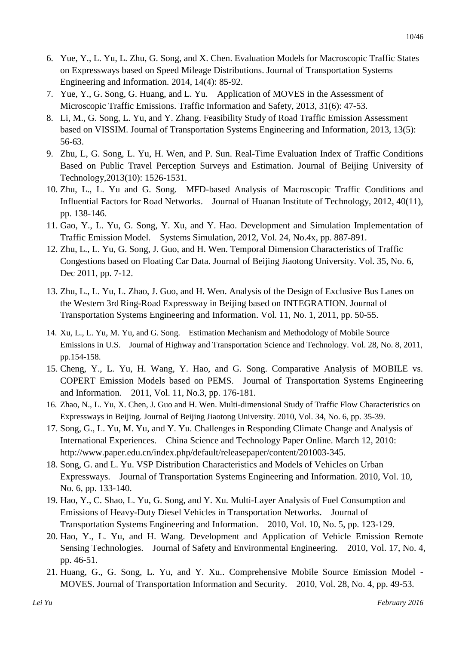- 6. Yue, Y., L. Yu, L. Zhu, G. Song, and X. Chen. Evaluation Models for Macroscopic Traffic States on Expressways based on Speed Mileage Distributions. Journal of Transportation Systems Engineering and Information. 2014, 14(4): 85-92.
- 7. Yue, Y., G. Song, G. Huang, and L. Yu. Application of MOVES in the Assessment of Microscopic Traffic Emissions. Traffic Information and Safety, 2013, 31(6): 47-53.
- 8. Li, M., G. Song, L. Yu, and Y. Zhang. Feasibility Study of Road Traffic Emission Assessment based on VISSIM. Journal of Transportation Systems Engineering and Information, 2013, 13(5): 56-63.
- 9. Zhu, L, G. Song, L. Yu, H. Wen, and P. Sun. Real-Time Evaluation Index of Traffic Conditions Based on Public Travel Perception Surveys and Estimation. Journal of Beijing University of Technology,2013(10): 1526-1531.
- 10. Zhu, L., L. Yu and G. Song. MFD-based Analysis of Macroscopic Traffic Conditions and Influential Factors for Road Networks. Journal of Huanan Institute of Technology, 2012, 40(11), pp. 138-146.
- 11. Gao, Y., L. Yu, G. Song, Y. Xu, and Y. Hao. Development and Simulation Implementation of Traffic Emission Model. Systems Simulation, 2012, Vol. 24, No.4x, pp. 887-891.
- 12. Zhu, L., L. Yu, G. Song, J. Guo, and H. Wen. Temporal Dimension Characteristics of Traffic Congestions based on Floating Car Data. Journal of Beijing Jiaotong University. Vol. 35, No. 6, Dec 2011, pp. 7-12.
- 13. Zhu, L., L. Yu, L. Zhao, J. Guo, and H. Wen. Analysis of the Design of Exclusive Bus Lanes on the Western 3rd Ring-Road Expressway in Beijing based on INTEGRATION. Journal of Transportation Systems Engineering and Information. Vol. 11, No. 1, 2011, pp. 50-55.
- 14. Xu, L., L. Yu, M. Yu, and G. Song. Estimation Mechanism and Methodology of Mobile Source Emissions in U.S. Journal of Highway and Transportation Science and Technology. Vol. 28, No. 8, 2011, pp.154-158.
- 15. Cheng, Y., L. Yu, H. Wang, Y. Hao, and G. Song. Comparative Analysis of MOBILE vs. COPERT Emission Models based on PEMS. Journal of Transportation Systems Engineering and Information. 2011, Vol. 11, No.3, pp. 176-181.
- 16. Zhao, N., L. Yu, X. Chen, J. Guo and H. Wen. Multi-dimensional Study of Traffic Flow Characteristics on Expressways in Beijing. Journal of Beijing Jiaotong University. 2010, Vol. 34, No. 6, pp. 35-39.
- 17. Song, G., L. Yu, M. Yu, and Y. Yu. Challenges in Responding Climate Change and Analysis of International Experiences. China Science and Technology Paper Online. March 12, 2010: [http://www.paper.edu.cn/index.php/default/releasepaper/content/201003-345.](http://www.paper.edu.cn/index.php/default/releasepaper/content/201003-345)
- 18. Song, G. and L. Yu. VSP Distribution Characteristics and Models of Vehicles on Urban Expressways. Journal of Transportation Systems Engineering and Information. 2010, Vol. 10, No. 6, pp. 133-140.
- 19. Hao, Y., C. Shao, L. Yu, G. Song, and Y. Xu. Multi-Layer Analysis of Fuel Consumption and Emissions of Heavy-Duty Diesel Vehicles in Transportation Networks. Journal of Transportation Systems Engineering and Information. 2010, Vol. 10, No. 5, pp. 123-129.
- 20. Hao, Y., L. Yu, and H. Wang. Development and Application of Vehicle Emission Remote Sensing Technologies. Journal of Safety and Environmental Engineering. 2010, Vol. 17, No. 4, pp. 46-51.
- 21. Huang, G., G. Song, L. Yu, and Y. Xu.. Comprehensive Mobile Source Emission Model MOVES. Journal of Transportation Information and Security. 2010, Vol. 28, No. 4, pp. 49-53.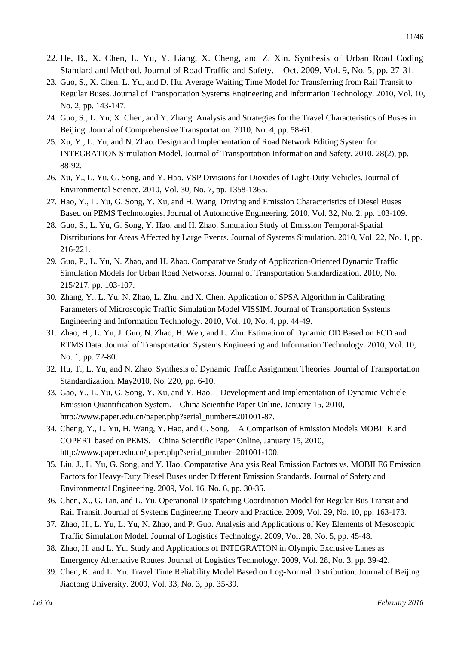- 22. He, B., X. Chen, L. Yu, Y. Liang, X. Cheng, and Z. Xin. Synthesis of Urban Road Coding Standard and Method. Journal of Road Traffic and Safety. Oct. 2009, Vol. 9, No. 5, pp. 27-31.
- 23. Guo, S., X. Chen, L. Yu, and D. Hu. Average Waiting Time Model for Transferring from Rail Transit to Regular Buses. Journal of Transportation Systems Engineering and Information Technology. 2010, Vol. 10, No. 2, pp. 143-147.
- 24. Guo, S., L. Yu, X. Chen, and Y. Zhang. Analysis and Strategies for the Travel Characteristics of Buses in Beijing. Journal of Comprehensive Transportation. 2010, No. 4, pp. 58-61.
- 25. Xu, Y., L. Yu, and N. Zhao. Design and Implementation of Road Network Editing System for INTEGRATION Simulation Model. Journal of Transportation Information and Safety. 2010, 28(2), pp. 88-92.
- 26. Xu, Y., L. Yu, G. Song, and Y. Hao. VSP Divisions for Dioxides of Light-Duty Vehicles. Journal of Environmental Science. 2010, Vol. 30, No. 7, pp. 1358-1365.
- 27. Hao, Y., L. Yu, G. Song, Y. Xu, and H. Wang. Driving and Emission Characteristics of Diesel Buses Based on PEMS Technologies. Journal of Automotive Engineering. 2010, Vol. 32, No. 2, pp. 103-109.
- 28. Guo, S., L. Yu, G. Song, Y. Hao, and H. Zhao. Simulation Study of Emission Temporal-Spatial Distributions for Areas Affected by Large Events. Journal of Systems Simulation. 2010, Vol. 22, No. 1, pp. 216-221.
- 29. Guo, P., L. Yu, N. Zhao, and H. Zhao. Comparative Study of Application-Oriented Dynamic Traffic Simulation Models for Urban Road Networks. Journal of Transportation Standardization. 2010, No. 215/217, pp. 103-107.
- 30. Zhang, Y., L. Yu, N. Zhao, L. Zhu, and X. Chen. Application of SPSA Algorithm in Calibrating Parameters of Microscopic Traffic Simulation Model VISSIM. Journal of Transportation Systems Engineering and Information Technology. 2010, Vol. 10, No. 4, pp. 44-49.
- 31. Zhao, H., L. Yu, J. Guo, N. Zhao, H. Wen, and L. Zhu. Estimation of Dynamic OD Based on FCD and RTMS Data. Journal of Transportation Systems Engineering and Information Technology. 2010, Vol. 10, No. 1, pp. 72-80.
- 32. Hu, T., L. Yu, and N. Zhao. Synthesis of Dynamic Traffic Assignment Theories. Journal of Transportation Standardization. May2010, No. 220, pp. 6-10.
- 33. Gao, Y., L. Yu, G. Song, Y. Xu, and Y. Hao. Development and Implementation of Dynamic Vehicle Emission Quantification System. China Scientific Paper Online, January 15, 2010, http://www.paper.edu.cn/paper.php?serial\_number=201001-87.
- 34. Cheng, Y., L. Yu, H. Wang, Y. Hao, and G. Song. A Comparison of Emission Models MOBILE and COPERT based on PEMS. China Scientific Paper Online, January 15, 2010, http://www.paper.edu.cn/paper.php?serial\_number=201001-100.
- 35. Liu, J., L. Yu, G. Song, and Y. Hao. Comparative Analysis Real Emission Factors vs. MOBILE6 Emission Factors for Heavy-Duty Diesel Buses under Different Emission Standards. Journal of Safety and Environmental Engineering. 2009, Vol. 16, No. 6, pp. 30-35.
- 36. Chen, X., G. Lin, and L. Yu. Operational Dispatching Coordination Model for Regular Bus Transit and Rail Transit. Journal of Systems Engineering Theory and Practice. 2009, Vol. 29, No. 10, pp. 163-173.
- 37. Zhao, H., L. Yu, L. Yu, N. Zhao, and P. Guo. Analysis and Applications of Key Elements of Mesoscopic Traffic Simulation Model. Journal of Logistics Technology. 2009, Vol. 28, No. 5, pp. 45-48.
- 38. Zhao, H. and L. Yu. Study and Applications of INTEGRATION in Olympic Exclusive Lanes as Emergency Alternative Routes. Journal of Logistics Technology. 2009, Vol. 28, No. 3, pp. 39-42.
- 39. Chen, K. and L. Yu. Travel Time Reliability Model Based on Log-Normal Distribution. Journal of Beijing Jiaotong University. 2009, Vol. 33, No. 3, pp. 35-39.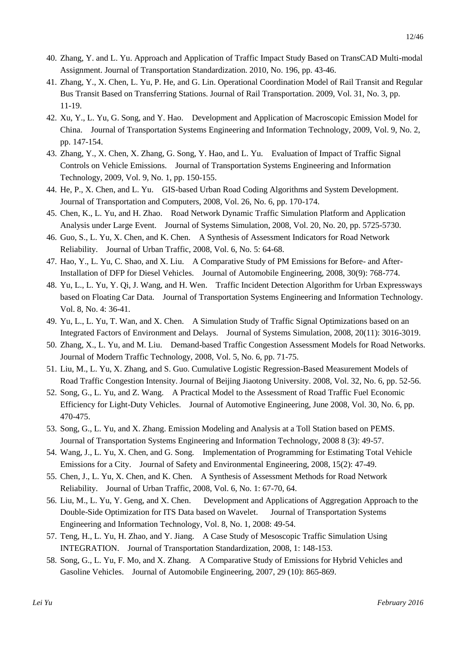- 40. Zhang, Y. and L. Yu. Approach and Application of Traffic Impact Study Based on TransCAD Multi-modal Assignment. Journal of Transportation Standardization. 2010, No. 196, pp. 43-46.
- 41. Zhang, Y., X. Chen, L. Yu, P. He, and G. Lin. Operational Coordination Model of Rail Transit and Regular Bus Transit Based on Transferring Stations. Journal of Rail Transportation. 2009, Vol. 31, No. 3, pp. 11-19.
- 42. Xu, Y., L. Yu, G. Song, and Y. Hao. Development and Application of Macroscopic Emission Model for China. Journal of Transportation Systems Engineering and Information Technology, 2009, Vol. 9, No. 2, pp. 147-154.
- 43. Zhang, Y., X. Chen, X. Zhang, G. Song, Y. Hao, and L. Yu. Evaluation of Impact of Traffic Signal Controls on Vehicle Emissions. Journal of Transportation Systems Engineering and Information Technology, 2009, Vol. 9, No. 1, pp. 150-155.
- 44. He, P., X. Chen, and L. Yu. GIS-based Urban Road Coding Algorithms and System Development. Journal of Transportation and Computers, 2008, Vol. 26, No. 6, pp. 170-174.
- 45. Chen, K., L. Yu, and H. Zhao. Road Network Dynamic Traffic Simulation Platform and Application Analysis under Large Event. Journal of Systems Simulation, 2008, Vol. 20, No. 20, pp. 5725-5730.
- 46. Guo, S., L. Yu, X. Chen, and K. Chen. A Synthesis of Assessment Indicators for Road Network Reliability. Journal of Urban Traffic, 2008, Vol. 6, No. 5: 64-68.
- 47. Hao, Y., L. Yu, C. Shao, and X. Liu. A Comparative Study of PM Emissions for Before- and After-Installation of DFP for Diesel Vehicles. Journal of Automobile Engineering, 2008, 30(9): 768-774.
- 48. Yu, L., L. Yu, Y. Qi, J. Wang, and H. Wen. Traffic Incident Detection Algorithm for Urban Expressways based on Floating Car Data. Journal of Transportation Systems Engineering and Information Technology. Vol. 8, No. 4: 36-41.
- 49. Yu, L., L. Yu, T. Wan, and X. Chen. A Simulation Study of Traffic Signal Optimizations based on an Integrated Factors of Environment and Delays. Journal of Systems Simulation, 2008, 20(11): 3016-3019.
- 50. Zhang, X., L. Yu, and M. Liu. Demand-based Traffic Congestion Assessment Models for Road Networks. Journal of Modern Traffic Technology, 2008, Vol. 5, No. 6, pp. 71-75.
- 51. Liu, M., L. Yu, X. Zhang, and S. Guo. Cumulative Logistic Regression-Based Measurement Models of Road Traffic Congestion Intensity. Journal of Beijing Jiaotong University. 2008, Vol. 32, No. 6, pp. 52-56.
- 52. Song, G., L. Yu, and Z. Wang. A Practical Model to the Assessment of Road Traffic Fuel Economic Efficiency for Light-Duty Vehicles. Journal of Automotive Engineering, June 2008, Vol. 30, No. 6, pp. 470-475.
- 53. Song, G., L. Yu, and X. Zhang. Emission Modeling and Analysis at a Toll Station based on PEMS. Journal of Transportation Systems Engineering and Information Technology, 2008 8 (3): 49-57.
- 54. Wang, J., L. Yu, X. Chen, and G. Song. Implementation of Programming for Estimating Total Vehicle Emissions for a City. Journal of Safety and Environmental Engineering, 2008, 15(2): 47-49.
- 55. Chen, J., L. Yu, X. Chen, and K. Chen. A Synthesis of Assessment Methods for Road Network Reliability. Journal of Urban Traffic, 2008, Vol. 6, No. 1: 67-70, 64.
- 56. Liu, M., L. Yu, Y. Geng, and X. Chen. Development and Applications of Aggregation Approach to the Double-Side Optimization for ITS Data based on Wavelet. Journal of Transportation Systems Engineering and Information Technology, Vol. 8, No. 1, 2008: 49-54.
- 57. Teng, H., L. Yu, H. Zhao, and Y. Jiang. A Case Study of Mesoscopic Traffic Simulation Using INTEGRATION. Journal of Transportation Standardization, 2008, 1: 148-153.
- 58. Song, G., L. Yu, F. Mo, and X. Zhang. A Comparative Study of Emissions for Hybrid Vehicles and Gasoline Vehicles. Journal of Automobile Engineering, 2007, 29 (10): 865-869.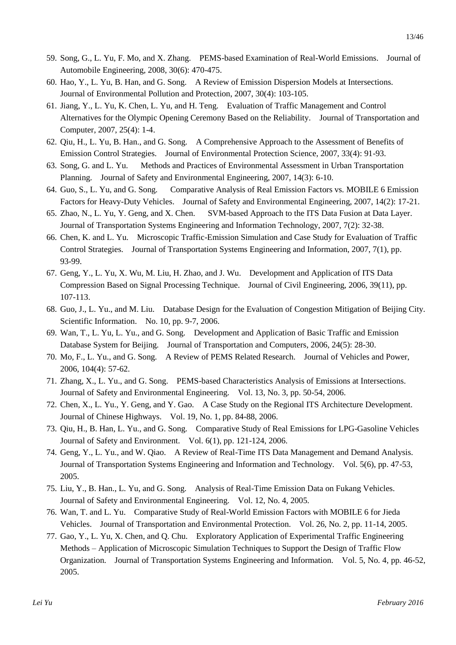- 59. Song, G., L. Yu, F. Mo, and X. Zhang. PEMS-based Examination of Real-World Emissions. Journal of Automobile Engineering, 2008, 30(6): 470-475.
- 60. Hao, Y., L. Yu, B. Han, and G. Song. A Review of Emission Dispersion Models at Intersections. Journal of Environmental Pollution and Protection, 2007, 30(4): 103-105.
- 61. Jiang, Y., L. Yu, K. Chen, L. Yu, and H. Teng. Evaluation of Traffic Management and Control Alternatives for the Olympic Opening Ceremony Based on the Reliability. Journal of Transportation and Computer, 2007, 25(4): 1-4.
- 62. Qiu, H., L. Yu, B. Han., and G. Song. A Comprehensive Approach to the Assessment of Benefits of Emission Control Strategies. Journal of Environmental Protection Science, 2007, 33(4): 91-93.
- 63. Song, G. and L. Yu. Methods and Practices of Environmental Assessment in Urban Transportation Planning. Journal of Safety and Environmental Engineering, 2007, 14(3): 6-10.
- 64. Guo, S., L. Yu, and G. Song. Comparative Analysis of Real Emission Factors vs. MOBILE 6 Emission Factors for Heavy-Duty Vehicles. Journal of Safety and Environmental Engineering, 2007, 14(2): 17-21.
- 65. Zhao, N., L. Yu, Y. Geng, and X. Chen. SVM-based Approach to the ITS Data Fusion at Data Layer. Journal of Transportation Systems Engineering and Information Technology, 2007, 7(2): 32-38.
- 66. Chen, K. and L. Yu. Microscopic Traffic-Emission Simulation and Case Study for Evaluation of Traffic Control Strategies. Journal of Transportation Systems Engineering and Information, 2007, 7(1), pp. 93-99.
- 67. Geng, Y., L. Yu, X. Wu, M. Liu, H. Zhao, and J. Wu. Development and Application of ITS Data Compression Based on Signal Processing Technique. Journal of Civil Engineering, 2006, 39(11), pp. 107-113.
- 68. Guo, J., L. Yu., and M. Liu. Database Design for the Evaluation of Congestion Mitigation of Beijing City. Scientific Information. No. 10, pp. 9-7, 2006.
- 69. Wan, T., L. Yu, L. Yu., and G. Song. Development and Application of Basic Traffic and Emission Database System for Beijing. Journal of Transportation and Computers, 2006, 24(5): 28-30.
- 70. Mo, F., L. Yu., and G. Song. A Review of PEMS Related Research. Journal of Vehicles and Power, 2006, 104(4): 57-62.
- 71. Zhang, X., L. Yu., and G. Song. PEMS-based Characteristics Analysis of Emissions at Intersections. Journal of Safety and Environmental Engineering. Vol. 13, No. 3, pp. 50-54, 2006.
- 72. Chen, X., L. Yu., Y. Geng, and Y. Gao. A Case Study on the Regional ITS Architecture Development. Journal of Chinese Highways. Vol. 19, No. 1, pp. 84-88, 2006.
- 73. Qiu, H., B. Han, L. Yu., and G. Song. Comparative Study of Real Emissions for LPG-Gasoline Vehicles Journal of Safety and Environment. Vol. 6(1), pp. 121-124, 2006.
- 74. Geng, Y., L. Yu., and W. Qiao. A Review of Real-Time ITS Data Management and Demand Analysis. Journal of Transportation Systems Engineering and Information and Technology. Vol. 5(6), pp. 47-53, 2005.
- 75. Liu, Y., B. Han., L. Yu, and G. Song. Analysis of Real-Time Emission Data on Fukang Vehicles. Journal of Safety and Environmental Engineering. Vol. 12, No. 4, 2005.
- 76. Wan, T. and L. Yu. Comparative Study of Real-World Emission Factors with MOBILE 6 for Jieda Vehicles. Journal of Transportation and Environmental Protection. Vol. 26, No. 2, pp. 11-14, 2005.
- 77. Gao, Y., L. Yu, X. Chen, and Q. Chu. Exploratory Application of Experimental Traffic Engineering Methods – Application of Microscopic Simulation Techniques to Support the Design of Traffic Flow Organization. Journal of Transportation Systems Engineering and Information. Vol. 5, No. 4, pp. 46-52, 2005.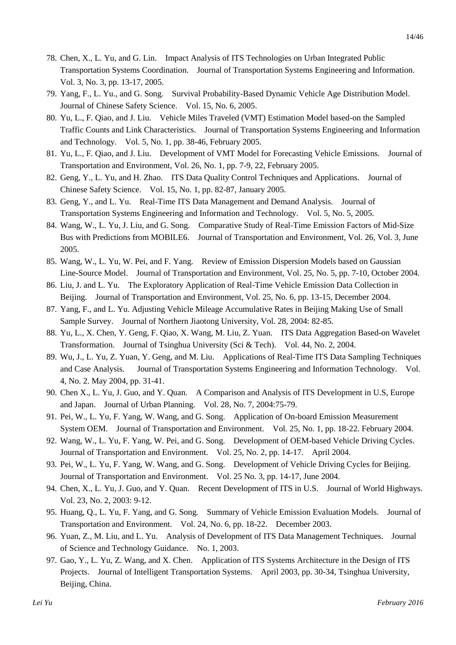- 78. Chen, X., L. Yu, and G. Lin. Impact Analysis of ITS Technologies on Urban Integrated Public Transportation Systems Coordination. Journal of Transportation Systems Engineering and Information. Vol. 3, No. 3, pp. 13-17, 2005.
- 79. Yang, F., L. Yu., and G. Song. Survival Probability-Based Dynamic Vehicle Age Distribution Model. Journal of Chinese Safety Science. Vol. 15, No. 6, 2005.
- 80. Yu, L., F. Qiao, and J. Liu. Vehicle Miles Traveled (VMT) Estimation Model based-on the Sampled Traffic Counts and Link Characteristics. Journal of Transportation Systems Engineering and Information and Technology. Vol. 5, No. 1, pp. 38-46, February 2005.
- 81. Yu, L., F. Qiao, and J. Liu. Development of VMT Model for Forecasting Vehicle Emissions. Journal of Transportation and Environment, Vol. 26, No. 1, pp. 7-9, 22, February 2005.
- 82. Geng, Y., L. Yu, and H. Zhao. ITS Data Quality Control Techniques and Applications. Journal of Chinese Safety Science. Vol. 15, No. 1, pp. 82-87, January 2005.
- 83. Geng, Y., and L. Yu. Real-Time ITS Data Management and Demand Analysis. Journal of Transportation Systems Engineering and Information and Technology. Vol. 5, No. 5, 2005.
- 84. Wang, W., L. Yu, J. Liu, and G. Song. Comparative Study of Real-Time Emission Factors of Mid-Size Bus with Predictions from MOBILE6. Journal of Transportation and Environment, Vol. 26, Vol. 3, June 2005.
- 85. Wang, W., L. Yu, W. Pei, and F. Yang. Review of Emission Dispersion Models based on Gaussian Line-Source Model. Journal of Transportation and Environment, Vol. 25, No. 5, pp. 7-10, October 2004.
- 86. Liu, J. and L. Yu. The Exploratory Application of Real-Time Vehicle Emission Data Collection in Beijing. Journal of Transportation and Environment, Vol. 25, No. 6, pp. 13-15, December 2004.
- 87. Yang, F., and L. Yu. Adjusting Vehicle Mileage Accumulative Rates in Beijing Making Use of Small Sample Survey. Journal of Northern Jiaotong University, Vol. 28, 2004: 82-85.
- 88. Yu, L., X. Chen, Y. Geng, F. Qiao, X. Wang, M. Liu, Z. Yuan. ITS Data Aggregation Based-on Wavelet Transformation. Journal of Tsinghua University (Sci & Tech). Vol. 44, No. 2, 2004.
- 89. Wu, J., L. Yu, Z. Yuan, Y. Geng, and M. Liu. Applications of Real-Time ITS Data Sampling Techniques and Case Analysis. Journal of Transportation Systems Engineering and Information Technology. Vol. 4, No. 2. May 2004, pp. 31-41.
- 90. Chen X., L. Yu, J. Guo, and Y. Quan. A Comparison and Analysis of ITS Development in U.S, Europe and Japan. Journal of Urban Planning. Vol. 28, No. 7, 2004:75-79.
- 91. Pei, W., L. Yu, F. Yang, W. Wang, and G. Song. Application of On-board Emission Measurement System OEM. Journal of Transportation and Environment. Vol. 25, No. 1, pp. 18-22. February 2004.
- 92. Wang, W., L. Yu, F. Yang, W. Pei, and G. Song. Development of OEM-based Vehicle Driving Cycles. Journal of Transportation and Environment. Vol. 25, No. 2, pp. 14-17. April 2004.
- 93. Pei, W., L. Yu, F. Yang, W. Wang, and G. Song. Development of Vehicle Driving Cycles for Beijing. Journal of Transportation and Environment. Vol. 25 No. 3, pp. 14-17, June 2004.
- 94. Chen, X., L. Yu, J. Guo, and Y. Quan. Recent Development of ITS in U.S. Journal of World Highways. Vol. 23, No. 2, 2003: 9-12.
- 95. Huang, Q., L. Yu, F. Yang, and G. Song. Summary of Vehicle Emission Evaluation Models. Journal of Transportation and Environment. Vol. 24, No. 6, pp. 18-22. December 2003.
- 96. Yuan, Z., M. Liu, and L. Yu. Analysis of Development of ITS Data Management Techniques. Journal of Science and Technology Guidance. No. 1, 2003.
- 97. Gao, Y., L. Yu, Z. Wang, and X. Chen. Application of ITS Systems Architecture in the Design of ITS Projects. Journal of Intelligent Transportation Systems. April 2003, pp. 30-34, Tsinghua University, Beijing, China.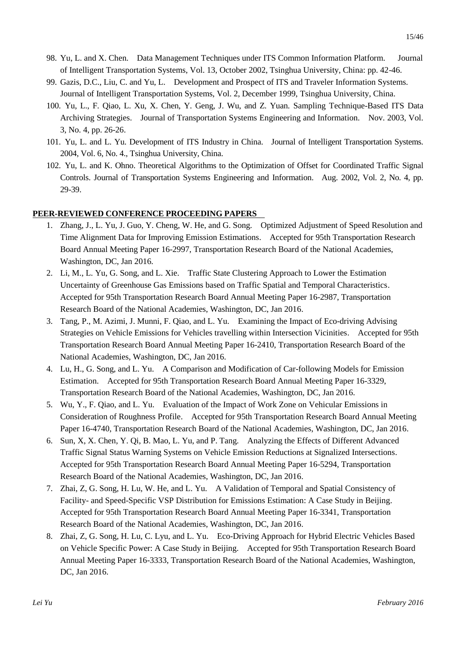- 99. Gazis, D.C., Liu, C. and Yu, L. Development and Prospect of ITS and Traveler Information Systems. Journal of Intelligent Transportation Systems, Vol. 2, December 1999, Tsinghua University, China.
- 100. Yu, L., F. Qiao, L. Xu, X. Chen, Y. Geng, J. Wu, and Z. Yuan. Sampling Technique-Based ITS Data Archiving Strategies. Journal of Transportation Systems Engineering and Information. Nov. 2003, Vol. 3, No. 4, pp. 26-26.
- 101. Yu, L. and L. Yu. Development of ITS Industry in China. Journal of Intelligent Transportation Systems. 2004, Vol. 6, No. 4., Tsinghua University, China.
- 102. Yu, L. and K. Ohno. Theoretical Algorithms to the Optimization of Offset for Coordinated Traffic Signal Controls. Journal of Transportation Systems Engineering and Information. Aug. 2002, Vol. 2, No. 4, pp. 29-39.

#### **PEER-REVIEWED CONFERENCE PROCEEDING PAPERS**

- 1. Zhang, J., L. Yu, J. Guo, Y. Cheng, W. He, and G. Song. Optimized Adjustment of Speed Resolution and Time Alignment Data for Improving Emission Estimations. Accepted for 95th Transportation Research Board Annual Meeting Paper 16-2997, Transportation Research Board of the National Academies, Washington, DC, Jan 2016.
- 2. Li, M., L. Yu, G. Song, and L. Xie. Traffic State Clustering Approach to Lower the Estimation Uncertainty of Greenhouse Gas Emissions based on Traffic Spatial and Temporal Characteristics. Accepted for 95th Transportation Research Board Annual Meeting Paper 16-2987, Transportation Research Board of the National Academies, Washington, DC, Jan 2016.
- 3. Tang, P., M. Azimi, J. Munni, F. Qiao, and L. Yu. Examining the Impact of Eco-driving Advising Strategies on Vehicle Emissions for Vehicles travelling within Intersection Vicinities. Accepted for 95th Transportation Research Board Annual Meeting Paper 16-2410, Transportation Research Board of the National Academies, Washington, DC, Jan 2016.
- 4. Lu, H., G. Song, and L. Yu. A Comparison and Modification of Car-following Models for Emission Estimation. Accepted for 95th Transportation Research Board Annual Meeting Paper 16-3329, Transportation Research Board of the National Academies, Washington, DC, Jan 2016.
- 5. Wu, Y., F. Qiao, and L. Yu. Evaluation of the Impact of Work Zone on Vehicular Emissions in Consideration of Roughness Profile. Accepted for 95th Transportation Research Board Annual Meeting Paper 16-4740, Transportation Research Board of the National Academies, Washington, DC, Jan 2016.
- 6. Sun, X, X. Chen, Y. Qi, B. Mao, L. Yu, and P. Tang. Analyzing the Effects of Different Advanced Traffic Signal Status Warning Systems on Vehicle Emission Reductions at Signalized Intersections. Accepted for 95th Transportation Research Board Annual Meeting Paper 16-5294, Transportation Research Board of the National Academies, Washington, DC, Jan 2016.
- 7. Zhai, Z, G. Song, H. Lu, W. He, and L. Yu. A Validation of Temporal and Spatial Consistency of Facility- and Speed-Specific VSP Distribution for Emissions Estimation: A Case Study in Beijing. Accepted for 95th Transportation Research Board Annual Meeting Paper 16-3341, Transportation Research Board of the National Academies, Washington, DC, Jan 2016.
- 8. Zhai, Z, G. Song, H. Lu, C. Lyu, and L. Yu. Eco-Driving Approach for Hybrid Electric Vehicles Based on Vehicle Specific Power: A Case Study in Beijing. Accepted for 95th Transportation Research Board Annual Meeting Paper 16-3333, Transportation Research Board of the National Academies, Washington, DC, Jan 2016.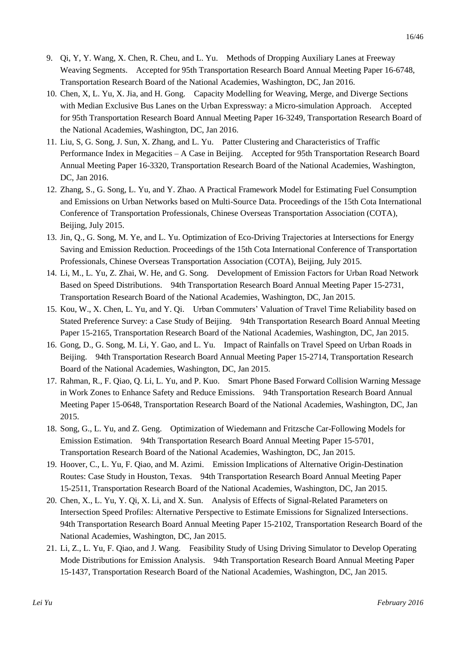- 9. Qi, Y, Y. Wang, X. Chen, R. Cheu, and L. Yu. Methods of Dropping Auxiliary Lanes at Freeway Weaving Segments. Accepted for 95th Transportation Research Board Annual Meeting Paper 16-6748, Transportation Research Board of the National Academies, Washington, DC, Jan 2016.
- 10. Chen, X, L. Yu, X. Jia, and H. Gong. Capacity Modelling for Weaving, Merge, and Diverge Sections with Median Exclusive Bus Lanes on the Urban Expressway: a Micro-simulation Approach. Accepted for 95th Transportation Research Board Annual Meeting Paper 16-3249, Transportation Research Board of the National Academies, Washington, DC, Jan 2016.
- 11. Liu, S, G. Song, J. Sun, X. Zhang, and L. Yu. Patter Clustering and Characteristics of Traffic Performance Index in Megacities – A Case in Beijing. Accepted for 95th Transportation Research Board Annual Meeting Paper 16-3320, Transportation Research Board of the National Academies, Washington, DC, Jan 2016.
- 12. Zhang, S., G. Song, L. Yu, and Y. Zhao. A Practical Framework Model for Estimating Fuel Consumption and Emissions on Urban Networks based on Multi-Source Data. Proceedings of the 15th Cota International Conference of Transportation Professionals, Chinese Overseas Transportation Association (COTA), Beijing, July 2015.
- 13. Jin, Q., G. Song, M. Ye, and L. Yu. Optimization of Eco-Driving Trajectories at Intersections for Energy Saving and Emission Reduction. Proceedings of the 15th Cota International Conference of Transportation Professionals, Chinese Overseas Transportation Association (COTA), Beijing, July 2015.
- 14. Li, M., L. Yu, Z. Zhai, W. He, and G. Song. Development of Emission Factors for Urban Road Network Based on Speed Distributions. 94th Transportation Research Board Annual Meeting Paper 15-2731, Transportation Research Board of the National Academies, Washington, DC, Jan 2015.
- 15. Kou, W., X. Chen, L. Yu, and Y. Qi. Urban Commuters' Valuation of Travel Time Reliability based on Stated Preference Survey: a Case Study of Beijing. 94th Transportation Research Board Annual Meeting Paper 15-2165, Transportation Research Board of the National Academies, Washington, DC, Jan 2015.
- 16. Gong, D., G. Song, M. Li, Y. Gao, and L. Yu. Impact of Rainfalls on Travel Speed on Urban Roads in Beijing. 94th Transportation Research Board Annual Meeting Paper 15-2714, Transportation Research Board of the National Academies, Washington, DC, Jan 2015.
- 17. Rahman, R., F. Qiao, Q. Li, L. Yu, and P. Kuo. Smart Phone Based Forward Collision Warning Message in Work Zones to Enhance Safety and Reduce Emissions. 94th Transportation Research Board Annual Meeting Paper 15-0648, Transportation Research Board of the National Academies, Washington, DC, Jan 2015.
- 18. Song, G., L. Yu, and Z. Geng. Optimization of Wiedemann and Fritzsche Car-Following Models for Emission Estimation. 94th Transportation Research Board Annual Meeting Paper 15-5701, Transportation Research Board of the National Academies, Washington, DC, Jan 2015.
- 19. Hoover, C., L. Yu, F. Qiao, and M. Azimi. Emission Implications of Alternative Origin-Destination Routes: Case Study in Houston, Texas. 94th Transportation Research Board Annual Meeting Paper 15-2511, Transportation Research Board of the National Academies, Washington, DC, Jan 2015.
- 20. Chen, X., L. Yu, Y. Qi, X. Li, and X. Sun. Analysis of Effects of Signal-Related Parameters on Intersection Speed Profiles: Alternative Perspective to Estimate Emissions for Signalized Intersections. 94th Transportation Research Board Annual Meeting Paper 15-2102, Transportation Research Board of the National Academies, Washington, DC, Jan 2015.
- 21. Li, Z., L. Yu, F. Qiao, and J. Wang. Feasibility Study of Using Driving Simulator to Develop Operating Mode Distributions for Emission Analysis. 94th Transportation Research Board Annual Meeting Paper 15-1437, Transportation Research Board of the National Academies, Washington, DC, Jan 2015.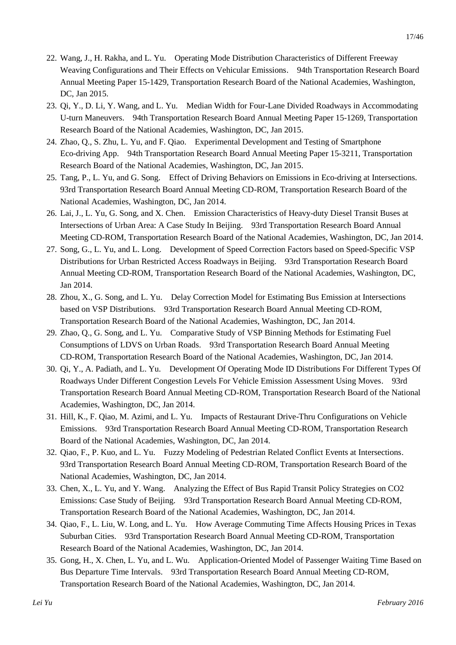- 22. Wang, J., H. Rakha, and L. Yu. Operating Mode Distribution Characteristics of Different Freeway Weaving Configurations and Their Effects on Vehicular Emissions. 94th Transportation Research Board Annual Meeting Paper 15-1429, Transportation Research Board of the National Academies, Washington, DC, Jan 2015.
- 23. Qi, Y., D. Li, Y. Wang, and L. Yu. Median Width for Four-Lane Divided Roadways in Accommodating U-turn Maneuvers. 94th Transportation Research Board Annual Meeting Paper 15-1269, Transportation Research Board of the National Academies, Washington, DC, Jan 2015.
- 24. Zhao, Q., S. Zhu, L. Yu, and F. Qiao. Experimental Development and Testing of Smartphone Eco-driving App. 94th Transportation Research Board Annual Meeting Paper 15-3211, Transportation Research Board of the National Academies, Washington, DC, Jan 2015.
- 25. Tang, P., L. Yu, and G. Song. Effect of Driving Behaviors on Emissions in Eco-driving at Intersections. 93rd Transportation Research Board Annual Meeting CD-ROM, Transportation Research Board of the National Academies, Washington, DC, Jan 2014.
- 26. Lai, J., L. Yu, G. Song, and X. Chen. Emission Characteristics of Heavy-duty Diesel Transit Buses at Intersections of Urban Area: A Case Study In Beijing. 93rd Transportation Research Board Annual Meeting CD-ROM, Transportation Research Board of the National Academies, Washington, DC, Jan 2014.
- 27. Song, G., L. Yu, and L. Long. Development of Speed Correction Factors based on Speed-Specific VSP Distributions for Urban Restricted Access Roadways in Beijing. 93rd Transportation Research Board Annual Meeting CD-ROM, Transportation Research Board of the National Academies, Washington, DC, Jan 2014.
- 28. Zhou, X., G. Song, and L. Yu. Delay Correction Model for Estimating Bus Emission at Intersections based on VSP Distributions. 93rd Transportation Research Board Annual Meeting CD-ROM, Transportation Research Board of the National Academies, Washington, DC, Jan 2014.
- 29. Zhao, Q., G. Song, and L. Yu. Comparative Study of VSP Binning Methods for Estimating Fuel Consumptions of LDVS on Urban Roads. 93rd Transportation Research Board Annual Meeting CD-ROM, Transportation Research Board of the National Academies, Washington, DC, Jan 2014.
- 30. Qi, Y., A. Padiath, and L. Yu. Development Of Operating Mode ID Distributions For Different Types Of Roadways Under Different Congestion Levels For Vehicle Emission Assessment Using Moves. 93rd Transportation Research Board Annual Meeting CD-ROM, Transportation Research Board of the National Academies, Washington, DC, Jan 2014.
- 31. Hill, K., F. Qiao, M. Azimi, and L. Yu. Impacts of Restaurant Drive-Thru Configurations on Vehicle Emissions. 93rd Transportation Research Board Annual Meeting CD-ROM, Transportation Research Board of the National Academies, Washington, DC, Jan 2014.
- 32. Qiao, F., P. Kuo, and L. Yu. Fuzzy Modeling of Pedestrian Related Conflict Events at Intersections. 93rd Transportation Research Board Annual Meeting CD-ROM, Transportation Research Board of the National Academies, Washington, DC, Jan 2014.
- 33. Chen, X., L. Yu, and Y. Wang. Analyzing the Effect of Bus Rapid Transit Policy Strategies on CO2 Emissions: Case Study of Beijing. 93rd Transportation Research Board Annual Meeting CD-ROM, Transportation Research Board of the National Academies, Washington, DC, Jan 2014.
- 34. Qiao, F., L. Liu, W. Long, and L. Yu. How Average Commuting Time Affects Housing Prices in Texas Suburban Cities. 93rd Transportation Research Board Annual Meeting CD-ROM, Transportation Research Board of the National Academies, Washington, DC, Jan 2014.
- 35. Gong, H., X. Chen, L. Yu, and L. Wu. Application-Oriented Model of Passenger Waiting Time Based on Bus Departure Time Intervals. 93rd Transportation Research Board Annual Meeting CD-ROM, Transportation Research Board of the National Academies, Washington, DC, Jan 2014.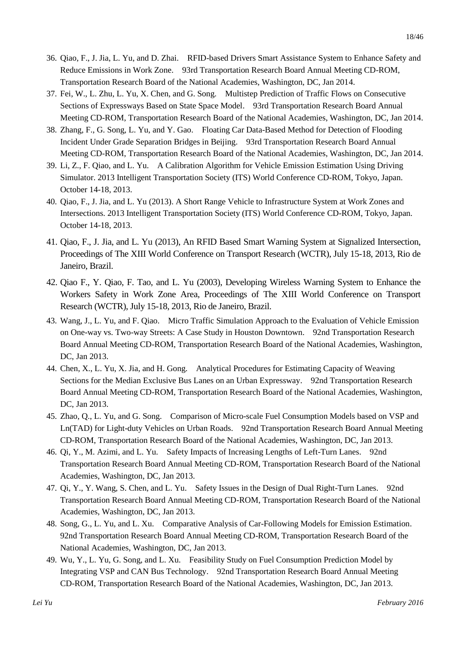- 36. Qiao, F., J. Jia, L. Yu, and D. Zhai. RFID-based Drivers Smart Assistance System to Enhance Safety and Reduce Emissions in Work Zone. 93rd Transportation Research Board Annual Meeting CD-ROM, Transportation Research Board of the National Academies, Washington, DC, Jan 2014.
- 37. Fei, W., L. Zhu, L. Yu, X. Chen, and G. Song. Multistep Prediction of Traffic Flows on Consecutive Sections of Expressways Based on State Space Model. 93rd Transportation Research Board Annual Meeting CD-ROM, Transportation Research Board of the National Academies, Washington, DC, Jan 2014.
- 38. Zhang, F., G. Song, L. Yu, and Y. Gao. Floating Car Data-Based Method for Detection of Flooding Incident Under Grade Separation Bridges in Beijing. 93rd Transportation Research Board Annual Meeting CD-ROM, Transportation Research Board of the National Academies, Washington, DC, Jan 2014.
- 39. Li, Z., F. Qiao, and L. Yu. A Calibration Algorithm for Vehicle Emission Estimation Using Driving Simulator. 2013 Intelligent Transportation Society (ITS) World Conference CD-ROM, Tokyo, Japan. October 14-18, 2013.
- 40. Qiao, F., J. Jia, and L. Yu (2013). A Short Range Vehicle to Infrastructure System at Work Zones and Intersections. 2013 Intelligent Transportation Society (ITS) World Conference CD-ROM, Tokyo, Japan. October 14-18, 2013.
- 41. Qiao, F., J. Jia, and L. Yu (2013), An RFID Based Smart Warning System at Signalized Intersection, Proceedings of The XIII World Conference on Transport Research (WCTR), July 15-18, 2013, Rio de Janeiro, Brazil.
- 42. Qiao F., Y. Qiao, F. Tao, and L. Yu (2003), Developing Wireless Warning System to Enhance the Workers Safety in Work Zone Area, Proceedings of The XIII World Conference on Transport Research (WCTR), July 15-18, 2013, Rio de Janeiro, Brazil.
- 43. Wang, J., L. Yu, and F. Qiao. Micro Traffic Simulation Approach to the Evaluation of Vehicle Emission on One-way vs. Two-way Streets: A Case Study in Houston Downtown. 92nd Transportation Research Board Annual Meeting CD-ROM, Transportation Research Board of the National Academies, Washington, DC, Jan 2013.
- 44. Chen, X., L. Yu, X. Jia, and H. Gong. Analytical Procedures for Estimating Capacity of Weaving Sections for the Median Exclusive Bus Lanes on an Urban Expressway. 92nd Transportation Research Board Annual Meeting CD-ROM, Transportation Research Board of the National Academies, Washington, DC, Jan 2013.
- 45. Zhao, Q., L. Yu, and G. Song. Comparison of Micro-scale Fuel Consumption Models based on VSP and Ln(TAD) for Light-duty Vehicles on Urban Roads. 92nd Transportation Research Board Annual Meeting CD-ROM, Transportation Research Board of the National Academies, Washington, DC, Jan 2013.
- 46. Qi, Y., M. Azimi, and L. Yu. Safety Impacts of Increasing Lengths of Left-Turn Lanes. 92nd Transportation Research Board Annual Meeting CD-ROM, Transportation Research Board of the National Academies, Washington, DC, Jan 2013.
- 47. Qi, Y., Y. Wang, S. Chen, and L. Yu. Safety Issues in the Design of Dual Right-Turn Lanes. 92nd Transportation Research Board Annual Meeting CD-ROM, Transportation Research Board of the National Academies, Washington, DC, Jan 2013.
- 48. Song, G., L. Yu, and L. Xu. Comparative Analysis of Car-Following Models for Emission Estimation. 92nd Transportation Research Board Annual Meeting CD-ROM, Transportation Research Board of the National Academies, Washington, DC, Jan 2013.
- 49. Wu, Y., L. Yu, G. Song, and L. Xu. Feasibility Study on Fuel Consumption Prediction Model by Integrating VSP and CAN Bus Technology. 92nd Transportation Research Board Annual Meeting CD-ROM, Transportation Research Board of the National Academies, Washington, DC, Jan 2013.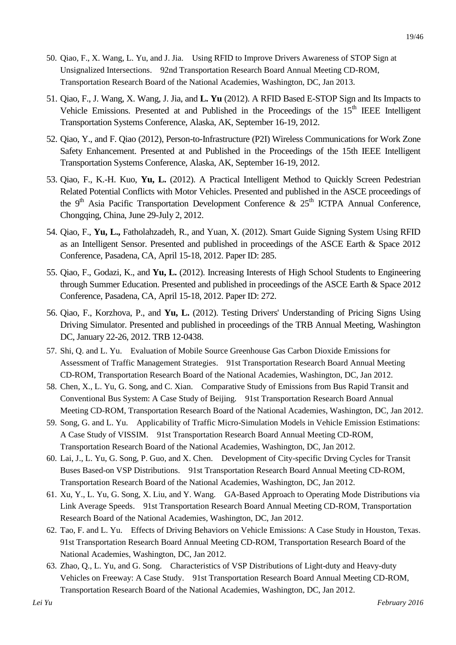- 50. Qiao, F., X. Wang, L. Yu, and J. Jia. Using RFID to Improve Drivers Awareness of STOP Sign at Unsignalized Intersections. 92nd Transportation Research Board Annual Meeting CD-ROM, Transportation Research Board of the National Academies, Washington, DC, Jan 2013.
- 51. Qiao, F., J. Wang, X. Wang, J. Jia, and **L. Yu** (2012). A RFID Based E-STOP Sign and Its Impacts to Vehicle Emissions. Presented at and Published in the Proceedings of the 15<sup>th</sup> IEEE Intelligent Transportation Systems Conference, Alaska, AK, September 16-19, 2012.
- 52. Qiao, Y., and F. Qiao (2012), Person-to-Infrastructure (P2I) Wireless Communications for Work Zone Safety Enhancement. Presented at and Published in the Proceedings of the 15th IEEE Intelligent Transportation Systems Conference, Alaska, AK, September 16-19, 2012.
- 53. Qiao, F., K.-H. Kuo, **Yu, L.** (2012). A Practical Intelligent Method to Quickly Screen Pedestrian Related Potential Conflicts with Motor Vehicles. Presented and published in the ASCE proceedings of the 9<sup>th</sup> Asia Pacific Transportation Development Conference &  $25<sup>th</sup>$  ICTPA Annual Conference, Chongqing, China, June 29-July 2, 2012.
- 54. Qiao, F., **Yu, L.,** Fatholahzadeh, R., and Yuan, X. (2012). Smart Guide Signing System Using RFID as an Intelligent Sensor. Presented and published in proceedings of the ASCE Earth & Space 2012 Conference, Pasadena, CA, April 15-18, 2012. Paper ID: 285.
- 55. Qiao, F., Godazi, K., and **Yu, L.** (2012). Increasing Interests of High School Students to Engineering through Summer Education. Presented and published in proceedings of the ASCE Earth & Space 2012 Conference, Pasadena, CA, April 15-18, 2012. Paper ID: 272.
- 56. Qiao, F., Korzhova, P., and **Yu, L.** (2012). Testing Drivers' Understanding of Pricing Signs Using Driving Simulator. Presented and published in proceedings of the TRB Annual Meeting, Washington DC, January 22-26, 2012. TRB 12-0438.
- 57. Shi, Q. and L. Yu. Evaluation of Mobile Source Greenhouse Gas Carbon Dioxide Emissions for Assessment of Traffic Management Strategies. 91st Transportation Research Board Annual Meeting CD-ROM, Transportation Research Board of the National Academies, Washington, DC, Jan 2012.
- 58. Chen, X., L. Yu, G. Song, and C. Xian. Comparative Study of Emissions from Bus Rapid Transit and Conventional Bus System: A Case Study of Beijing. 91st Transportation Research Board Annual Meeting CD-ROM, Transportation Research Board of the National Academies, Washington, DC, Jan 2012.
- 59. Song, G. and L. Yu. Applicability of Traffic Micro-Simulation Models in Vehicle Emission Estimations: A Case Study of VISSIM. 91st Transportation Research Board Annual Meeting CD-ROM, Transportation Research Board of the National Academies, Washington, DC, Jan 2012.
- 60. Lai, J., L. Yu, G. Song, P. Guo, and X. Chen. Development of City-specific Drving Cycles for Transit Buses Based-on VSP Distributions. 91st Transportation Research Board Annual Meeting CD-ROM, Transportation Research Board of the National Academies, Washington, DC, Jan 2012.
- 61. Xu, Y., L. Yu, G. Song, X. Liu, and Y. Wang. GA-Based Approach to Operating Mode Distributions via Link Average Speeds. 91st Transportation Research Board Annual Meeting CD-ROM, Transportation Research Board of the National Academies, Washington, DC, Jan 2012.
- 62. Tao, F. and L. Yu. Effects of Driving Behaviors on Vehicle Emissions: A Case Study in Houston, Texas. 91st Transportation Research Board Annual Meeting CD-ROM, Transportation Research Board of the National Academies, Washington, DC, Jan 2012.
- 63. Zhao, Q., L. Yu, and G. Song. Characteristics of VSP Distributions of Light-duty and Heavy-duty Vehicles on Freeway: A Case Study. 91st Transportation Research Board Annual Meeting CD-ROM, Transportation Research Board of the National Academies, Washington, DC, Jan 2012.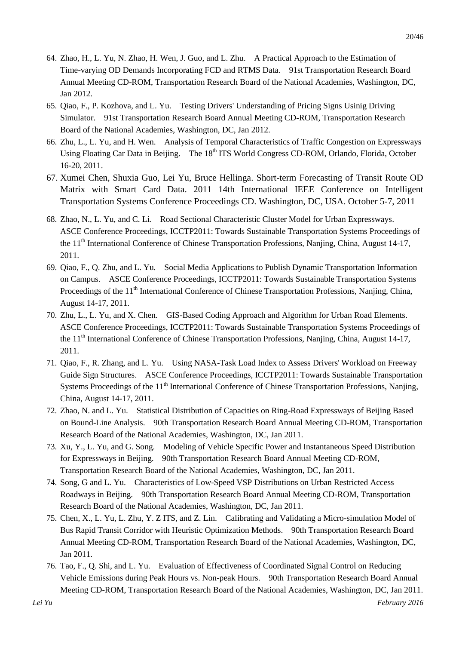- 64. Zhao, H., L. Yu, N. Zhao, H. Wen, J. Guo, and L. Zhu. A Practical Approach to the Estimation of Time-varying OD Demands Incorporating FCD and RTMS Data. 91st Transportation Research Board Annual Meeting CD-ROM, Transportation Research Board of the National Academies, Washington, DC, Jan 2012.
- 65. Qiao, F., P. Kozhova, and L. Yu. Testing Drivers' Understanding of Pricing Signs Usinig Driving Simulator. 91st Transportation Research Board Annual Meeting CD-ROM, Transportation Research Board of the National Academies, Washington, DC, Jan 2012.
- 66. Zhu, L., L. Yu, and H. Wen. Analysis of Temporal Characteristics of Traffic Congestion on Expressways Using Floating Car Data in Beijing. The 18<sup>th</sup> ITS World Congress CD-ROM, Orlando, Florida, October 16-20, 2011.
- 67. Xumei Chen, Shuxia Guo, Lei Yu, Bruce Hellinga. Short-term Forecasting of Transit Route OD Matrix with Smart Card Data. 2011 14th International IEEE Conference on Intelligent Transportation Systems Conference Proceedings CD. Washington, DC, USA. October 5-7, 2011
- 68. Zhao, N., L. Yu, and C. Li. Road Sectional Characteristic Cluster Model for Urban Expressways. ASCE Conference Proceedings, ICCTP2011: Towards Sustainable Transportation Systems Proceedings of the 11<sup>th</sup> International Conference of Chinese Transportation Professions, Nanjing, China, August 14-17, 2011.
- 69. Qiao, F., Q. Zhu, and L. Yu. Social Media Applications to Publish Dynamic Transportation Information on Campus. ASCE Conference Proceedings, ICCTP2011: Towards Sustainable Transportation Systems Proceedings of the 11<sup>th</sup> International Conference of Chinese Transportation Professions, Nanjing, China, August 14-17, 2011.
- 70. Zhu, L., L. Yu, and X. Chen. GIS-Based Coding Approach and Algorithm for Urban Road Elements. ASCE Conference Proceedings, ICCTP2011: Towards Sustainable Transportation Systems Proceedings of the 11<sup>th</sup> International Conference of Chinese Transportation Professions, Nanjing, China, August 14-17, 2011.
- 71. Qiao, F., R. Zhang, and L. Yu. Using NASA-Task Load Index to Assess Drivers' Workload on Freeway Guide Sign Structures. ASCE Conference Proceedings, ICCTP2011: Towards Sustainable Transportation Systems Proceedings of the 11<sup>th</sup> International Conference of Chinese Transportation Professions, Nanjing, China, August 14-17, 2011.
- 72. Zhao, N. and L. Yu. Statistical Distribution of Capacities on Ring-Road Expressways of Beijing Based on Bound-Line Analysis. 90th Transportation Research Board Annual Meeting CD-ROM, Transportation Research Board of the National Academies, Washington, DC, Jan 2011.
- 73. Xu, Y., L. Yu, and G. Song. Modeling of Vehicle Specific Power and Instantaneous Speed Distribution for Expressways in Beijing. 90th Transportation Research Board Annual Meeting CD-ROM, Transportation Research Board of the National Academies, Washington, DC, Jan 2011.
- 74. Song, G and L. Yu. Characteristics of Low-Speed VSP Distributions on Urban Restricted Access Roadways in Beijing. 90th Transportation Research Board Annual Meeting CD-ROM, Transportation Research Board of the National Academies, Washington, DC, Jan 2011.
- 75. Chen, X., L. Yu, L. Zhu, Y. Z ITS, and Z. Lin. Calibrating and Validating a Micro-simulation Model of Bus Rapid Transit Corridor with Heuristic Optimization Methods. 90th Transportation Research Board Annual Meeting CD-ROM, Transportation Research Board of the National Academies, Washington, DC, Jan 2011.
- 76. Tao, F., Q. Shi, and L. Yu. Evaluation of Effectiveness of Coordinated Signal Control on Reducing Vehicle Emissions during Peak Hours vs. Non-peak Hours. 90th Transportation Research Board Annual Meeting CD-ROM, Transportation Research Board of the National Academies, Washington, DC, Jan 2011.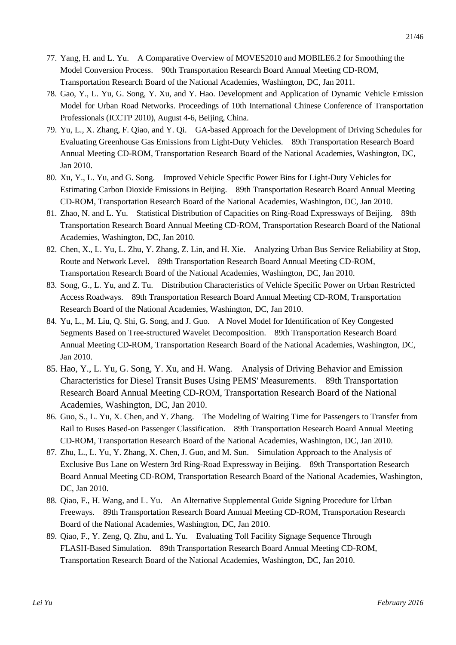- 77. Yang, H. and L. Yu. A Comparative Overview of MOVES2010 and MOBILE6.2 for Smoothing the Model Conversion Process. 90th Transportation Research Board Annual Meeting CD-ROM, Transportation Research Board of the National Academies, Washington, DC, Jan 2011.
- 78. Gao, Y., L. Yu, G. Song, Y. Xu, and Y. Hao. Development and Application of Dynamic Vehicle Emission Model for Urban Road Networks. Proceedings of 10th International Chinese Conference of Transportation Professionals (ICCTP 2010), August 4-6, Beijing, China.
- 79. Yu, L., X. Zhang, F. Qiao, and Y. Qi. GA-based Approach for the Development of Driving Schedules for Evaluating Greenhouse Gas Emissions from Light-Duty Vehicles. 89th Transportation Research Board Annual Meeting CD-ROM, Transportation Research Board of the National Academies, Washington, DC, Jan 2010.
- 80. Xu, Y., L. Yu, and G. Song. Improved Vehicle Specific Power Bins for Light-Duty Vehicles for Estimating Carbon Dioxide Emissions in Beijing. 89th Transportation Research Board Annual Meeting CD-ROM, Transportation Research Board of the National Academies, Washington, DC, Jan 2010.
- 81. Zhao, N. and L. Yu. Statistical Distribution of Capacities on Ring-Road Expressways of Beijing. 89th Transportation Research Board Annual Meeting CD-ROM, Transportation Research Board of the National Academies, Washington, DC, Jan 2010.
- 82. Chen, X., L. Yu, L. Zhu, Y. Zhang, Z. Lin, and H. Xie. Analyzing Urban Bus Service Reliability at Stop, Route and Network Level. 89th Transportation Research Board Annual Meeting CD-ROM, Transportation Research Board of the National Academies, Washington, DC, Jan 2010.
- 83. Song, G., L. Yu, and Z. Tu. Distribution Characteristics of Vehicle Specific Power on Urban Restricted Access Roadways. 89th Transportation Research Board Annual Meeting CD-ROM, Transportation Research Board of the National Academies, Washington, DC, Jan 2010.
- 84. Yu, L., M. Liu, Q. Shi, G. Song, and J. Guo. A Novel Model for Identification of Key Congested Segments Based on Tree-structured Wavelet Decomposition. 89th Transportation Research Board Annual Meeting CD-ROM, Transportation Research Board of the National Academies, Washington, DC, Jan 2010.
- 85. Hao, Y., L. Yu, G. Song, Y. Xu, and H. Wang. Analysis of Driving Behavior and Emission Characteristics for Diesel Transit Buses Using PEMS' Measurements. 89th Transportation Research Board Annual Meeting CD-ROM, Transportation Research Board of the National Academies, Washington, DC, Jan 2010.
- 86. Guo, S., L. Yu, X. Chen, and Y. Zhang. The Modeling of Waiting Time for Passengers to Transfer from Rail to Buses Based-on Passenger Classification. 89th Transportation Research Board Annual Meeting CD-ROM, Transportation Research Board of the National Academies, Washington, DC, Jan 2010.
- 87. Zhu, L., L. Yu, Y. Zhang, X. Chen, J. Guo, and M. Sun. Simulation Approach to the Analysis of Exclusive Bus Lane on Western 3rd Ring-Road Expressway in Beijing. 89th Transportation Research Board Annual Meeting CD-ROM, Transportation Research Board of the National Academies, Washington, DC, Jan 2010.
- 88. Qiao, F., H. Wang, and L. Yu. An Alternative Supplemental Guide Signing Procedure for Urban Freeways. 89th Transportation Research Board Annual Meeting CD-ROM, Transportation Research Board of the National Academies, Washington, DC, Jan 2010.
- 89. Qiao, F., Y. Zeng, Q. Zhu, and L. Yu. Evaluating Toll Facility Signage Sequence Through FLASH-Based Simulation. 89th Transportation Research Board Annual Meeting CD-ROM, Transportation Research Board of the National Academies, Washington, DC, Jan 2010.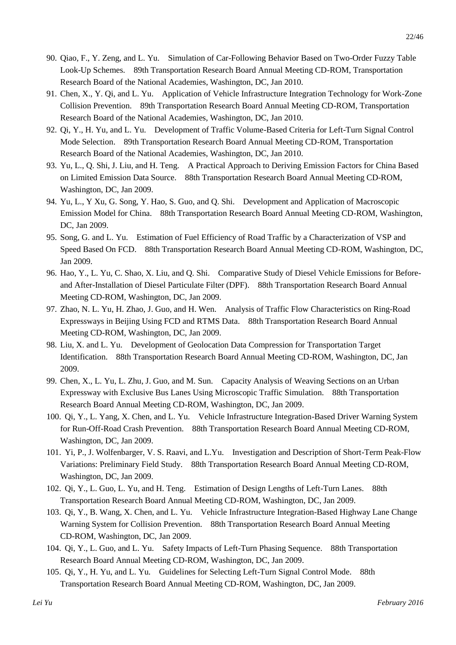- 90. Qiao, F., Y. Zeng, and L. Yu. Simulation of Car-Following Behavior Based on Two-Order Fuzzy Table Look-Up Schemes. 89th Transportation Research Board Annual Meeting CD-ROM, Transportation Research Board of the National Academies, Washington, DC, Jan 2010.
- 91. Chen, X., Y. Qi, and L. Yu. Application of Vehicle Infrastructure Integration Technology for Work-Zone Collision Prevention. 89th Transportation Research Board Annual Meeting CD-ROM, Transportation Research Board of the National Academies, Washington, DC, Jan 2010.
- 92. Qi, Y., H. Yu, and L. Yu. Development of Traffic Volume-Based Criteria for Left-Turn Signal Control Mode Selection. 89th Transportation Research Board Annual Meeting CD-ROM, Transportation Research Board of the National Academies, Washington, DC, Jan 2010.
- 93. Yu, L., Q. Shi, J. Liu, and H. Teng. A Practical Approach to Deriving Emission Factors for China Based on Limited Emission Data Source. 88th Transportation Research Board Annual Meeting CD-ROM, Washington, DC, Jan 2009.
- 94. Yu, L., Y Xu, G. Song, Y. Hao, S. Guo, and Q. Shi. Development and Application of Macroscopic Emission Model for China. 88th Transportation Research Board Annual Meeting CD-ROM, Washington, DC, Jan 2009.
- 95. Song, G. and L. Yu. Estimation of Fuel Efficiency of Road Traffic by a Characterization of VSP and Speed Based On FCD. 88th Transportation Research Board Annual Meeting CD-ROM, Washington, DC, Jan 2009.
- 96. Hao, Y., L. Yu, C. Shao, X. Liu, and Q. Shi. Comparative Study of Diesel Vehicle Emissions for Beforeand After-Installation of Diesel Particulate Filter (DPF). 88th Transportation Research Board Annual Meeting CD-ROM, Washington, DC, Jan 2009.
- 97. Zhao, N. L. Yu, H. Zhao, J. Guo, and H. Wen. Analysis of Traffic Flow Characteristics on Ring-Road Expressways in Beijing Using FCD and RTMS Data. 88th Transportation Research Board Annual Meeting CD-ROM, Washington, DC, Jan 2009.
- 98. Liu, X. and L. Yu. Development of Geolocation Data Compression for Transportation Target Identification. 88th Transportation Research Board Annual Meeting CD-ROM, Washington, DC, Jan 2009.
- 99. Chen, X., L. Yu, L. Zhu, J. Guo, and M. Sun. Capacity Analysis of Weaving Sections on an Urban Expressway with Exclusive Bus Lanes Using Microscopic Traffic Simulation. 88th Transportation Research Board Annual Meeting CD-ROM, Washington, DC, Jan 2009.
- 100. Qi, Y., L. Yang, X. Chen, and L. Yu. Vehicle Infrastructure Integration-Based Driver Warning System for Run-Off-Road Crash Prevention. 88th Transportation Research Board Annual Meeting CD-ROM, Washington, DC, Jan 2009.
- 101. Yi, P., J. Wolfenbarger, V. S. Raavi, and L.Yu. Investigation and Description of Short-Term Peak-Flow Variations: Preliminary Field Study. 88th Transportation Research Board Annual Meeting CD-ROM, Washington, DC, Jan 2009.
- 102. Qi, Y., L. Guo, L. Yu, and H. Teng. Estimation of Design Lengths of Left-Turn Lanes. 88th Transportation Research Board Annual Meeting CD-ROM, Washington, DC, Jan 2009.
- 103. Qi, Y., B. Wang, X. Chen, and L. Yu. Vehicle Infrastructure Integration-Based Highway Lane Change Warning System for Collision Prevention. 88th Transportation Research Board Annual Meeting CD-ROM, Washington, DC, Jan 2009.
- 104. Qi, Y., L. Guo, and L. Yu. Safety Impacts of Left-Turn Phasing Sequence. 88th Transportation Research Board Annual Meeting CD-ROM, Washington, DC, Jan 2009.
- 105. Qi, Y., H. Yu, and L. Yu. Guidelines for Selecting Left-Turn Signal Control Mode. 88th Transportation Research Board Annual Meeting CD-ROM, Washington, DC, Jan 2009.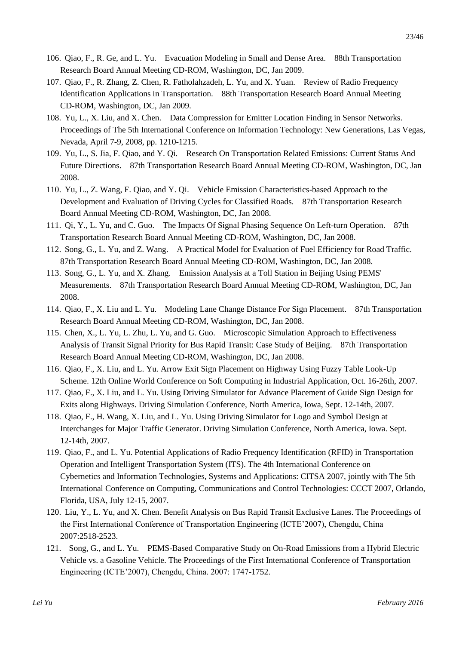- 106. Qiao, F., R. Ge, and L. Yu. Evacuation Modeling in Small and Dense Area. 88th Transportation Research Board Annual Meeting CD-ROM, Washington, DC, Jan 2009.
- 107. Qiao, F., R. Zhang, Z. Chen, R. Fatholahzadeh, L. Yu, and X. Yuan. Review of Radio Frequency Identification Applications in Transportation. 88th Transportation Research Board Annual Meeting CD-ROM, Washington, DC, Jan 2009.
- 108. Yu, L., X. Liu, and X. Chen. Data Compression for Emitter Location Finding in Sensor Networks. Proceedings of The 5th International Conference on Information Technology: New Generations, Las Vegas, Nevada, April 7-9, 2008, pp. 1210-1215.
- 109. Yu, L., S. Jia, F. Qiao, and Y. Qi. Research On Transportation Related Emissions: Current Status And Future Directions. 87th Transportation Research Board Annual Meeting CD-ROM, Washington, DC, Jan 2008.
- 110. Yu, L., Z. Wang, F. Qiao, and Y. Qi. Vehicle Emission Characteristics-based Approach to the Development and Evaluation of Driving Cycles for Classified Roads. 87th Transportation Research Board Annual Meeting CD-ROM, Washington, DC, Jan 2008.
- 111. Qi, Y., L. Yu, and C. Guo. The Impacts Of Signal Phasing Sequence On Left-turn Operation. 87th Transportation Research Board Annual Meeting CD-ROM, Washington, DC, Jan 2008.
- 112. Song, G., L. Yu, and Z. Wang. A Practical Model for Evaluation of Fuel Efficiency for Road Traffic. 87th Transportation Research Board Annual Meeting CD-ROM, Washington, DC, Jan 2008.
- 113. Song, G., L. Yu, and X. Zhang. Emission Analysis at a Toll Station in Beijing Using PEMS' Measurements. 87th Transportation Research Board Annual Meeting CD-ROM, Washington, DC, Jan 2008.
- 114. Qiao, F., X. Liu and L. Yu. Modeling Lane Change Distance For Sign Placement. 87th Transportation Research Board Annual Meeting CD-ROM, Washington, DC, Jan 2008.
- 115. Chen, X., L. Yu, L. Zhu, L. Yu, and G. Guo. Microscopic Simulation Approach to Effectiveness Analysis of Transit Signal Priority for Bus Rapid Transit: Case Study of Beijing. 87th Transportation Research Board Annual Meeting CD-ROM, Washington, DC, Jan 2008.
- 116. Qiao, F., X. Liu, and L. Yu. Arrow Exit Sign Placement on Highway Using Fuzzy Table Look-Up Scheme. 12th Online World Conference on Soft Computing in Industrial Application, Oct. 16-26th, 2007.
- 117. Qiao, F., X. Liu, and L. Yu. Using Driving Simulator for Advance Placement of Guide Sign Design for Exits along Highways. Driving Simulation Conference, North America, Iowa, Sept. 12-14th, 2007.
- 118. Qiao, F., H. Wang, X. Liu, and L. Yu. Using Driving Simulator for Logo and Symbol Design at Interchanges for Major Traffic Generator. Driving Simulation Conference, North America, Iowa. Sept. 12-14th, 2007.
- 119. Qiao, F., and L. Yu. Potential Applications of Radio Frequency Identification (RFID) in Transportation Operation and Intelligent Transportation System (ITS). The 4th International Conference on Cybernetics and Information Technologies, Systems and Applications: CITSA 2007, jointly with The 5th International Conference on Computing, Communications and Control Technologies: CCCT 2007, Orlando, Florida, USA, July 12-15, 2007.
- 120. Liu, Y., L. Yu, and X. Chen. Benefit Analysis on Bus Rapid Transit Exclusive Lanes. The Proceedings of the First International Conference of Transportation Engineering (ICTE'2007), Chengdu, China 2007:2518-2523.
- 121. Song, G., and L. Yu. PEMS-Based Comparative Study on On-Road Emissions from a Hybrid Electric Vehicle vs. a Gasoline Vehicle. The Proceedings of the First International Conference of Transportation Engineering (ICTE'2007), Chengdu, China. 2007: 1747-1752.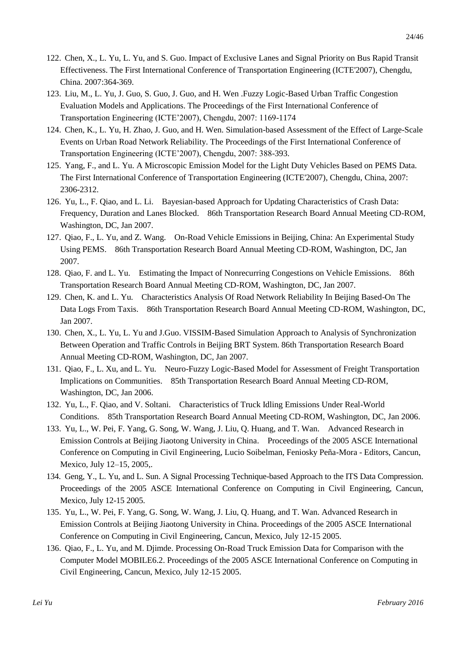- 122. Chen, X., L. Yu, L. Yu, and S. Guo. Impact of Exclusive Lanes and Signal Priority on Bus Rapid Transit Effectiveness. The First International Conference of Transportation Engineering (ICTE'2007), Chengdu, China. 2007:364-369.
- 123. Liu, M., L. Yu, J. Guo, S. Guo, J. Guo, and H. Wen .Fuzzy Logic-Based Urban Traffic Congestion Evaluation Models and Applications. The Proceedings of the First International Conference of Transportation Engineering (ICTE'2007), Chengdu, 2007: 1169-1174
- 124. Chen, K., L. Yu, H. Zhao, J. Guo, and H. Wen. Simulation-based Assessment of the Effect of Large-Scale Events on Urban Road Network Reliability. The Proceedings of the First International Conference of Transportation Engineering (ICTE'2007), Chengdu, 2007: 388-393.
- 125. Yang, F., and L. Yu. A Microscopic Emission Model for the Light Duty Vehicles Based on PEMS Data. The First International Conference of Transportation Engineering (ICTE'2007), Chengdu, China, 2007: 2306-2312.
- 126. Yu, L., F. Qiao, and L. Li. Bayesian-based Approach for Updating Characteristics of Crash Data: Frequency, Duration and Lanes Blocked. 86th Transportation Research Board Annual Meeting CD-ROM, Washington, DC, Jan 2007.
- 127. Qiao, F., L. Yu, and Z. Wang. On-Road Vehicle Emissions in Beijing, China: An Experimental Study Using PEMS. 86th Transportation Research Board Annual Meeting CD-ROM, Washington, DC, Jan 2007.
- 128. Qiao, F. and L. Yu. Estimating the Impact of Nonrecurring Congestions on Vehicle Emissions. 86th Transportation Research Board Annual Meeting CD-ROM, Washington, DC, Jan 2007.
- 129. Chen, K. and L. Yu. Characteristics Analysis Of Road Network Reliability In Beijing Based-On The Data Logs From Taxis. 86th Transportation Research Board Annual Meeting CD-ROM, Washington, DC, Jan 2007.
- 130. Chen, X., L. Yu, L. Yu and J.Guo. VISSIM-Based Simulation Approach to Analysis of Synchronization Between Operation and Traffic Controls in Beijing BRT System. 86th Transportation Research Board Annual Meeting CD-ROM, Washington, DC, Jan 2007.
- 131. Qiao, F., L. Xu, and L. Yu. Neuro-Fuzzy Logic-Based Model for Assessment of Freight Transportation Implications on Communities. 85th Transportation Research Board Annual Meeting CD-ROM, Washington, DC, Jan 2006.
- 132. Yu, L., F. Qiao, and V. Soltani. Characteristics of Truck Idling Emissions Under Real-World Conditions. 85th Transportation Research Board Annual Meeting CD-ROM, Washington, DC, Jan 2006.
- 133. Yu, L., W. Pei, F. Yang, G. Song, W. Wang, J. Liu, Q. Huang, and T. Wan. Advanced Research in Emission Controls at Beijing Jiaotong University in China. Proceedings of the 2005 ASCE International Conference on Computing in Civil Engineering, Lucio Soibelman, Feniosky Peña-Mora - Editors, Cancun, Mexico, July 12–15, 2005,.
- 134. Geng, Y., L. Yu, and L. Sun. A Signal Processing Technique-based Approach to the ITS Data Compression. Proceedings of the 2005 ASCE International Conference on Computing in Civil Engineering, Cancun, Mexico, July 12-15 2005.
- 135. Yu, L., W. Pei, F. Yang, G. Song, W. Wang, J. Liu, Q. Huang, and T. Wan. Advanced Research in Emission Controls at Beijing Jiaotong University in China. Proceedings of the 2005 ASCE International Conference on Computing in Civil Engineering, Cancun, Mexico, July 12-15 2005.
- 136. Qiao, F., L. Yu, and M. Djimde. Processing On-Road Truck Emission Data for Comparison with the Computer Model MOBILE6.2. Proceedings of the 2005 ASCE International Conference on Computing in Civil Engineering, Cancun, Mexico, July 12-15 2005.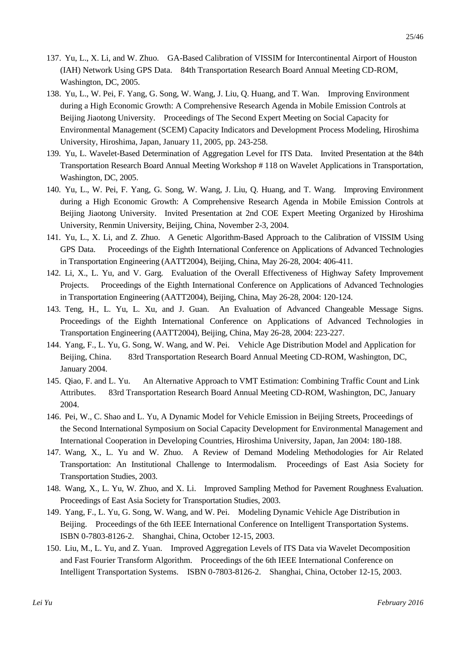- 137. Yu, L., X. Li, and W. Zhuo. GA-Based Calibration of VISSIM for Intercontinental Airport of Houston (IAH) Network Using GPS Data. 84th Transportation Research Board Annual Meeting CD-ROM, Washington, DC, 2005.
- 138. Yu, L., W. Pei, F. Yang, G. Song, W. Wang, J. Liu, Q. Huang, and T. Wan. Improving Environment during a High Economic Growth: A Comprehensive Research Agenda in Mobile Emission Controls at Beijing Jiaotong University. Proceedings of The Second Expert Meeting on Social Capacity for Environmental Management (SCEM) Capacity Indicators and Development Process Modeling, Hiroshima University, Hiroshima, Japan, January 11, 2005, pp. 243-258.
- 139. Yu, L. Wavelet-Based Determination of Aggregation Level for ITS Data. Invited Presentation at the 84th Transportation Research Board Annual Meeting Workshop # 118 on Wavelet Applications in Transportation, Washington, DC, 2005.
- 140. Yu, L., W. Pei, F. Yang, G. Song, W. Wang, J. Liu, Q. Huang, and T. Wang. Improving Environment during a High Economic Growth: A Comprehensive Research Agenda in Mobile Emission Controls at Beijing Jiaotong University. Invited Presentation at 2nd COE Expert Meeting Organized by Hiroshima University, Renmin University, Beijing, China, November 2-3, 2004.
- 141. Yu, L., X. Li, and Z. Zhuo. A Genetic Algorithm-Based Approach to the Calibration of VISSIM Using GPS Data. Proceedings of the Eighth International Conference on Applications of Advanced Technologies in Transportation Engineering (AATT2004), Beijing, China, May 26-28, 2004: 406-411.
- 142. Li, X., L. Yu, and V. Garg. Evaluation of the Overall Effectiveness of Highway Safety Improvement Projects. Proceedings of the Eighth International Conference on Applications of Advanced Technologies in Transportation Engineering (AATT2004), Beijing, China, May 26-28, 2004: 120-124.
- 143. Teng, H., L. Yu, L. Xu, and J. Guan. An Evaluation of Advanced Changeable Message Signs. Proceedings of the Eighth International Conference on Applications of Advanced Technologies in Transportation Engineering (AATT2004), Beijing, China, May 26-28, 2004: 223-227.
- 144. Yang, F., L. Yu, G. Song, W. Wang, and W. Pei. Vehicle Age Distribution Model and Application for Beijing, China. 83rd Transportation Research Board Annual Meeting CD-ROM, Washington, DC, January 2004.
- 145. Qiao, F. and L. Yu. An Alternative Approach to VMT Estimation: Combining Traffic Count and Link Attributes. 83rd Transportation Research Board Annual Meeting CD-ROM, Washington, DC, January 2004.
- 146. Pei, W., C. Shao and L. Yu, A Dynamic Model for Vehicle Emission in Beijing Streets, Proceedings of the Second International Symposium on Social Capacity Development for Environmental Management and International Cooperation in Developing Countries, Hiroshima University, Japan, Jan 2004: 180-188.
- 147. Wang, X., L. Yu and W. Zhuo. A Review of Demand Modeling Methodologies for Air Related Transportation: An Institutional Challenge to Intermodalism. Proceedings of East Asia Society for Transportation Studies, 2003.
- 148. Wang, X., L. Yu, W. Zhuo, and X. Li. Improved Sampling Method for Pavement Roughness Evaluation. Proceedings of East Asia Society for Transportation Studies, 2003.
- 149. Yang, F., L. Yu, G. Song, W. Wang, and W. Pei. Modeling Dynamic Vehicle Age Distribution in Beijing. Proceedings of the 6th IEEE International Conference on Intelligent Transportation Systems. ISBN 0-7803-8126-2. Shanghai, China, October 12-15, 2003.
- 150. Liu, M., L. Yu, and Z. Yuan. Improved Aggregation Levels of ITS Data via Wavelet Decomposition and Fast Fourier Transform Algorithm. Proceedings of the 6th IEEE International Conference on Intelligent Transportation Systems. ISBN 0-7803-8126-2. Shanghai, China, October 12-15, 2003.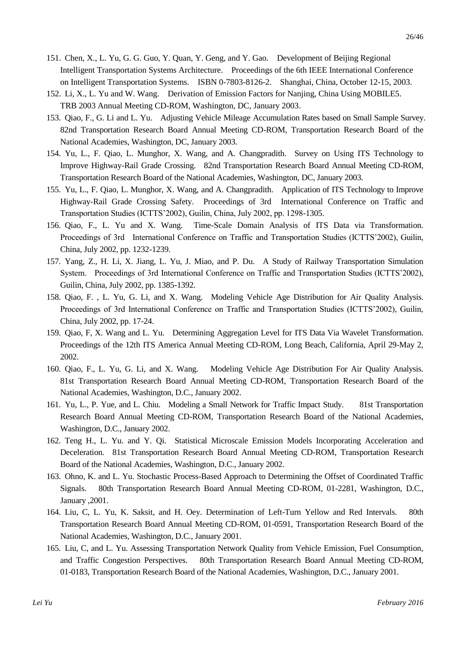- 151. Chen, X., L. Yu, G. G. Guo, Y. Quan, Y. Geng, and Y. Gao. Development of Beijing Regional Intelligent Transportation Systems Architecture. Proceedings of the 6th IEEE International Conference on Intelligent Transportation Systems. ISBN 0-7803-8126-2. Shanghai, China, October 12-15, 2003.
- 152. Li, X., L. Yu and W. Wang. Derivation of Emission Factors for Nanjing, China Using MOBILE5. TRB 2003 Annual Meeting CD-ROM, Washington, DC, January 2003.
- 153. Qiao, F., G. Li and L. Yu. Adjusting Vehicle Mileage Accumulation Rates based on Small Sample Survey. 82nd Transportation Research Board Annual Meeting CD-ROM, Transportation Research Board of the National Academies, Washington, DC, January 2003.
- 154. Yu, L., F. Qiao, L. Munghor, X. Wang, and A. Changpradith. Survey on Using ITS Technology to Improve Highway-Rail Grade Crossing. 82nd Transportation Research Board Annual Meeting CD-ROM, Transportation Research Board of the National Academies, Washington, DC, January 2003.
- 155. Yu, L., F. Qiao, L. Munghor, X. Wang, and A. Changpradith. Application of ITS Technology to Improve Highway-Rail Grade Crossing Safety. Proceedings of 3rd International Conference on Traffic and Transportation Studies (ICTTS'2002), Guilin, China, July 2002, pp. 1298-1305.
- 156. Qiao, F., L. Yu and X. Wang. Time-Scale Domain Analysis of ITS Data via Transformation. Proceedings of 3rd International Conference on Traffic and Transportation Studies (ICTTS'2002), Guilin, China, July 2002, pp. 1232-1239.
- 157. Yang, Z., H. Li, X. Jiang, L. Yu, J. Miao, and P. Du. A Study of Railway Transportation Simulation System. Proceedings of 3rd International Conference on Traffic and Transportation Studies (ICTTS'2002), Guilin, China, July 2002, pp. 1385-1392.
- 158. Qiao, F. , L. Yu, G. Li, and X. Wang. Modeling Vehicle Age Distribution for Air Quality Analysis. Proceedings of 3rd International Conference on Traffic and Transportation Studies (ICTTS'2002), Guilin, China, July 2002, pp. 17-24.
- 159. Qiao, F, X. Wang and L. Yu. Determining Aggregation Level for ITS Data Via Wavelet Transformation. Proceedings of the 12th ITS America Annual Meeting CD-ROM, Long Beach, California, April 29-May 2, 2002.
- 160. Qiao, F., L. Yu, G. Li, and X. Wang. Modeling Vehicle Age Distribution For Air Quality Analysis. 81st Transportation Research Board Annual Meeting CD-ROM, Transportation Research Board of the National Academies, Washington, D.C., January 2002.
- 161. Yu, L., P. Yue, and L. Chiu. Modeling a Small Network for Traffic Impact Study. 81st Transportation Research Board Annual Meeting CD-ROM, Transportation Research Board of the National Academies, Washington, D.C., January 2002.
- 162. Teng H., L. Yu. and Y. Qi. Statistical Microscale Emission Models Incorporating Acceleration and Deceleration. 81st Transportation Research Board Annual Meeting CD-ROM, Transportation Research Board of the National Academies, Washington, D.C., January 2002.
- 163. Ohno, K. and L. Yu. Stochastic Process-Based Approach to Determining the Offset of Coordinated Traffic Signals. 80th Transportation Research Board Annual Meeting CD-ROM, 01-2281, Washington, D.C., January ,2001.
- 164. Liu, C, L. Yu, K. Saksit, and H. Oey. Determination of Left-Turn Yellow and Red Intervals. 80th Transportation Research Board Annual Meeting CD-ROM, 01-0591, Transportation Research Board of the National Academies, Washington, D.C., January 2001.
- 165. Liu, C, and L. Yu. Assessing Transportation Network Quality from Vehicle Emission, Fuel Consumption, and Traffic Congestion Perspectives. 80th Transportation Research Board Annual Meeting CD-ROM, 01-0183, Transportation Research Board of the National Academies, Washington, D.C., January 2001.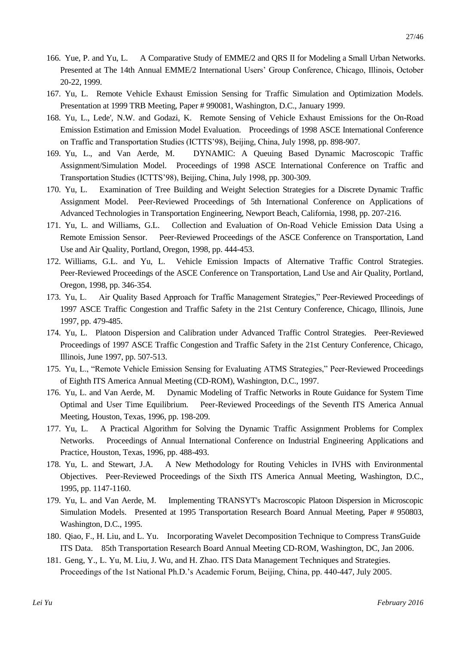- 166. Yue, P. and Yu, L. A Comparative Study of EMME/2 and QRS II for Modeling a Small Urban Networks. Presented at The 14th Annual EMME/2 International Users' Group Conference, Chicago, Illinois, October 20-22, 1999.
- 167. Yu, L. Remote Vehicle Exhaust Emission Sensing for Traffic Simulation and Optimization Models. Presentation at 1999 TRB Meeting, Paper # 990081, Washington, D.C., January 1999.
- 168. Yu, L., Lede', N.W. and Godazi, K. Remote Sensing of Vehicle Exhaust Emissions for the On-Road Emission Estimation and Emission Model Evaluation. Proceedings of 1998 ASCE International Conference on Traffic and Transportation Studies (ICTTS'98), Beijing, China, July 1998, pp. 898-907.
- 169. Yu, L., and Van Aerde, M. DYNAMIC: A Queuing Based Dynamic Macroscopic Traffic Assignment/Simulation Model. Proceedings of 1998 ASCE International Conference on Traffic and Transportation Studies (ICTTS'98), Beijing, China, July 1998, pp. 300-309.
- 170. Yu, L. Examination of Tree Building and Weight Selection Strategies for a Discrete Dynamic Traffic Assignment Model. Peer-Reviewed Proceedings of 5th International Conference on Applications of Advanced Technologies in Transportation Engineering, Newport Beach, California, 1998, pp. 207-216.
- 171. Yu, L. and Williams, G.L. Collection and Evaluation of On-Road Vehicle Emission Data Using a Remote Emission Sensor. Peer-Reviewed Proceedings of the ASCE Conference on Transportation, Land Use and Air Quality, Portland, Oregon, 1998, pp. 444-453.
- 172. Williams, G.L. and Yu, L. Vehicle Emission Impacts of Alternative Traffic Control Strategies. Peer-Reviewed Proceedings of the ASCE Conference on Transportation, Land Use and Air Quality, Portland, Oregon, 1998, pp. 346-354.
- 173. Yu, L. Air Quality Based Approach for Traffic Management Strategies," Peer-Reviewed Proceedings of 1997 ASCE Traffic Congestion and Traffic Safety in the 21st Century Conference, Chicago, Illinois, June 1997, pp. 479-485.
- 174. Yu, L. Platoon Dispersion and Calibration under Advanced Traffic Control Strategies. Peer-Reviewed Proceedings of 1997 ASCE Traffic Congestion and Traffic Safety in the 21st Century Conference, Chicago, Illinois, June 1997, pp. 507-513.
- 175. Yu, L., "Remote Vehicle Emission Sensing for Evaluating ATMS Strategies," Peer-Reviewed Proceedings of Eighth ITS America Annual Meeting (CD-ROM), Washington, D.C., 1997.
- 176. Yu, L. and Van Aerde, M. Dynamic Modeling of Traffic Networks in Route Guidance for System Time Optimal and User Time Equilibrium. Peer-Reviewed Proceedings of the Seventh ITS America Annual Meeting, Houston, Texas, 1996, pp. 198-209.
- 177. Yu, L. A Practical Algorithm for Solving the Dynamic Traffic Assignment Problems for Complex Networks. Proceedings of Annual International Conference on Industrial Engineering Applications and Practice, Houston, Texas, 1996, pp. 488-493.
- 178. Yu, L. and Stewart, J.A. A New Methodology for Routing Vehicles in IVHS with Environmental Objectives. Peer-Reviewed Proceedings of the Sixth ITS America Annual Meeting, Washington, D.C., 1995, pp. 1147-1160.
- 179. Yu, L. and Van Aerde, M. Implementing TRANSYT's Macroscopic Platoon Dispersion in Microscopic Simulation Models. Presented at 1995 Transportation Research Board Annual Meeting, Paper # 950803, Washington, D.C., 1995.
- 180. Qiao, F., H. Liu, and L. Yu. Incorporating Wavelet Decomposition Technique to Compress TransGuide ITS Data. 85th Transportation Research Board Annual Meeting CD-ROM, Washington, DC, Jan 2006.
- 181. Geng, Y., L. Yu, M. Liu, J. Wu, and H. Zhao. ITS Data Management Techniques and Strategies. Proceedings of the 1st National Ph.D.'s Academic Forum, Beijing, China, pp. 440-447, July 2005.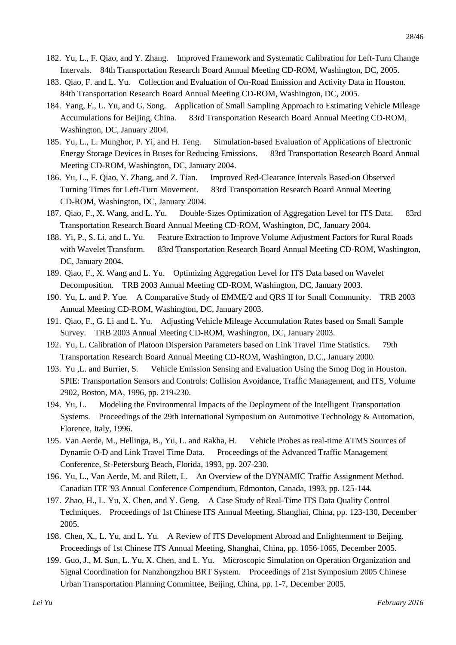- 182. Yu, L., F. Qiao, and Y. Zhang. Improved Framework and Systematic Calibration for Left-Turn Change Intervals. 84th Transportation Research Board Annual Meeting CD-ROM, Washington, DC, 2005.
- 183. Qiao, F. and L. Yu. Collection and Evaluation of On-Road Emission and Activity Data in Houston. 84th Transportation Research Board Annual Meeting CD-ROM, Washington, DC, 2005.
- 184. Yang, F., L. Yu, and G. Song. Application of Small Sampling Approach to Estimating Vehicle Mileage Accumulations for Beijing, China. 83rd Transportation Research Board Annual Meeting CD-ROM, Washington, DC, January 2004.
- 185. Yu, L., L. Munghor, P. Yi, and H. Teng. Simulation-based Evaluation of Applications of Electronic Energy Storage Devices in Buses for Reducing Emissions. 83rd Transportation Research Board Annual Meeting CD-ROM, Washington, DC, January 2004.
- 186. Yu, L., F. Qiao, Y. Zhang, and Z. Tian. Improved Red-Clearance Intervals Based-on Observed Turning Times for Left-Turn Movement. 83rd Transportation Research Board Annual Meeting CD-ROM, Washington, DC, January 2004.
- 187. Qiao, F., X. Wang, and L. Yu. Double-Sizes Optimization of Aggregation Level for ITS Data. 83rd Transportation Research Board Annual Meeting CD-ROM, Washington, DC, January 2004.
- 188. Yi, P., S. Li, and L. Yu. Feature Extraction to Improve Volume Adjustment Factors for Rural Roads with Wavelet Transform. 83rd Transportation Research Board Annual Meeting CD-ROM, Washington, DC, January 2004.
- 189. Qiao, F., X. Wang and L. Yu. Optimizing Aggregation Level for ITS Data based on Wavelet Decomposition. TRB 2003 Annual Meeting CD-ROM, Washington, DC, January 2003.
- 190. Yu, L. and P. Yue. A Comparative Study of EMME/2 and QRS II for Small Community. TRB 2003 Annual Meeting CD-ROM, Washington, DC, January 2003.
- 191. Qiao, F., G. Li and L. Yu. Adjusting Vehicle Mileage Accumulation Rates based on Small Sample Survey. TRB 2003 Annual Meeting CD-ROM, Washington, DC, January 2003.
- 192. Yu, L. Calibration of Platoon Dispersion Parameters based on Link Travel Time Statistics. 79th Transportation Research Board Annual Meeting CD-ROM, Washington, D.C., January 2000.
- 193. Yu ,L. and Burrier, S. Vehicle Emission Sensing and Evaluation Using the Smog Dog in Houston. SPIE: Transportation Sensors and Controls: Collision Avoidance, Traffic Management, and ITS, Volume 2902, Boston, MA, 1996, pp. 219-230.
- 194. Yu, L. Modeling the Environmental Impacts of the Deployment of the Intelligent Transportation Systems. Proceedings of the 29th International Symposium on Automotive Technology & Automation, Florence, Italy, 1996.
- 195. Van Aerde, M., Hellinga, B., Yu, L. and Rakha, H. Vehicle Probes as real-time ATMS Sources of Dynamic O-D and Link Travel Time Data. Proceedings of the Advanced Traffic Management Conference, St-Petersburg Beach, Florida, 1993, pp. 207-230.
- 196. Yu, L., Van Aerde, M. and Rilett, L. An Overview of the DYNAMIC Traffic Assignment Method. Canadian ITE '93 Annual Conference Compendium, Edmonton, Canada, 1993, pp. 125-144.
- 197. Zhao, H., L. Yu, X. Chen, and Y. Geng. A Case Study of Real-Time ITS Data Quality Control Techniques. Proceedings of 1st Chinese ITS Annual Meeting, Shanghai, China, pp. 123-130, December 2005.
- 198. Chen, X., L. Yu, and L. Yu. A Review of ITS Development Abroad and Enlightenment to Beijing. Proceedings of 1st Chinese ITS Annual Meeting, Shanghai, China, pp. 1056-1065, December 2005.
- 199. Guo, J., M. Sun, L. Yu, X. Chen, and L. Yu. Microscopic Simulation on Operation Organization and Signal Coordination for Nanzhongzhou BRT System. Proceedings of 21st Symposium 2005 Chinese Urban Transportation Planning Committee, Beijing, China, pp. 1-7, December 2005.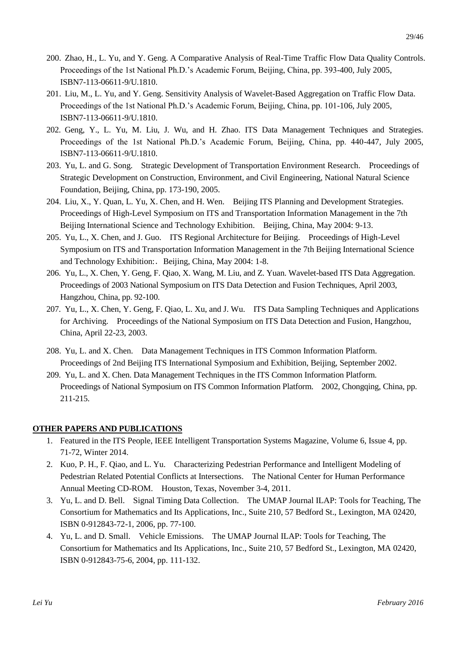- 200. Zhao, H., L. Yu, and Y. Geng. A Comparative Analysis of Real-Time Traffic Flow Data Quality Controls. Proceedings of the 1st National Ph.D.'s Academic Forum, Beijing, China, pp. 393-400, July 2005, ISBN7-113-06611-9/U.1810.
- 201. Liu, M., L. Yu, and Y. Geng. Sensitivity Analysis of Wavelet-Based Aggregation on Traffic Flow Data. Proceedings of the 1st National Ph.D.'s Academic Forum, Beijing, China, pp. 101-106, July 2005, ISBN7-113-06611-9/U.1810.
- 202. Geng, Y., L. Yu, M. Liu, J. Wu, and H. Zhao. ITS Data Management Techniques and Strategies. Proceedings of the 1st National Ph.D.'s Academic Forum, Beijing, China, pp. 440-447, July 2005, ISBN7-113-06611-9/U.1810.
- 203. Yu, L. and G. Song. Strategic Development of Transportation Environment Research. Proceedings of Strategic Development on Construction, Environment, and Civil Engineering, National Natural Science Foundation, Beijing, China, pp. 173-190, 2005.
- 204. Liu, X., Y. Quan, L. Yu, X. Chen, and H. Wen. Beijing ITS Planning and Development Strategies. Proceedings of High-Level Symposium on ITS and Transportation Information Management in the 7th Beijing International Science and Technology Exhibition. Beijing, China, May 2004: 9-13.
- 205. Yu, L., X. Chen, and J. Guo. ITS Regional Architecture for Beijing. Proceedings of High-Level Symposium on ITS and Transportation Information Management in the 7th Beijing International Science and Technology Exhibition: Beijing, China, May 2004: 1-8.
- 206. Yu, L., X. Chen, Y. Geng, F. Qiao, X. Wang, M. Liu, and Z. Yuan. Wavelet-based ITS Data Aggregation. Proceedings of 2003 National Symposium on ITS Data Detection and Fusion Techniques, April 2003, Hangzhou, China, pp. 92-100.
- 207. Yu, L., X. Chen, Y. Geng, F. Qiao, L. Xu, and J. Wu. ITS Data Sampling Techniques and Applications for Archiving. Proceedings of the National Symposium on ITS Data Detection and Fusion, Hangzhou, China, April 22-23, 2003.
- 208. Yu, L. and X. Chen. Data Management Techniques in ITS Common Information Platform. Proceedings of 2nd Beijing ITS International Symposium and Exhibition, Beijing, September 2002.
- 209. Yu, L. and X. Chen. Data Management Techniques in the ITS Common Information Platform. Proceedings of National Symposium on ITS Common Information Platform. 2002, Chongqing, China, pp. 211-215.

#### **OTHER PAPERS AND PUBLICATIONS**

- 1. Featured in the ITS People, IEEE Intelligent Transportation Systems Magazine, Volume 6, Issue 4, pp. 71-72, Winter 2014.
- 2. Kuo, P. H., F. Qiao, and L. Yu. Characterizing Pedestrian Performance and Intelligent Modeling of Pedestrian Related Potential Conflicts at Intersections. The National Center for Human Performance Annual Meeting CD-ROM. Houston, Texas, November 3-4, 2011.
- 3. Yu, L. and D. Bell. Signal Timing Data Collection. The UMAP Journal ILAP: Tools for Teaching, The Consortium for Mathematics and Its Applications, Inc., Suite 210, 57 Bedford St., Lexington, MA 02420, ISBN 0-912843-72-1, 2006, pp. 77-100.
- 4. Yu, L. and D. Small. Vehicle Emissions. The UMAP Journal ILAP: Tools for Teaching, The Consortium for Mathematics and Its Applications, Inc., Suite 210, 57 Bedford St., Lexington, MA 02420, ISBN 0-912843-75-6, 2004, pp. 111-132.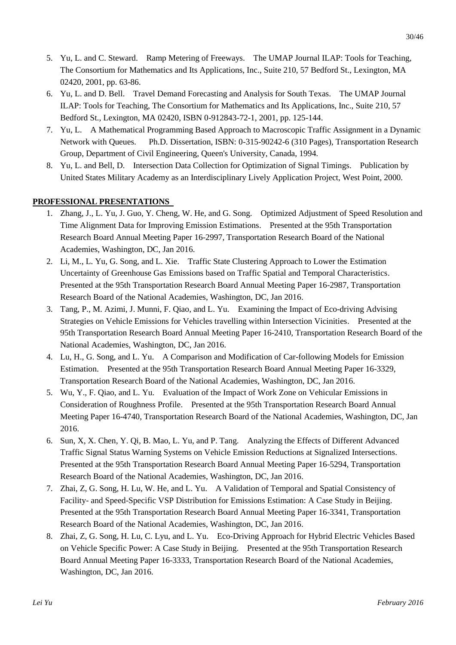- 5. Yu, L. and C. Steward. Ramp Metering of Freeways. The UMAP Journal ILAP: Tools for Teaching, The Consortium for Mathematics and Its Applications, Inc., Suite 210, 57 Bedford St., Lexington, MA 02420, 2001, pp. 63-86.
- 6. Yu, L. and D. Bell. Travel Demand Forecasting and Analysis for South Texas. The UMAP Journal ILAP: Tools for Teaching, The Consortium for Mathematics and Its Applications, Inc., Suite 210, 57 Bedford St., Lexington, MA 02420, ISBN 0-912843-72-1, 2001, pp. 125-144.
- 7. Yu, L. A Mathematical Programming Based Approach to Macroscopic Traffic Assignment in a Dynamic Network with Queues. Ph.D. Dissertation, ISBN: 0-315-90242-6 (310 Pages), Transportation Research Group, Department of Civil Engineering, Queen's University, Canada, 1994.
- 8. Yu, L. and Bell, D. Intersection Data Collection for Optimization of Signal Timings. Publication by United States Military Academy as an Interdisciplinary Lively Application Project, West Point, 2000.

## **PROFESSIONAL PRESENTATIONS**

- 1. Zhang, J., L. Yu, J. Guo, Y. Cheng, W. He, and G. Song. Optimized Adjustment of Speed Resolution and Time Alignment Data for Improving Emission Estimations. Presented at the 95th Transportation Research Board Annual Meeting Paper 16-2997, Transportation Research Board of the National Academies, Washington, DC, Jan 2016.
- 2. Li, M., L. Yu, G. Song, and L. Xie. Traffic State Clustering Approach to Lower the Estimation Uncertainty of Greenhouse Gas Emissions based on Traffic Spatial and Temporal Characteristics. Presented at the 95th Transportation Research Board Annual Meeting Paper 16-2987, Transportation Research Board of the National Academies, Washington, DC, Jan 2016.
- 3. Tang, P., M. Azimi, J. Munni, F. Qiao, and L. Yu. Examining the Impact of Eco-driving Advising Strategies on Vehicle Emissions for Vehicles travelling within Intersection Vicinities. Presented at the 95th Transportation Research Board Annual Meeting Paper 16-2410, Transportation Research Board of the National Academies, Washington, DC, Jan 2016.
- 4. Lu, H., G. Song, and L. Yu. A Comparison and Modification of Car-following Models for Emission Estimation. Presented at the 95th Transportation Research Board Annual Meeting Paper 16-3329, Transportation Research Board of the National Academies, Washington, DC, Jan 2016.
- 5. Wu, Y., F. Qiao, and L. Yu. Evaluation of the Impact of Work Zone on Vehicular Emissions in Consideration of Roughness Profile. Presented at the 95th Transportation Research Board Annual Meeting Paper 16-4740, Transportation Research Board of the National Academies, Washington, DC, Jan 2016.
- 6. Sun, X, X. Chen, Y. Qi, B. Mao, L. Yu, and P. Tang. Analyzing the Effects of Different Advanced Traffic Signal Status Warning Systems on Vehicle Emission Reductions at Signalized Intersections. Presented at the 95th Transportation Research Board Annual Meeting Paper 16-5294, Transportation Research Board of the National Academies, Washington, DC, Jan 2016.
- 7. Zhai, Z, G. Song, H. Lu, W. He, and L. Yu. A Validation of Temporal and Spatial Consistency of Facility- and Speed-Specific VSP Distribution for Emissions Estimation: A Case Study in Beijing. Presented at the 95th Transportation Research Board Annual Meeting Paper 16-3341, Transportation Research Board of the National Academies, Washington, DC, Jan 2016.
- 8. Zhai, Z, G. Song, H. Lu, C. Lyu, and L. Yu. Eco-Driving Approach for Hybrid Electric Vehicles Based on Vehicle Specific Power: A Case Study in Beijing. Presented at the 95th Transportation Research Board Annual Meeting Paper 16-3333, Transportation Research Board of the National Academies, Washington, DC, Jan 2016.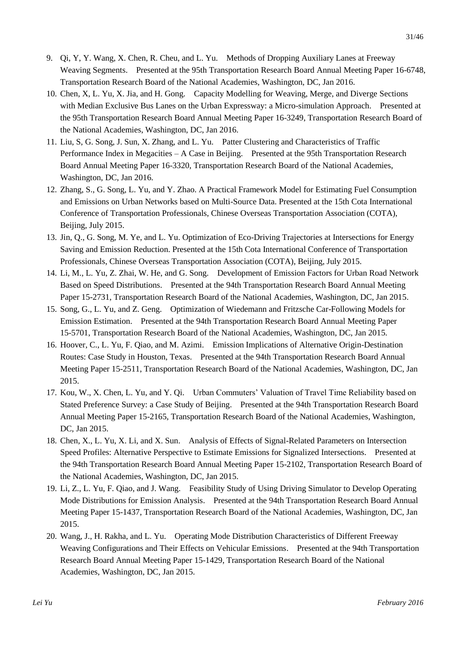- 9. Qi, Y, Y. Wang, X. Chen, R. Cheu, and L. Yu. Methods of Dropping Auxiliary Lanes at Freeway Weaving Segments. Presented at the 95th Transportation Research Board Annual Meeting Paper 16-6748, Transportation Research Board of the National Academies, Washington, DC, Jan 2016.
- 10. Chen, X, L. Yu, X. Jia, and H. Gong. Capacity Modelling for Weaving, Merge, and Diverge Sections with Median Exclusive Bus Lanes on the Urban Expressway: a Micro-simulation Approach. Presented at the 95th Transportation Research Board Annual Meeting Paper 16-3249, Transportation Research Board of the National Academies, Washington, DC, Jan 2016.
- 11. Liu, S, G. Song, J. Sun, X. Zhang, and L. Yu. Patter Clustering and Characteristics of Traffic Performance Index in Megacities – A Case in Beijing. Presented at the 95th Transportation Research Board Annual Meeting Paper 16-3320, Transportation Research Board of the National Academies, Washington, DC, Jan 2016.
- 12. Zhang, S., G. Song, L. Yu, and Y. Zhao. A Practical Framework Model for Estimating Fuel Consumption and Emissions on Urban Networks based on Multi-Source Data. Presented at the 15th Cota International Conference of Transportation Professionals, Chinese Overseas Transportation Association (COTA), Beijing, July 2015.
- 13. Jin, Q., G. Song, M. Ye, and L. Yu. Optimization of Eco-Driving Trajectories at Intersections for Energy Saving and Emission Reduction. Presented at the 15th Cota International Conference of Transportation Professionals, Chinese Overseas Transportation Association (COTA), Beijing, July 2015.
- 14. Li, M., L. Yu, Z. Zhai, W. He, and G. Song. Development of Emission Factors for Urban Road Network Based on Speed Distributions. Presented at the 94th Transportation Research Board Annual Meeting Paper 15-2731, Transportation Research Board of the National Academies, Washington, DC, Jan 2015.
- 15. Song, G., L. Yu, and Z. Geng. Optimization of Wiedemann and Fritzsche Car-Following Models for Emission Estimation. Presented at the 94th Transportation Research Board Annual Meeting Paper 15-5701, Transportation Research Board of the National Academies, Washington, DC, Jan 2015.
- 16. Hoover, C., L. Yu, F. Qiao, and M. Azimi. Emission Implications of Alternative Origin-Destination Routes: Case Study in Houston, Texas. Presented at the 94th Transportation Research Board Annual Meeting Paper 15-2511, Transportation Research Board of the National Academies, Washington, DC, Jan 2015.
- 17. Kou, W., X. Chen, L. Yu, and Y. Qi. Urban Commuters' Valuation of Travel Time Reliability based on Stated Preference Survey: a Case Study of Beijing. Presented at the 94th Transportation Research Board Annual Meeting Paper 15-2165, Transportation Research Board of the National Academies, Washington, DC, Jan 2015.
- 18. Chen, X., L. Yu, X. Li, and X. Sun. Analysis of Effects of Signal-Related Parameters on Intersection Speed Profiles: Alternative Perspective to Estimate Emissions for Signalized Intersections. Presented at the 94th Transportation Research Board Annual Meeting Paper 15-2102, Transportation Research Board of the National Academies, Washington, DC, Jan 2015.
- 19. Li, Z., L. Yu, F. Qiao, and J. Wang. Feasibility Study of Using Driving Simulator to Develop Operating Mode Distributions for Emission Analysis. Presented at the 94th Transportation Research Board Annual Meeting Paper 15-1437, Transportation Research Board of the National Academies, Washington, DC, Jan 2015.
- 20. Wang, J., H. Rakha, and L. Yu. Operating Mode Distribution Characteristics of Different Freeway Weaving Configurations and Their Effects on Vehicular Emissions. Presented at the 94th Transportation Research Board Annual Meeting Paper 15-1429, Transportation Research Board of the National Academies, Washington, DC, Jan 2015.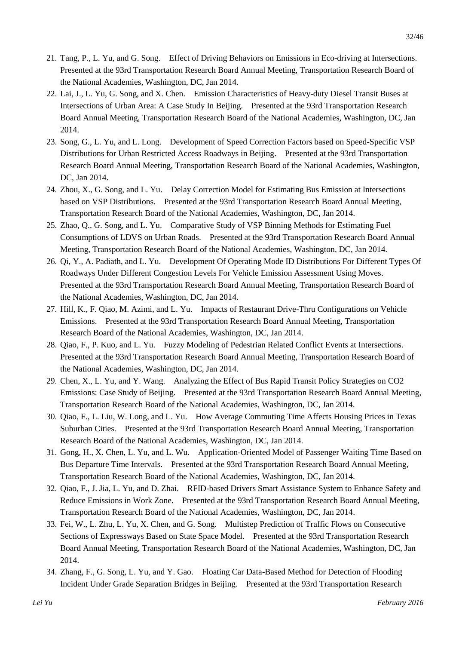- 21. Tang, P., L. Yu, and G. Song. Effect of Driving Behaviors on Emissions in Eco-driving at Intersections. Presented at the 93rd Transportation Research Board Annual Meeting, Transportation Research Board of the National Academies, Washington, DC, Jan 2014.
- 22. Lai, J., L. Yu, G. Song, and X. Chen. Emission Characteristics of Heavy-duty Diesel Transit Buses at Intersections of Urban Area: A Case Study In Beijing. Presented at the 93rd Transportation Research Board Annual Meeting, Transportation Research Board of the National Academies, Washington, DC, Jan 2014.
- 23. Song, G., L. Yu, and L. Long. Development of Speed Correction Factors based on Speed-Specific VSP Distributions for Urban Restricted Access Roadways in Beijing. Presented at the 93rd Transportation Research Board Annual Meeting, Transportation Research Board of the National Academies, Washington, DC, Jan 2014.
- 24. Zhou, X., G. Song, and L. Yu. Delay Correction Model for Estimating Bus Emission at Intersections based on VSP Distributions. Presented at the 93rd Transportation Research Board Annual Meeting, Transportation Research Board of the National Academies, Washington, DC, Jan 2014.
- 25. Zhao, Q., G. Song, and L. Yu. Comparative Study of VSP Binning Methods for Estimating Fuel Consumptions of LDVS on Urban Roads. Presented at the 93rd Transportation Research Board Annual Meeting, Transportation Research Board of the National Academies, Washington, DC, Jan 2014.
- 26. Qi, Y., A. Padiath, and L. Yu. Development Of Operating Mode ID Distributions For Different Types Of Roadways Under Different Congestion Levels For Vehicle Emission Assessment Using Moves. Presented at the 93rd Transportation Research Board Annual Meeting, Transportation Research Board of the National Academies, Washington, DC, Jan 2014.
- 27. Hill, K., F. Qiao, M. Azimi, and L. Yu. Impacts of Restaurant Drive-Thru Configurations on Vehicle Emissions. Presented at the 93rd Transportation Research Board Annual Meeting, Transportation Research Board of the National Academies, Washington, DC, Jan 2014.
- 28. Qiao, F., P. Kuo, and L. Yu. Fuzzy Modeling of Pedestrian Related Conflict Events at Intersections. Presented at the 93rd Transportation Research Board Annual Meeting, Transportation Research Board of the National Academies, Washington, DC, Jan 2014.
- 29. Chen, X., L. Yu, and Y. Wang. Analyzing the Effect of Bus Rapid Transit Policy Strategies on CO2 Emissions: Case Study of Beijing. Presented at the 93rd Transportation Research Board Annual Meeting, Transportation Research Board of the National Academies, Washington, DC, Jan 2014.
- 30. Qiao, F., L. Liu, W. Long, and L. Yu. How Average Commuting Time Affects Housing Prices in Texas Suburban Cities. Presented at the 93rd Transportation Research Board Annual Meeting, Transportation Research Board of the National Academies, Washington, DC, Jan 2014.
- 31. Gong, H., X. Chen, L. Yu, and L. Wu. Application-Oriented Model of Passenger Waiting Time Based on Bus Departure Time Intervals. Presented at the 93rd Transportation Research Board Annual Meeting, Transportation Research Board of the National Academies, Washington, DC, Jan 2014.
- 32. Qiao, F., J. Jia, L. Yu, and D. Zhai. RFID-based Drivers Smart Assistance System to Enhance Safety and Reduce Emissions in Work Zone. Presented at the 93rd Transportation Research Board Annual Meeting, Transportation Research Board of the National Academies, Washington, DC, Jan 2014.
- 33. Fei, W., L. Zhu, L. Yu, X. Chen, and G. Song. Multistep Prediction of Traffic Flows on Consecutive Sections of Expressways Based on State Space Model. Presented at the 93rd Transportation Research Board Annual Meeting, Transportation Research Board of the National Academies, Washington, DC, Jan 2014.
- 34. Zhang, F., G. Song, L. Yu, and Y. Gao. Floating Car Data-Based Method for Detection of Flooding Incident Under Grade Separation Bridges in Beijing. Presented at the 93rd Transportation Research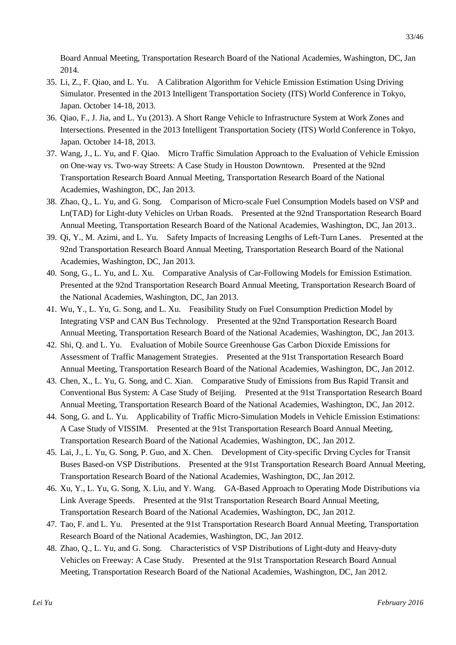Board Annual Meeting, Transportation Research Board of the National Academies, Washington, DC, Jan 2014.

- 35. Li, Z., F. Qiao, and L. Yu. A Calibration Algorithm for Vehicle Emission Estimation Using Driving Simulator. Presented in the 2013 Intelligent Transportation Society (ITS) World Conference in Tokyo, Japan. October 14-18, 2013.
- 36. Qiao, F., J. Jia, and L. Yu (2013). A Short Range Vehicle to Infrastructure System at Work Zones and Intersections. Presented in the 2013 Intelligent Transportation Society (ITS) World Conference in Tokyo, Japan. October 14-18, 2013.
- 37. Wang, J., L. Yu, and F. Qiao. Micro Traffic Simulation Approach to the Evaluation of Vehicle Emission on One-way vs. Two-way Streets: A Case Study in Houston Downtown. Presented at the 92nd Transportation Research Board Annual Meeting, Transportation Research Board of the National Academies, Washington, DC, Jan 2013.
- 38. Zhao, Q., L. Yu, and G. Song. Comparison of Micro-scale Fuel Consumption Models based on VSP and Ln(TAD) for Light-duty Vehicles on Urban Roads. Presented at the 92nd Transportation Research Board Annual Meeting, Transportation Research Board of the National Academies, Washington, DC, Jan 2013..
- 39. Qi, Y., M. Azimi, and L. Yu. Safety Impacts of Increasing Lengths of Left-Turn Lanes. Presented at the 92nd Transportation Research Board Annual Meeting, Transportation Research Board of the National Academies, Washington, DC, Jan 2013.
- 40. Song, G., L. Yu, and L. Xu. Comparative Analysis of Car-Following Models for Emission Estimation. Presented at the 92nd Transportation Research Board Annual Meeting, Transportation Research Board of the National Academies, Washington, DC, Jan 2013.
- 41. Wu, Y., L. Yu, G. Song, and L. Xu. Feasibility Study on Fuel Consumption Prediction Model by Integrating VSP and CAN Bus Technology. Presented at the 92nd Transportation Research Board Annual Meeting, Transportation Research Board of the National Academies, Washington, DC, Jan 2013.
- 42. Shi, Q. and L. Yu. Evaluation of Mobile Source Greenhouse Gas Carbon Dioxide Emissions for Assessment of Traffic Management Strategies. Presented at the 91st Transportation Research Board Annual Meeting, Transportation Research Board of the National Academies, Washington, DC, Jan 2012.
- 43. Chen, X., L. Yu, G. Song, and C. Xian. Comparative Study of Emissions from Bus Rapid Transit and Conventional Bus System: A Case Study of Beijing. Presented at the 91st Transportation Research Board Annual Meeting, Transportation Research Board of the National Academies, Washington, DC, Jan 2012.
- 44. Song, G. and L. Yu. Applicability of Traffic Micro-Simulation Models in Vehicle Emission Estimations: A Case Study of VISSIM. Presented at the 91st Transportation Research Board Annual Meeting, Transportation Research Board of the National Academies, Washington, DC, Jan 2012.
- 45. Lai, J., L. Yu, G. Song, P. Guo, and X. Chen. Development of City-specific Drving Cycles for Transit Buses Based-on VSP Distributions. Presented at the 91st Transportation Research Board Annual Meeting, Transportation Research Board of the National Academies, Washington, DC, Jan 2012.
- 46. Xu, Y., L. Yu, G. Song, X. Liu, and Y. Wang. GA-Based Approach to Operating Mode Distributions via Link Average Speeds. Presented at the 91st Transportation Research Board Annual Meeting, Transportation Research Board of the National Academies, Washington, DC, Jan 2012.
- 47. Tao, F. and L. Yu. Presented at the 91st Transportation Research Board Annual Meeting, Transportation Research Board of the National Academies, Washington, DC, Jan 2012.
- 48. Zhao, Q., L. Yu, and G. Song. Characteristics of VSP Distributions of Light-duty and Heavy-duty Vehicles on Freeway: A Case Study. Presented at the 91st Transportation Research Board Annual Meeting, Transportation Research Board of the National Academies, Washington, DC, Jan 2012.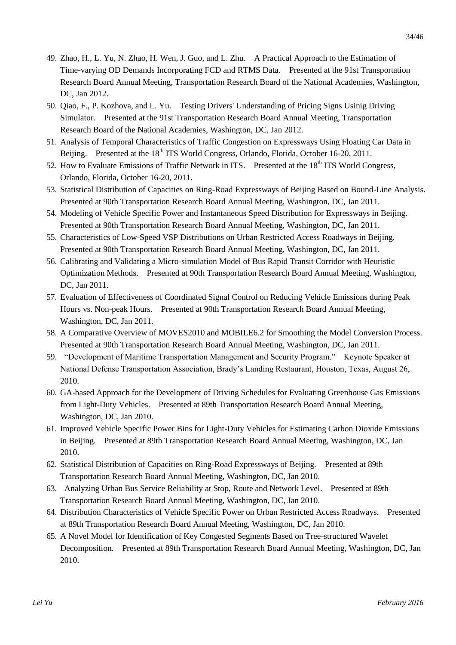- 49. Zhao, H., L. Yu, N. Zhao, H. Wen, J. Guo, and L. Zhu. A Practical Approach to the Estimation of Time-varying OD Demands Incorporating FCD and RTMS Data. Presented at the 91st Transportation Research Board Annual Meeting, Transportation Research Board of the National Academies, Washington, DC, Jan 2012.
- 50. Qiao, F., P. Kozhova, and L. Yu. Testing Drivers' Understanding of Pricing Signs Usinig Driving Simulator. Presented at the 91st Transportation Research Board Annual Meeting, Transportation Research Board of the National Academies, Washington, DC, Jan 2012.
- 51. Analysis of Temporal Characteristics of Traffic Congestion on Expressways Using Floating Car Data in Beijing. Presented at the 18<sup>th</sup> ITS World Congress, Orlando, Florida, October 16-20, 2011.
- 52. How to Evaluate Emissions of Traffic Network in ITS. Presented at the 18<sup>th</sup> ITS World Congress, Orlando, Florida, October 16-20, 2011.
- 53. Statistical Distribution of Capacities on Ring-Road Expressways of Beijing Based on Bound-Line Analysis. Presented at 90th Transportation Research Board Annual Meeting, Washington, DC, Jan 2011.
- 54. Modeling of Vehicle Specific Power and Instantaneous Speed Distribution for Expressways in Beijing. Presented at 90th Transportation Research Board Annual Meeting, Washington, DC, Jan 2011.
- 55. Characteristics of Low-Speed VSP Distributions on Urban Restricted Access Roadways in Beijing. Presented at 90th Transportation Research Board Annual Meeting, Washington, DC, Jan 2011.
- 56. Calibrating and Validating a Micro-simulation Model of Bus Rapid Transit Corridor with Heuristic Optimization Methods. Presented at 90th Transportation Research Board Annual Meeting, Washington, DC, Jan 2011.
- 57. Evaluation of Effectiveness of Coordinated Signal Control on Reducing Vehicle Emissions during Peak Hours vs. Non-peak Hours. Presented at 90th Transportation Research Board Annual Meeting, Washington, DC, Jan 2011.
- 58. A Comparative Overview of MOVES2010 and MOBILE6.2 for Smoothing the Model Conversion Process. Presented at 90th Transportation Research Board Annual Meeting, Washington, DC, Jan 2011.
- 59. "Development of Maritime Transportation Management and Security Program." Keynote Speaker at National Defense Transportation Association, Brady's Landing Restaurant, Houston, Texas, August 26, 2010.
- 60. GA-based Approach for the Development of Driving Schedules for Evaluating Greenhouse Gas Emissions from Light-Duty Vehicles. Presented at 89th Transportation Research Board Annual Meeting, Washington, DC, Jan 2010.
- 61. Improved Vehicle Specific Power Bins for Light-Duty Vehicles for Estimating Carbon Dioxide Emissions in Beijing. Presented at 89th Transportation Research Board Annual Meeting, Washington, DC, Jan 2010.
- 62. Statistical Distribution of Capacities on Ring-Road Expressways of Beijing. Presented at 89th Transportation Research Board Annual Meeting, Washington, DC, Jan 2010.
- 63. Analyzing Urban Bus Service Reliability at Stop, Route and Network Level. Presented at 89th Transportation Research Board Annual Meeting, Washington, DC, Jan 2010.
- 64. Distribution Characteristics of Vehicle Specific Power on Urban Restricted Access Roadways. Presented at 89th Transportation Research Board Annual Meeting, Washington, DC, Jan 2010.
- 65. A Novel Model for Identification of Key Congested Segments Based on Tree-structured Wavelet Decomposition. Presented at 89th Transportation Research Board Annual Meeting, Washington, DC, Jan 2010.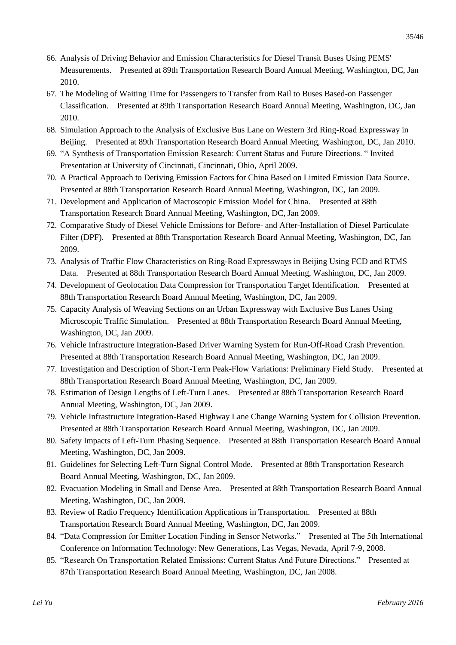- 66. Analysis of Driving Behavior and Emission Characteristics for Diesel Transit Buses Using PEMS' Measurements. Presented at 89th Transportation Research Board Annual Meeting, Washington, DC, Jan 2010.
- 67. The Modeling of Waiting Time for Passengers to Transfer from Rail to Buses Based-on Passenger Classification. Presented at 89th Transportation Research Board Annual Meeting, Washington, DC, Jan 2010.
- 68. Simulation Approach to the Analysis of Exclusive Bus Lane on Western 3rd Ring-Road Expressway in Beijing. Presented at 89th Transportation Research Board Annual Meeting, Washington, DC, Jan 2010.
- 69. "A Synthesis of Transportation Emission Research: Current Status and Future Directions. " Invited Presentation at University of Cincinnati, Cincinnati, Ohio, April 2009.
- 70. A Practical Approach to Deriving Emission Factors for China Based on Limited Emission Data Source. Presented at 88th Transportation Research Board Annual Meeting, Washington, DC, Jan 2009.
- 71. Development and Application of Macroscopic Emission Model for China. Presented at 88th Transportation Research Board Annual Meeting, Washington, DC, Jan 2009.
- 72. Comparative Study of Diesel Vehicle Emissions for Before- and After-Installation of Diesel Particulate Filter (DPF). Presented at 88th Transportation Research Board Annual Meeting, Washington, DC, Jan 2009.
- 73. Analysis of Traffic Flow Characteristics on Ring-Road Expressways in Beijing Using FCD and RTMS Data. Presented at 88th Transportation Research Board Annual Meeting, Washington, DC, Jan 2009.
- 74. Development of Geolocation Data Compression for Transportation Target Identification. Presented at 88th Transportation Research Board Annual Meeting, Washington, DC, Jan 2009.
- 75. Capacity Analysis of Weaving Sections on an Urban Expressway with Exclusive Bus Lanes Using Microscopic Traffic Simulation. Presented at 88th Transportation Research Board Annual Meeting, Washington, DC, Jan 2009.
- 76. Vehicle Infrastructure Integration-Based Driver Warning System for Run-Off-Road Crash Prevention. Presented at 88th Transportation Research Board Annual Meeting, Washington, DC, Jan 2009.
- 77. Investigation and Description of Short-Term Peak-Flow Variations: Preliminary Field Study. Presented at 88th Transportation Research Board Annual Meeting, Washington, DC, Jan 2009.
- 78. Estimation of Design Lengths of Left-Turn Lanes. Presented at 88th Transportation Research Board Annual Meeting, Washington, DC, Jan 2009.
- 79. Vehicle Infrastructure Integration-Based Highway Lane Change Warning System for Collision Prevention. Presented at 88th Transportation Research Board Annual Meeting, Washington, DC, Jan 2009.
- 80. Safety Impacts of Left-Turn Phasing Sequence. Presented at 88th Transportation Research Board Annual Meeting, Washington, DC, Jan 2009.
- 81. Guidelines for Selecting Left-Turn Signal Control Mode. Presented at 88th Transportation Research Board Annual Meeting, Washington, DC, Jan 2009.
- 82. Evacuation Modeling in Small and Dense Area. Presented at 88th Transportation Research Board Annual Meeting, Washington, DC, Jan 2009.
- 83. Review of Radio Frequency Identification Applications in Transportation. Presented at 88th Transportation Research Board Annual Meeting, Washington, DC, Jan 2009.
- 84. "Data Compression for Emitter Location Finding in Sensor Networks." Presented at The 5th International Conference on Information Technology: New Generations, Las Vegas, Nevada, April 7-9, 2008.
- 85. "Research On Transportation Related Emissions: Current Status And Future Directions." Presented at 87th Transportation Research Board Annual Meeting, Washington, DC, Jan 2008.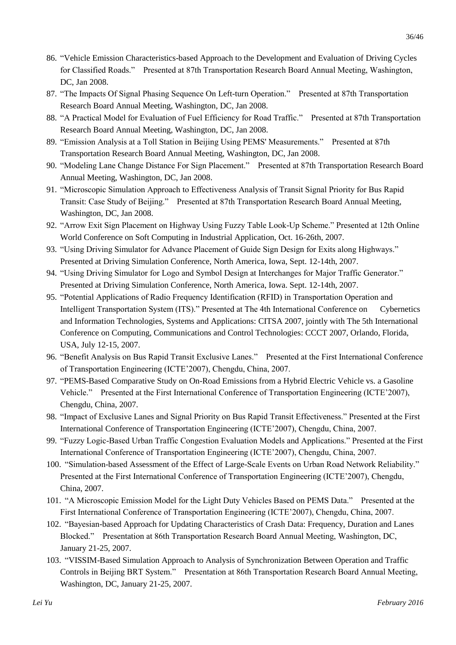- 86. "Vehicle Emission Characteristics-based Approach to the Development and Evaluation of Driving Cycles for Classified Roads." Presented at 87th Transportation Research Board Annual Meeting, Washington, DC, Jan 2008.
- 87. "The Impacts Of Signal Phasing Sequence On Left-turn Operation." Presented at 87th Transportation Research Board Annual Meeting, Washington, DC, Jan 2008.
- 88. "A Practical Model for Evaluation of Fuel Efficiency for Road Traffic." Presented at 87th Transportation Research Board Annual Meeting, Washington, DC, Jan 2008.
- 89. "Emission Analysis at a Toll Station in Beijing Using PEMS' Measurements." Presented at 87th Transportation Research Board Annual Meeting, Washington, DC, Jan 2008.
- 90. "Modeling Lane Change Distance For Sign Placement." Presented at 87th Transportation Research Board Annual Meeting, Washington, DC, Jan 2008.
- 91. "Microscopic Simulation Approach to Effectiveness Analysis of Transit Signal Priority for Bus Rapid Transit: Case Study of Beijing." Presented at 87th Transportation Research Board Annual Meeting, Washington, DC, Jan 2008.
- 92. "Arrow Exit Sign Placement on Highway Using Fuzzy Table Look-Up Scheme." Presented at 12th Online World Conference on Soft Computing in Industrial Application, Oct. 16-26th, 2007.
- 93. "Using Driving Simulator for Advance Placement of Guide Sign Design for Exits along Highways." Presented at Driving Simulation Conference, North America, Iowa, Sept. 12-14th, 2007.
- 94. "Using Driving Simulator for Logo and Symbol Design at Interchanges for Major Traffic Generator." Presented at Driving Simulation Conference, North America, Iowa. Sept. 12-14th, 2007.
- 95. "Potential Applications of Radio Frequency Identification (RFID) in Transportation Operation and Intelligent Transportation System (ITS)." Presented at The 4th International Conference on Cybernetics and Information Technologies, Systems and Applications: CITSA 2007, jointly with The 5th International Conference on Computing, Communications and Control Technologies: CCCT 2007, Orlando, Florida, USA, July 12-15, 2007.
- 96. "Benefit Analysis on Bus Rapid Transit Exclusive Lanes." Presented at the First International Conference of Transportation Engineering (ICTE'2007), Chengdu, China, 2007.
- 97. "PEMS-Based Comparative Study on On-Road Emissions from a Hybrid Electric Vehicle vs. a Gasoline Vehicle." Presented at the First International Conference of Transportation Engineering (ICTE'2007), Chengdu, China, 2007.
- 98. "Impact of Exclusive Lanes and Signal Priority on Bus Rapid Transit Effectiveness." Presented at the First International Conference of Transportation Engineering (ICTE'2007), Chengdu, China, 2007.
- 99. "Fuzzy Logic-Based Urban Traffic Congestion Evaluation Models and Applications." Presented at the First International Conference of Transportation Engineering (ICTE'2007), Chengdu, China, 2007.
- 100. "Simulation-based Assessment of the Effect of Large-Scale Events on Urban Road Network Reliability." Presented at the First International Conference of Transportation Engineering (ICTE'2007), Chengdu, China, 2007.
- 101. "A Microscopic Emission Model for the Light Duty Vehicles Based on PEMS Data." Presented at the First International Conference of Transportation Engineering (ICTE'2007), Chengdu, China, 2007.
- 102. "Bayesian-based Approach for Updating Characteristics of Crash Data: Frequency, Duration and Lanes Blocked." Presentation at 86th Transportation Research Board Annual Meeting, Washington, DC, January 21-25, 2007.
- 103. "VISSIM-Based Simulation Approach to Analysis of Synchronization Between Operation and Traffic Controls in Beijing BRT System." Presentation at 86th Transportation Research Board Annual Meeting, Washington, DC, January 21-25, 2007.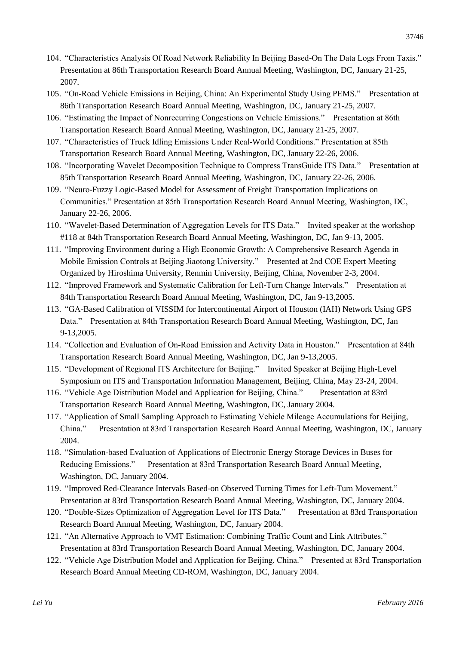- 104. "Characteristics Analysis Of Road Network Reliability In Beijing Based-On The Data Logs From Taxis." Presentation at 86th Transportation Research Board Annual Meeting, Washington, DC, January 21-25, 2007.
- 105. "On-Road Vehicle Emissions in Beijing, China: An Experimental Study Using PEMS." Presentation at 86th Transportation Research Board Annual Meeting, Washington, DC, January 21-25, 2007.
- 106. "Estimating the Impact of Nonrecurring Congestions on Vehicle Emissions." Presentation at 86th Transportation Research Board Annual Meeting, Washington, DC, January 21-25, 2007.
- 107. "Characteristics of Truck Idling Emissions Under Real-World Conditions." Presentation at 85th Transportation Research Board Annual Meeting, Washington, DC, January 22-26, 2006.
- 108. "Incorporating Wavelet Decomposition Technique to Compress TransGuide ITS Data." Presentation at 85th Transportation Research Board Annual Meeting, Washington, DC, January 22-26, 2006.
- 109. "Neuro-Fuzzy Logic-Based Model for Assessment of Freight Transportation Implications on Communities." Presentation at 85th Transportation Research Board Annual Meeting, Washington, DC, January 22-26, 2006.
- 110. "Wavelet-Based Determination of Aggregation Levels for ITS Data." Invited speaker at the workshop #118 at 84th Transportation Research Board Annual Meeting, Washington, DC, Jan 9-13, 2005.
- 111. "Improving Environment during a High Economic Growth: A Comprehensive Research Agenda in Mobile Emission Controls at Beijing Jiaotong University." Presented at 2nd COE Expert Meeting Organized by Hiroshima University, Renmin University, Beijing, China, November 2-3, 2004.
- 112. "Improved Framework and Systematic Calibration for Left-Turn Change Intervals." Presentation at 84th Transportation Research Board Annual Meeting, Washington, DC, Jan 9-13,2005.
- 113. "GA-Based Calibration of VISSIM for Intercontinental Airport of Houston (IAH) Network Using GPS Data." Presentation at 84th Transportation Research Board Annual Meeting, Washington, DC, Jan 9-13,2005.
- 114. "Collection and Evaluation of On-Road Emission and Activity Data in Houston." Presentation at 84th Transportation Research Board Annual Meeting, Washington, DC, Jan 9-13,2005.
- 115. "Development of Regional ITS Architecture for Beijing." Invited Speaker at Beijing High-Level Symposium on ITS and Transportation Information Management, Beijing, China, May 23-24, 2004.
- 116. "Vehicle Age Distribution Model and Application for Beijing, China." Presentation at 83rd Transportation Research Board Annual Meeting, Washington, DC, January 2004.
- 117. "Application of Small Sampling Approach to Estimating Vehicle Mileage Accumulations for Beijing, China." Presentation at 83rd Transportation Research Board Annual Meeting, Washington, DC, January 2004.
- 118. "Simulation-based Evaluation of Applications of Electronic Energy Storage Devices in Buses for Reducing Emissions." Presentation at 83rd Transportation Research Board Annual Meeting, Washington, DC, January 2004.
- 119. "Improved Red-Clearance Intervals Based-on Observed Turning Times for Left-Turn Movement." Presentation at 83rd Transportation Research Board Annual Meeting, Washington, DC, January 2004.
- 120. "Double-Sizes Optimization of Aggregation Level for ITS Data." Presentation at 83rd Transportation Research Board Annual Meeting, Washington, DC, January 2004.
- 121. "An Alternative Approach to VMT Estimation: Combining Traffic Count and Link Attributes." Presentation at 83rd Transportation Research Board Annual Meeting, Washington, DC, January 2004.
- 122. "Vehicle Age Distribution Model and Application for Beijing, China." Presented at 83rd Transportation Research Board Annual Meeting CD-ROM, Washington, DC, January 2004.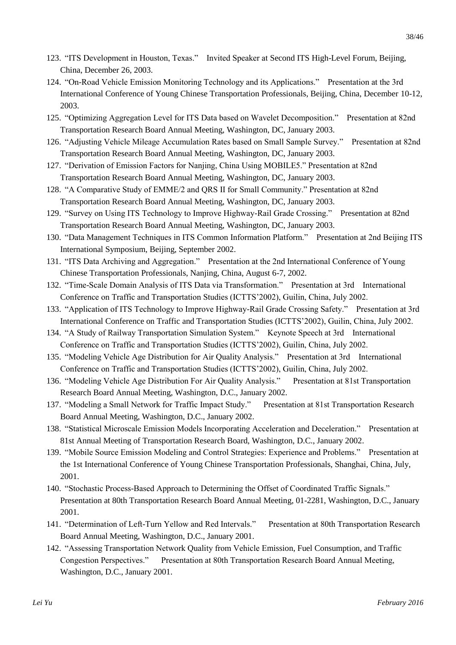- 123. "ITS Development in Houston, Texas." Invited Speaker at Second ITS High-Level Forum, Beijing, China, December 26, 2003.
- 124. "On-Road Vehicle Emission Monitoring Technology and its Applications." Presentation at the 3rd International Conference of Young Chinese Transportation Professionals, Beijing, China, December 10-12, 2003.
- 125. "Optimizing Aggregation Level for ITS Data based on Wavelet Decomposition." Presentation at 82nd Transportation Research Board Annual Meeting, Washington, DC, January 2003.
- 126. "Adjusting Vehicle Mileage Accumulation Rates based on Small Sample Survey." Presentation at 82nd Transportation Research Board Annual Meeting, Washington, DC, January 2003.
- 127. "Derivation of Emission Factors for Nanjing, China Using MOBILE5." Presentation at 82nd Transportation Research Board Annual Meeting, Washington, DC, January 2003.
- 128. "A Comparative Study of EMME/2 and QRS II for Small Community." Presentation at 82nd Transportation Research Board Annual Meeting, Washington, DC, January 2003.
- 129. "Survey on Using ITS Technology to Improve Highway-Rail Grade Crossing." Presentation at 82nd Transportation Research Board Annual Meeting, Washington, DC, January 2003.
- 130. "Data Management Techniques in ITS Common Information Platform." Presentation at 2nd Beijing ITS International Symposium, Beijing, September 2002.
- 131. "ITS Data Archiving and Aggregation." Presentation at the 2nd International Conference of Young Chinese Transportation Professionals, Nanjing, China, August 6-7, 2002.
- 132. "Time-Scale Domain Analysis of ITS Data via Transformation." Presentation at 3rd International Conference on Traffic and Transportation Studies (ICTTS'2002), Guilin, China, July 2002.
- 133. "Application of ITS Technology to Improve Highway-Rail Grade Crossing Safety." Presentation at 3rd International Conference on Traffic and Transportation Studies (ICTTS'2002), Guilin, China, July 2002.
- 134. "A Study of Railway Transportation Simulation System." Keynote Speech at 3rd International Conference on Traffic and Transportation Studies (ICTTS'2002), Guilin, China, July 2002.
- 135. "Modeling Vehicle Age Distribution for Air Quality Analysis." Presentation at 3rd International Conference on Traffic and Transportation Studies (ICTTS'2002), Guilin, China, July 2002.
- 136. "Modeling Vehicle Age Distribution For Air Quality Analysis." Presentation at 81st Transportation Research Board Annual Meeting, Washington, D.C., January 2002.
- 137. "Modeling a Small Network for Traffic Impact Study." Presentation at 81st Transportation Research Board Annual Meeting, Washington, D.C., January 2002.
- 138. "Statistical Microscale Emission Models Incorporating Acceleration and Deceleration." Presentation at 81st Annual Meeting of Transportation Research Board, Washington, D.C., January 2002.
- 139. "Mobile Source Emission Modeling and Control Strategies: Experience and Problems." Presentation at the 1st International Conference of Young Chinese Transportation Professionals, Shanghai, China, July, 2001.
- 140. "Stochastic Process-Based Approach to Determining the Offset of Coordinated Traffic Signals." Presentation at 80th Transportation Research Board Annual Meeting, 01-2281, Washington, D.C., January 2001.
- 141. "Determination of Left-Turn Yellow and Red Intervals." Presentation at 80th Transportation Research Board Annual Meeting, Washington, D.C., January 2001.
- 142. "Assessing Transportation Network Quality from Vehicle Emission, Fuel Consumption, and Traffic Congestion Perspectives." Presentation at 80th Transportation Research Board Annual Meeting, Washington, D.C., January 2001.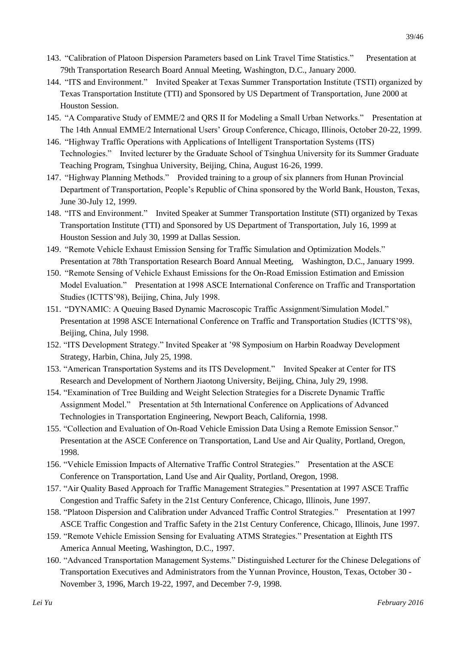- 143. "Calibration of Platoon Dispersion Parameters based on Link Travel Time Statistics." Presentation at 79th Transportation Research Board Annual Meeting, Washington, D.C., January 2000.
- 144. "ITS and Environment." Invited Speaker at Texas Summer Transportation Institute (TSTI) organized by Texas Transportation Institute (TTI) and Sponsored by US Department of Transportation, June 2000 at Houston Session.
- 145. "A Comparative Study of EMME/2 and QRS II for Modeling a Small Urban Networks." Presentation at The 14th Annual EMME/2 International Users' Group Conference, Chicago, Illinois, October 20-22, 1999.
- 146. "Highway Traffic Operations with Applications of Intelligent Transportation Systems (ITS) Technologies." Invited lecturer by the Graduate School of Tsinghua University for its Summer Graduate Teaching Program, Tsinghua University, Beijing, China, August 16-26, 1999.
- 147. "Highway Planning Methods." Provided training to a group of six planners from Hunan Provincial Department of Transportation, People's Republic of China sponsored by the World Bank, Houston, Texas, June 30-July 12, 1999.
- 148. "ITS and Environment." Invited Speaker at Summer Transportation Institute (STI) organized by Texas Transportation Institute (TTI) and Sponsored by US Department of Transportation, July 16, 1999 at Houston Session and July 30, 1999 at Dallas Session.
- 149. "Remote Vehicle Exhaust Emission Sensing for Traffic Simulation and Optimization Models." Presentation at 78th Transportation Research Board Annual Meeting, Washington, D.C., January 1999.
- 150. "Remote Sensing of Vehicle Exhaust Emissions for the On-Road Emission Estimation and Emission Model Evaluation." Presentation at 1998 ASCE International Conference on Traffic and Transportation Studies (ICTTS'98), Beijing, China, July 1998.
- 151. "DYNAMIC: A Queuing Based Dynamic Macroscopic Traffic Assignment/Simulation Model." Presentation at 1998 ASCE International Conference on Traffic and Transportation Studies (ICTTS'98), Beijing, China, July 1998.
- 152. "ITS Development Strategy." Invited Speaker at '98 Symposium on Harbin Roadway Development Strategy, Harbin, China, July 25, 1998.
- 153. "American Transportation Systems and its ITS Development." Invited Speaker at Center for ITS Research and Development of Northern Jiaotong University, Beijing, China, July 29, 1998.
- 154. "Examination of Tree Building and Weight Selection Strategies for a Discrete Dynamic Traffic Assignment Model." Presentation at 5th International Conference on Applications of Advanced Technologies in Transportation Engineering, Newport Beach, California, 1998.
- 155. "Collection and Evaluation of On-Road Vehicle Emission Data Using a Remote Emission Sensor." Presentation at the ASCE Conference on Transportation, Land Use and Air Quality, Portland, Oregon, 1998.
- 156. "Vehicle Emission Impacts of Alternative Traffic Control Strategies." Presentation at the ASCE Conference on Transportation, Land Use and Air Quality, Portland, Oregon, 1998.
- 157. "Air Quality Based Approach for Traffic Management Strategies." Presentation at 1997 ASCE Traffic Congestion and Traffic Safety in the 21st Century Conference, Chicago, Illinois, June 1997.
- 158. "Platoon Dispersion and Calibration under Advanced Traffic Control Strategies." Presentation at 1997 ASCE Traffic Congestion and Traffic Safety in the 21st Century Conference, Chicago, Illinois, June 1997.
- 159. "Remote Vehicle Emission Sensing for Evaluating ATMS Strategies." Presentation at Eighth ITS America Annual Meeting, Washington, D.C., 1997.
- 160. "Advanced Transportation Management Systems." Distinguished Lecturer for the Chinese Delegations of Transportation Executives and Administrators from the Yunnan Province, Houston, Texas, October 30 - November 3, 1996, March 19-22, 1997, and December 7-9, 1998.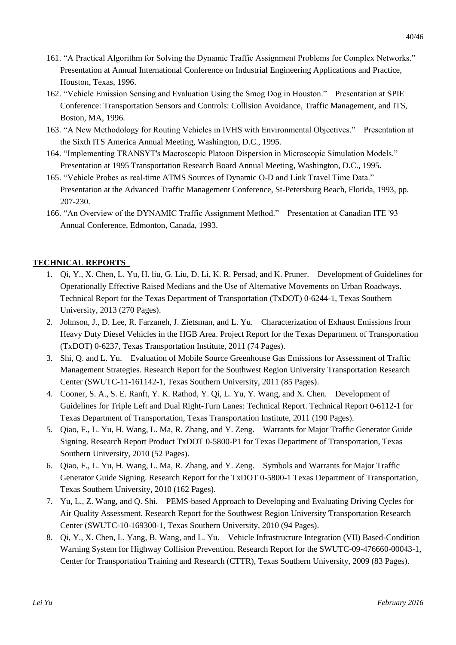- 161. "A Practical Algorithm for Solving the Dynamic Traffic Assignment Problems for Complex Networks." Presentation at Annual International Conference on Industrial Engineering Applications and Practice, Houston, Texas, 1996.
- 162. "Vehicle Emission Sensing and Evaluation Using the Smog Dog in Houston." Presentation at SPIE Conference: Transportation Sensors and Controls: Collision Avoidance, Traffic Management, and ITS, Boston, MA, 1996.
- 163. "A New Methodology for Routing Vehicles in IVHS with Environmental Objectives." Presentation at the Sixth ITS America Annual Meeting, Washington, D.C., 1995.
- 164. "Implementing TRANSYT's Macroscopic Platoon Dispersion in Microscopic Simulation Models." Presentation at 1995 Transportation Research Board Annual Meeting, Washington, D.C., 1995.
- 165. "Vehicle Probes as real-time ATMS Sources of Dynamic O-D and Link Travel Time Data." Presentation at the Advanced Traffic Management Conference, St-Petersburg Beach, Florida, 1993, pp. 207-230.
- 166. "An Overview of the DYNAMIC Traffic Assignment Method." Presentation at Canadian ITE '93 Annual Conference, Edmonton, Canada, 1993.

# **TECHNICAL REPORTS**

- 1. Qi, Y., X. Chen, L. Yu, H. liu, G. Liu, D. Li, K. R. Persad, and K. Pruner. Development of Guidelines for Operationally Effective Raised Medians and the Use of Alternative Movements on Urban Roadways. Technical Report for the Texas Department of Transportation (TxDOT) 0-6244-1, Texas Southern University, 2013 (270 Pages).
- 2. Johnson, J., D. Lee, R. Farzaneh, J. Zietsman, and L. Yu. Characterization of Exhaust Emissions from Heavy Duty Diesel Vehicles in the HGB Area. Project Report for the Texas Department of Transportation (TxDOT) 0-6237, Texas Transportation Institute, 2011 (74 Pages).
- 3. Shi, Q. and L. Yu. Evaluation of Mobile Source Greenhouse Gas Emissions for Assessment of Traffic Management Strategies. Research Report for the Southwest Region University Transportation Research Center (SWUTC-11-161142-1, Texas Southern University, 2011 (85 Pages).
- 4. Cooner, S. A., S. E. Ranft, Y. K. Rathod, Y. Qi, L. Yu, Y. Wang, and X. Chen. Development of Guidelines for Triple Left and Dual Right-Turn Lanes: Technical Report. Technical Report 0-6112-1 for Texas Department of Transportation, Texas Transportation Institute, 2011 (190 Pages).
- 5. Qiao, F., L. Yu, H. Wang, L. Ma, R. Zhang, and Y. Zeng. Warrants for Major Traffic Generator Guide Signing. Research Report Product TxDOT 0-5800-P1 for Texas Department of Transportation, Texas Southern University, 2010 (52 Pages).
- 6. Qiao, F., L. Yu, H. Wang, L. Ma, R. Zhang, and Y. Zeng. Symbols and Warrants for Major Traffic Generator Guide Signing. Research Report for the TxDOT 0-5800-1 Texas Department of Transportation, Texas Southern University, 2010 (162 Pages).
- 7. Yu, L., Z. Wang, and Q. Shi. PEMS-based Approach to Developing and Evaluating Driving Cycles for Air Quality Assessment. Research Report for the Southwest Region University Transportation Research Center (SWUTC-10-169300-1, Texas Southern University, 2010 (94 Pages).
- 8. Qi, Y., X. Chen, L. Yang, B. Wang, and L. Yu. Vehicle Infrastructure Integration (VII) Based-Condition Warning System for Highway Collision Prevention. Research Report for the SWUTC-09-476660-00043-1, Center for Transportation Training and Research (CTTR), Texas Southern University, 2009 (83 Pages).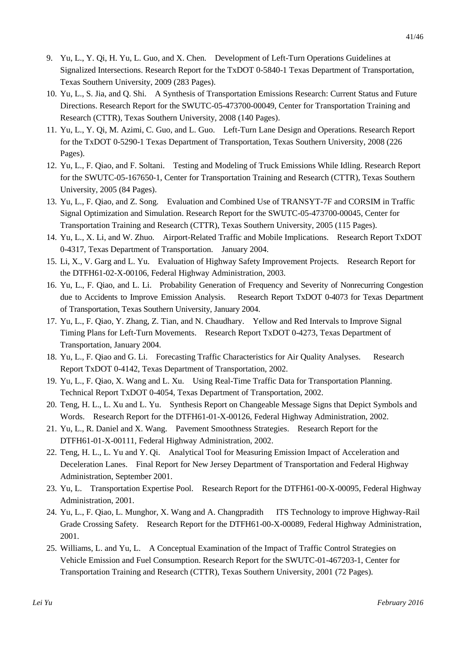- 9. Yu, L., Y. Qi, H. Yu, L. Guo, and X. Chen. Development of Left-Turn Operations Guidelines at Signalized Intersections. Research Report for the TxDOT 0-5840-1 Texas Department of Transportation, Texas Southern University, 2009 (283 Pages).
- 10. Yu, L., S. Jia, and Q. Shi. A Synthesis of Transportation Emissions Research: Current Status and Future Directions. Research Report for the SWUTC-05-473700-00049, Center for Transportation Training and Research (CTTR), Texas Southern University, 2008 (140 Pages).
- 11. Yu, L., Y. Qi, M. Azimi, C. Guo, and L. Guo. Left-Turn Lane Design and Operations. Research Report for the TxDOT 0-5290-1 Texas Department of Transportation, Texas Southern University, 2008 (226 Pages).
- 12. Yu, L., F. Qiao, and F. Soltani. Testing and Modeling of Truck Emissions While Idling. Research Report for the SWUTC-05-167650-1, Center for Transportation Training and Research (CTTR), Texas Southern University, 2005 (84 Pages).
- 13. Yu, L., F. Qiao, and Z. Song. Evaluation and Combined Use of TRANSYT-7F and CORSIM in Traffic Signal Optimization and Simulation. Research Report for the SWUTC-05-473700-00045, Center for Transportation Training and Research (CTTR), Texas Southern University, 2005 (115 Pages).
- 14. Yu, L., X. Li, and W. Zhuo. Airport-Related Traffic and Mobile Implications. Research Report TxDOT 0-4317, Texas Department of Transportation. January 2004.
- 15. Li, X., V. Garg and L. Yu. Evaluation of Highway Safety Improvement Projects. Research Report for the DTFH61-02-X-00106, Federal Highway Administration, 2003.
- 16. Yu, L., F. Qiao, and L. Li. Probability Generation of Frequency and Severity of Nonrecurring Congestion due to Accidents to Improve Emission Analysis. Research Report TxDOT 0-4073 for Texas Department of Transportation, Texas Southern University, January 2004.
- 17. Yu, L., F. Qiao, Y. Zhang, Z. Tian, and N. Chaudhary. Yellow and Red Intervals to Improve Signal Timing Plans for Left-Turn Movements. Research Report TxDOT 0-4273, Texas Department of Transportation, January 2004.
- 18. Yu, L., F. Qiao and G. Li. Forecasting Traffic Characteristics for Air Quality Analyses. Research Report TxDOT 0-4142, Texas Department of Transportation, 2002.
- 19. Yu, L., F. Qiao, X. Wang and L. Xu. Using Real-Time Traffic Data for Transportation Planning. Technical Report TxDOT 0-4054, Texas Department of Transportation, 2002.
- 20. Teng, H. L., L. Xu and L. Yu. Synthesis Report on Changeable Message Signs that Depict Symbols and Words. Research Report for the DTFH61-01-X-00126, Federal Highway Administration, 2002.
- 21. Yu, L., R. Daniel and X. Wang. Pavement Smoothness Strategies. Research Report for the DTFH61-01-X-00111, Federal Highway Administration, 2002.
- 22. Teng, H. L., L. Yu and Y. Qi. Analytical Tool for Measuring Emission Impact of Acceleration and Deceleration Lanes. Final Report for New Jersey Department of Transportation and Federal Highway Administration, September 2001.
- 23. Yu, L. Transportation Expertise Pool. Research Report for the DTFH61-00-X-00095, Federal Highway Administration, 2001.
- 24. Yu, L., F. Qiao, L. Munghor, X. Wang and A. Changpradith ITS Technology to improve Highway-Rail Grade Crossing Safety. Research Report for the DTFH61-00-X-00089, Federal Highway Administration, 2001.
- 25. Williams, L. and Yu, L. A Conceptual Examination of the Impact of Traffic Control Strategies on Vehicle Emission and Fuel Consumption. Research Report for the SWUTC-01-467203-1, Center for Transportation Training and Research (CTTR), Texas Southern University, 2001 (72 Pages).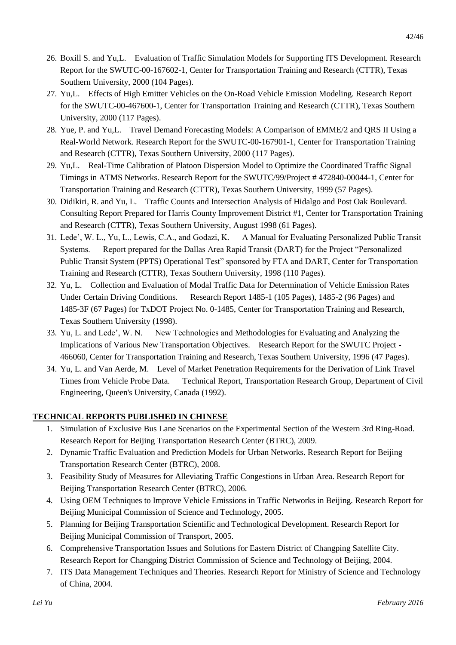- 26. Boxill S. and Yu,L. Evaluation of Traffic Simulation Models for Supporting ITS Development. Research Report for the SWUTC-00-167602-1, Center for Transportation Training and Research (CTTR), Texas Southern University, 2000 (104 Pages).
- 27. Yu,L. Effects of High Emitter Vehicles on the On-Road Vehicle Emission Modeling. Research Report for the SWUTC-00-467600-1, Center for Transportation Training and Research (CTTR), Texas Southern University, 2000 (117 Pages).
- 28. Yue, P. and Yu,L. Travel Demand Forecasting Models: A Comparison of EMME/2 and QRS II Using a Real-World Network. Research Report for the SWUTC-00-167901-1, Center for Transportation Training and Research (CTTR), Texas Southern University, 2000 (117 Pages).
- 29. Yu,L. Real-Time Calibration of Platoon Dispersion Model to Optimize the Coordinated Traffic Signal Timings in ATMS Networks. Research Report for the SWUTC/99/Project # 472840-00044-1, Center for Transportation Training and Research (CTTR), Texas Southern University, 1999 (57 Pages).
- 30. Didikiri, R. and Yu, L. Traffic Counts and Intersection Analysis of Hidalgo and Post Oak Boulevard. Consulting Report Prepared for Harris County Improvement District #1, Center for Transportation Training and Research (CTTR), Texas Southern University, August 1998 (61 Pages).
- 31. Lede', W. L., Yu, L., Lewis, C.A., and Godazi, K. A Manual for Evaluating Personalized Public Transit Systems. Report prepared for the Dallas Area Rapid Transit (DART) for the Project "Personalized Public Transit System (PPTS) Operational Test" sponsored by FTA and DART, Center for Transportation Training and Research (CTTR), Texas Southern University, 1998 (110 Pages).
- 32. Yu, L. Collection and Evaluation of Modal Traffic Data for Determination of Vehicle Emission Rates Under Certain Driving Conditions. Research Report 1485-1 (105 Pages), 1485-2 (96 Pages) and 1485-3F (67 Pages) for TxDOT Project No. 0-1485, Center for Transportation Training and Research, Texas Southern University (1998).
- 33. Yu, L. and Lede', W. N. New Technologies and Methodologies for Evaluating and Analyzing the Implications of Various New Transportation Objectives. Research Report for the SWUTC Project - 466060, Center for Transportation Training and Research, Texas Southern University, 1996 (47 Pages).
- 34. Yu, L. and Van Aerde, M. Level of Market Penetration Requirements for the Derivation of Link Travel Times from Vehicle Probe Data. Technical Report, Transportation Research Group, Department of Civil Engineering, Queen's University, Canada (1992).

## **TECHNICAL REPORTS PUBLISHED IN CHINESE**

- 1. Simulation of Exclusive Bus Lane Scenarios on the Experimental Section of the Western 3rd Ring-Road. Research Report for Beijing Transportation Research Center (BTRC), 2009.
- 2. Dynamic Traffic Evaluation and Prediction Models for Urban Networks. Research Report for Beijing Transportation Research Center (BTRC), 2008.
- 3. Feasibility Study of Measures for Alleviating Traffic Congestions in Urban Area. Research Report for Beijing Transportation Research Center (BTRC), 2006.
- 4. Using OEM Techniques to Improve Vehicle Emissions in Traffic Networks in Beijing. Research Report for Beijing Municipal Commission of Science and Technology, 2005.
- 5. Planning for Beijing Transportation Scientific and Technological Development. Research Report for Beijing Municipal Commission of Transport, 2005.
- 6. Comprehensive Transportation Issues and Solutions for Eastern District of Changping Satellite City. Research Report for Changping District Commission of Science and Technology of Beijing, 2004.
- 7. ITS Data Management Techniques and Theories. Research Report for Ministry of Science and Technology of China, 2004.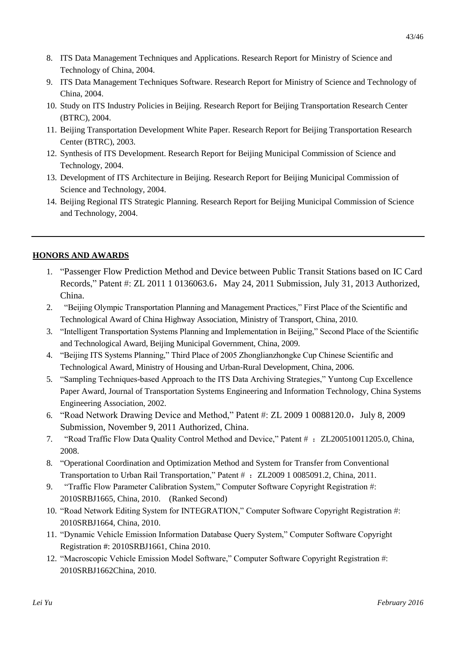- 9. ITS Data Management Techniques Software. Research Report for Ministry of Science and Technology of China, 2004.
- 10. Study on ITS Industry Policies in Beijing. Research Report for Beijing Transportation Research Center (BTRC), 2004.
- 11. Beijing Transportation Development White Paper. Research Report for Beijing Transportation Research Center (BTRC), 2003.
- 12. Synthesis of ITS Development. Research Report for Beijing Municipal Commission of Science and Technology, 2004.
- 13. Development of ITS Architecture in Beijing. Research Report for Beijing Municipal Commission of Science and Technology, 2004.
- 14. Beijing Regional ITS Strategic Planning. Research Report for Beijing Municipal Commission of Science and Technology, 2004.

# **HONORS AND AWARDS**

- 1. "Passenger Flow Prediction Method and Device between Public Transit Stations based on IC Card Records," Patent #: ZL 2011 1 0136063.6, May 24, 2011 Submission, July 31, 2013 Authorized, China.
- 2. "Beijing Olympic Transportation Planning and Management Practices," First Place of the Scientific and Technological Award of China Highway Association, Ministry of Transport, China, 2010.
- 3. "Intelligent Transportation Systems Planning and Implementation in Beijing," Second Place of the Scientific and Technological Award, Beijing Municipal Government, China, 2009.
- 4. "Beijing ITS Systems Planning," Third Place of 2005 Zhonglianzhongke Cup Chinese Scientific and Technological Award, Ministry of Housing and Urban-Rural Development, China, 2006.
- 5. "Sampling Techniques-based Approach to the ITS Data Archiving Strategies," Yuntong Cup Excellence Paper Award, Journal of Transportation Systems Engineering and Information Technology, China Systems Engineering Association, 2002.
- 6. "Road Network Drawing Device and Method," Patent #: ZL 2009 1 0088120.0, July 8, 2009 Submission, November 9, 2011 Authorized, China.
- 7. "Road Traffic Flow Data Quality Control Method and Device," Patent # : ZL200510011205.0, China, 2008.
- 8. "Operational Coordination and Optimization Method and System for Transfer from Conventional Transportation to Urban Rail Transportation," Patent  $\#$ : ZL2009 1 0085091.2, China, 2011.
- 9. "Traffic Flow Parameter Calibration System," Computer Software Copyright Registration #: 2010SRBJ1665, China, 2010. (Ranked Second)
- 10. "Road Network Editing System for INTEGRATION," Computer Software Copyright Registration #: 2010SRBJ1664, China, 2010.
- 11. "Dynamic Vehicle Emission Information Database Query System," Computer Software Copyright Registration #: 2010SRBJ1661, China 2010.
- 12. "Macroscopic Vehicle Emission Model Software," Computer Software Copyright Registration #: 2010SRBJ1662China, 2010.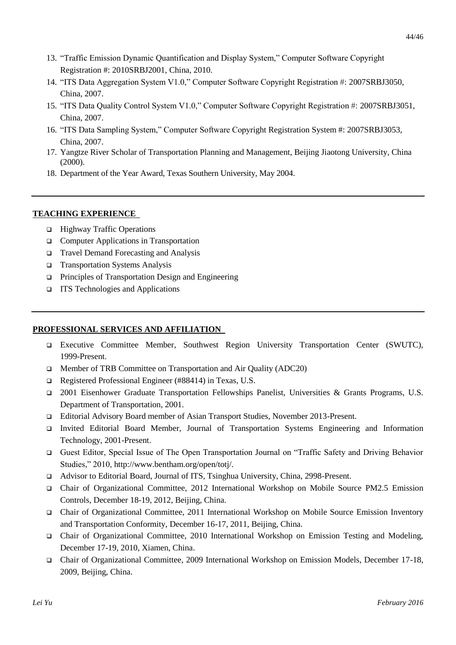- 14. "ITS Data Aggregation System V1.0," Computer Software Copyright Registration #: 2007SRBJ3050, China, 2007.
- 15. "ITS Data Quality Control System V1.0," Computer Software Copyright Registration #: 2007SRBJ3051, China, 2007.
- 16. "ITS Data Sampling System," Computer Software Copyright Registration System #: 2007SRBJ3053, China, 2007.
- 17. Yangtze River Scholar of Transportation Planning and Management, Beijing Jiaotong University, China (2000).
- 18. Department of the Year Award, Texas Southern University, May 2004.

# **TEACHING EXPERIENCE**

- □ Highway Traffic Operations
- **Computer Applications in Transportation**
- □ Travel Demand Forecasting and Analysis
- Transportation Systems Analysis
- **Principles of Transportation Design and Engineering**
- ITS Technologies and Applications

# **PROFESSIONAL SERVICES AND AFFILIATION**

- Executive Committee Member, Southwest Region University Transportation Center (SWUTC), 1999-Present.
- Member of TRB Committee on Transportation and Air Quality (ADC20)
- Registered Professional Engineer (#88414) in Texas, U.S.
- 2001 Eisenhower Graduate Transportation Fellowships Panelist, Universities & Grants Programs, U.S. Department of Transportation, 2001.
- Editorial Advisory Board member of Asian Transport Studies, November 2013-Present.
- Invited Editorial Board Member, Journal of Transportation Systems Engineering and Information Technology, 2001-Present.
- Guest Editor, Special Issue of The Open Transportation Journal on "Traffic Safety and Driving Behavior Studies," 2010, [http://www.bentham.org/open/totj/.](http://www.bentham.org/open/totj/)
- Advisor to Editorial Board, Journal of ITS, Tsinghua University, China, 2998-Present.
- Chair of Organizational Committee, 2012 International Workshop on Mobile Source PM2.5 Emission Controls, December 18-19, 2012, Beijing, China.
- Chair of Organizational Committee, 2011 International Workshop on Mobile Source Emission Inventory and Transportation Conformity, December 16-17, 2011, Beijing, China.
- Chair of Organizational Committee, 2010 International Workshop on Emission Testing and Modeling, December 17-19, 2010, Xiamen, China.
- Chair of Organizational Committee, 2009 International Workshop on Emission Models, December 17-18, 2009, Beijing, China.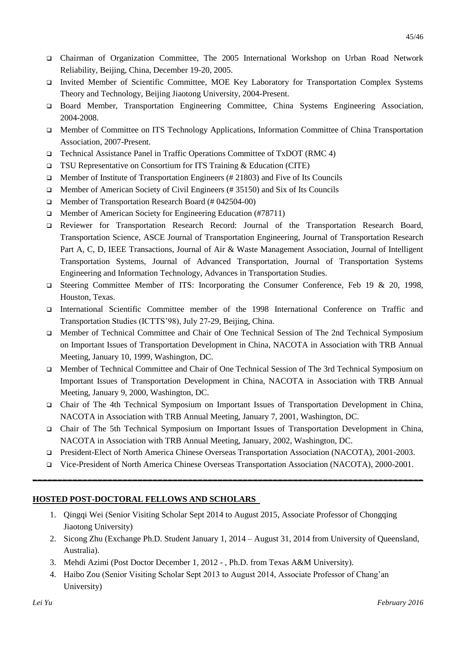- Chairman of Organization Committee, The 2005 International Workshop on Urban Road Network Reliability, Beijing, China, December 19-20, 2005.
- Invited Member of Scientific Committee, MOE Key Laboratory for Transportation Complex Systems Theory and Technology, Beijing Jiaotong University, 2004-Present.
- Board Member, Transportation Engineering Committee, China Systems Engineering Association, 2004-2008.
- Member of Committee on ITS Technology Applications, Information Committee of China Transportation Association, 2007-Present.
- Technical Assistance Panel in Traffic Operations Committee of TxDOT (RMC 4)
- TSU Representative on Consortium for ITS Training & Education (CITE)
- **ID** Member of Institute of Transportation Engineers (#21803) and Five of Its Councils
- $\Box$  Member of American Society of Civil Engineers (#35150) and Six of Its Councils
- □ Member of Transportation Research Board (# 042504-00)
- □ Member of American Society for Engineering Education (#78711)
- Reviewer for Transportation Research Record: Journal of the Transportation Research Board, Transportation Science, ASCE Journal of Transportation Engineering, Journal of Transportation Research Part A, C, D, IEEE Transactions, Journal of Air & Waste Management Association, Journal of Intelligent Transportation Systems, Journal of Advanced Transportation, Journal of Transportation Systems Engineering and Information Technology, Advances in Transportation Studies.
- Steering Committee Member of ITS: Incorporating the Consumer Conference, Feb 19 & 20, 1998, Houston, Texas.
- International Scientific Committee member of the 1998 International Conference on Traffic and Transportation Studies (ICTTS'98), July 27-29, Beijing, China.
- Member of Technical Committee and Chair of One Technical Session of The 2nd Technical Symposium on Important Issues of Transportation Development in China, NACOTA in Association with TRB Annual Meeting, January 10, 1999, Washington, DC.
- Member of Technical Committee and Chair of One Technical Session of The 3rd Technical Symposium on Important Issues of Transportation Development in China, NACOTA in Association with TRB Annual Meeting, January 9, 2000, Washington, DC.
- Chair of The 4th Technical Symposium on Important Issues of Transportation Development in China, NACOTA in Association with TRB Annual Meeting, January 7, 2001, Washington, DC.
- Chair of The 5th Technical Symposium on Important Issues of Transportation Development in China, NACOTA in Association with TRB Annual Meeting, January, 2002, Washington, DC.
- President-Elect of North America Chinese Overseas Transportation Association (NACOTA), 2001-2003.
- Vice-President of North America Chinese Overseas Transportation Association (NACOTA), 2000-2001. **\_\_\_\_\_\_\_\_\_\_\_\_\_\_\_\_\_\_\_\_\_\_\_\_\_\_\_\_\_\_\_\_\_\_\_\_\_\_\_\_\_\_\_\_\_\_\_\_\_\_\_\_\_\_\_\_\_\_\_\_\_\_\_\_\_\_\_\_\_\_\_\_\_\_\_\_\_\_**

## **HOSTED POST-DOCTORAL FELLOWS AND SCHOLARS**

- 1. Qingqi Wei (Senior Visiting Scholar Sept 2014 to August 2015, Associate Professor of Chongqing Jiaotong University)
- 2. Sicong Zhu (Exchange Ph.D. Student January 1, 2014 August 31, 2014 from University of Queensland, Australia).
- 3. Mehdi Azimi (Post Doctor December 1, 2012 , Ph.D. from Texas A&M University).
- 4. Haibo Zou (Senior Visiting Scholar Sept 2013 to August 2014, Associate Professor of Chang'an University)